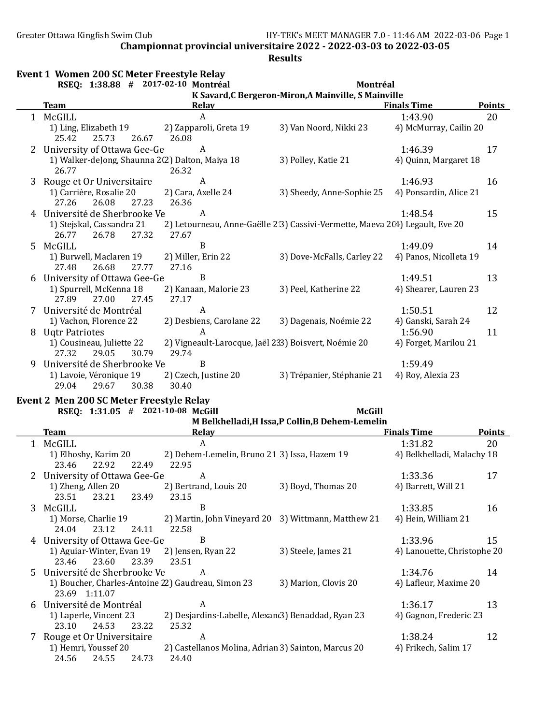|   |                                                                               | RSEQ: 1:38.88 # 2017-02-10 Montréal                         | Montréal                                                                     |                             |                     |
|---|-------------------------------------------------------------------------------|-------------------------------------------------------------|------------------------------------------------------------------------------|-----------------------------|---------------------|
|   | <b>Team</b>                                                                   | <b>Relay</b>                                                | K Savard, C Bergeron-Miron, A Mainville, S Mainville                         | <b>Finals Time</b>          | <b>Points</b>       |
|   | 1 McGILL                                                                      | A                                                           |                                                                              | 1:43.90                     | 20                  |
|   | 1) Ling, Elizabeth 19                                                         | 2) Zapparoli, Greta 19                                      | 3) Van Noord, Nikki 23                                                       | 4) McMurray, Cailin 20      |                     |
|   | 25.42<br>25.73<br>26.67                                                       | 26.08                                                       |                                                                              |                             |                     |
|   | 2 University of Ottawa Gee-Ge                                                 | A                                                           |                                                                              | 1:46.39                     | 17                  |
|   | 1) Walker-deJong, Shaunna 2(2) Dalton, Maiya 18                               |                                                             | 3) Polley, Katie 21                                                          | 4) Quinn, Margaret 18       |                     |
|   | 26.77                                                                         | 26.32                                                       |                                                                              |                             |                     |
| 3 | Rouge et Or Universitaire                                                     | A                                                           |                                                                              | 1:46.93                     | 16                  |
|   | 1) Carrière, Rosalie 20                                                       | 2) Cara, Axelle 24                                          | 3) Sheedy, Anne-Sophie 25                                                    | 4) Ponsardin, Alice 21      |                     |
|   | 26.08<br>27.26<br>27.23                                                       | 26.36                                                       |                                                                              |                             |                     |
|   | 4 Université de Sherbrooke Ve                                                 | A                                                           |                                                                              | 1:48.54                     | 15                  |
|   | 1) Stejskal, Cassandra 21                                                     |                                                             | 2) Letourneau, Anne-Gaëlle 2:3) Cassivi-Vermette, Maeva 2(4) Legault, Eve 20 |                             |                     |
|   | 27.32<br>26.77<br>26.78                                                       | 27.67                                                       |                                                                              |                             |                     |
|   | 5 McGILL                                                                      | $\, {\bf B}$                                                |                                                                              | 1:49.09                     | 14                  |
|   | 1) Burwell, Maclaren 19                                                       | 2) Miller, Erin 22                                          | 3) Dove-McFalls, Carley 22                                                   | 4) Panos, Nicolleta 19      |                     |
|   | 27.48<br>26.68<br>27.77                                                       | 27.16<br>$\, {\bf B}$                                       |                                                                              |                             |                     |
|   | 6 University of Ottawa Gee-Ge                                                 |                                                             |                                                                              | 1:49.51                     | 13                  |
|   | 1) Spurrell, McKenna 18<br>27.89<br>27.00<br>27.45                            | 2) Kanaan, Malorie 23<br>27.17                              | 3) Peel, Katherine 22                                                        | 4) Shearer, Lauren 23       |                     |
|   | 7 Université de Montréal                                                      | $\boldsymbol{A}$                                            |                                                                              | 1:50.51                     | 12                  |
|   | 1) Vachon, Florence 22                                                        | 2) Desbiens, Carolane 22                                    | 3) Dagenais, Noémie 22                                                       | 4) Ganski, Sarah 24         |                     |
|   | 8 Ugtr Patriotes                                                              | A                                                           |                                                                              | 1:56.90                     | 11                  |
|   | 1) Cousineau, Juliette 22                                                     | 2) Vigneault-Larocque, Jaël 233) Boisvert, Noémie 20        |                                                                              | 4) Forget, Marilou 21       |                     |
|   | 27.32<br>29.05<br>30.79                                                       | 29.74                                                       |                                                                              |                             |                     |
| 9 | Université de Sherbrooke Ve                                                   | $\, {\bf B}$                                                |                                                                              | 1:59.49                     |                     |
|   |                                                                               |                                                             |                                                                              |                             |                     |
|   | 1) Lavoie, Véronique 19                                                       | 2) Czech, Justine 20                                        | 3) Trépanier, Stéphanie 21                                                   | 4) Roy, Alexia 23           |                     |
|   | 29.04<br>29.67<br>30.38                                                       | 30.40                                                       |                                                                              |                             |                     |
|   |                                                                               |                                                             |                                                                              |                             |                     |
|   | Event 2 Men 200 SC Meter Freestyle Relay<br>RSEQ: 1:31.05 # 2021-10-08 McGill |                                                             | <b>McGill</b>                                                                |                             |                     |
|   |                                                                               |                                                             | M Belkhelladi, H Issa, P Collin, B Dehem-Lemelin                             |                             |                     |
|   | <b>Team</b>                                                                   | <b>Relay</b>                                                | the control of the control of the control of the control of the control of   | <b>Finals Time</b>          |                     |
|   | 1 McGILL                                                                      | A                                                           |                                                                              | 1:31.82                     | <b>Points</b><br>20 |
|   | 1) Elhoshy, Karim 20                                                          | 2) Dehem-Lemelin, Bruno 21 3) Issa, Hazem 19                |                                                                              | 4) Belkhelladi, Malachy 18  |                     |
|   | 23.46<br>22.92<br>22.49                                                       | 22.95                                                       |                                                                              |                             |                     |
|   | 2 University of Ottawa Gee-Ge                                                 | $\boldsymbol{A}$                                            |                                                                              | 1:33.36                     | 17                  |
|   | 1) Zheng, Allen 20                                                            | 2) Bertrand, Louis 20                                       | 3) Boyd, Thomas 20                                                           | 4) Barrett, Will 21         |                     |
|   | 23.51<br>23.21<br>23.49                                                       | 23.15                                                       |                                                                              |                             |                     |
| 3 | McGILL                                                                        | $\, {\bf B}$                                                |                                                                              | 1:33.85                     | 16                  |
|   | 1) Morse, Charlie 19                                                          |                                                             | 2) Martin, John Vineyard 20 3) Wittmann, Matthew 21                          | 4) Hein, William 21         |                     |
|   | 23.12<br>24.11<br>24.04                                                       | 22.58                                                       |                                                                              |                             |                     |
|   | 4 University of Ottawa Gee-Ge                                                 | $\boldsymbol{B}$                                            |                                                                              | 1:33.96                     | 15                  |
|   | 1) Aguiar-Winter, Evan 19                                                     | 2) Jensen, Ryan 22                                          | 3) Steele, James 21                                                          | 4) Lanouette, Christophe 20 |                     |
|   | 23.46<br>23.60<br>23.39                                                       | 23.51                                                       |                                                                              |                             |                     |
| 5 | Université de Sherbrooke Ve                                                   | A                                                           |                                                                              | 1:34.76                     | 14                  |
|   | 1) Boucher, Charles-Antoine 22) Gaudreau, Simon 23                            |                                                             | 3) Marion, Clovis 20                                                         | 4) Lafleur, Maxime 20       |                     |
|   | 23.69 1:11.07                                                                 |                                                             |                                                                              |                             |                     |
| 6 | Université de Montréal                                                        | A                                                           |                                                                              | 1:36.17                     | 13                  |
|   | 1) Laperle, Vincent 23<br>23.10<br>24.53<br>23.22                             | 2) Desjardins-Labelle, Alexand3) Benaddad, Ryan 23<br>25.32 |                                                                              | 4) Gagnon, Frederic 23      |                     |
|   | Rouge et Or Universitaire                                                     | $\boldsymbol{A}$                                            |                                                                              | 1:38.24                     | 12                  |
|   | 1) Hemri, Youssef 20<br>24.56<br>24.55<br>24.73                               | 2) Castellanos Molina, Adrian 3) Sainton, Marcus 20         |                                                                              | 4) Frikech, Salim 17        |                     |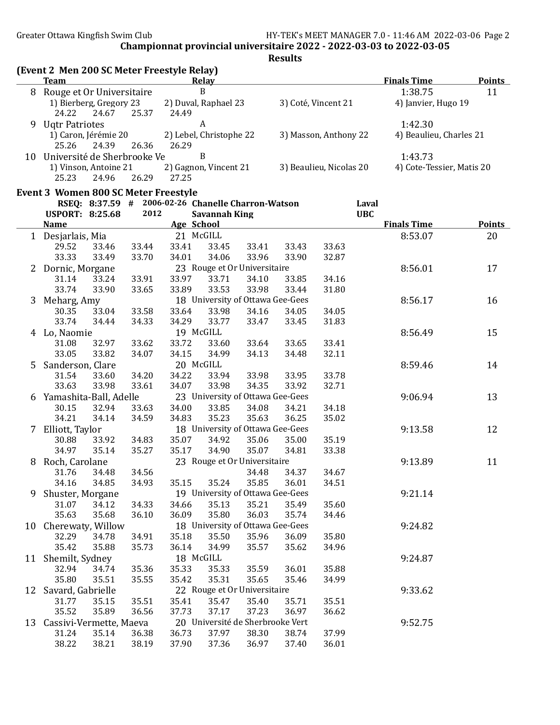|    | (Event 2 Men 200 SC Meter Freestyle Relay)<br><b>Team</b> |                |                |       | Relay                                              |                |                |                         |            | <b>Finals Time</b>        | <b>Points</b> |
|----|-----------------------------------------------------------|----------------|----------------|-------|----------------------------------------------------|----------------|----------------|-------------------------|------------|---------------------------|---------------|
|    | 8 Rouge et Or Universitaire                               |                |                |       | $\, {\bf B}$                                       |                |                |                         |            | 1:38.75                   | 11            |
|    | 1) Bierberg, Gregory 23<br>24.22                          | 24.67          | 25.37          | 24.49 | 2) Duval, Raphael 23                               |                |                | 3) Coté, Vincent 21     |            | 4) Janvier, Hugo 19       |               |
| 9  | <b>Ugtr Patriotes</b>                                     |                |                |       | A                                                  |                |                |                         |            | 1:42.30                   |               |
|    | 1) Caron, Jérémie 20<br>25.26                             | 24.39          | 26.36          | 26.29 | 2) Lebel, Christophe 22                            |                |                | 3) Masson, Anthony 22   |            | 4) Beaulieu, Charles 21   |               |
|    | 10 Université de Sherbrooke Ve                            |                |                |       | B                                                  |                |                |                         |            | 1:43.73                   |               |
|    | 1) Vinson, Antoine 21                                     |                |                |       | 2) Gagnon, Vincent 21                              |                |                | 3) Beaulieu, Nicolas 20 |            | 4) Cote-Tessier, Matis 20 |               |
|    | 25.23                                                     | 24.96          | 26.29          | 27.25 |                                                    |                |                |                         |            |                           |               |
|    | <b>Event 3 Women 800 SC Meter Freestyle</b>               |                |                |       |                                                    |                |                |                         |            |                           |               |
|    |                                                           |                |                |       | RSEQ: 8:37.59 # 2006-02-26 Chanelle Charron-Watson |                |                |                         | Laval      |                           |               |
|    | <b>USPORT: 8:25.68</b>                                    |                | 2012           |       | <b>Savannah King</b>                               |                |                |                         | <b>UBC</b> |                           |               |
|    | <u>Name</u>                                               |                |                |       | Age School                                         |                |                |                         |            | <b>Finals Time</b>        | <b>Points</b> |
|    | 1 Desjarlais, Mia                                         |                |                |       | 21 McGILL                                          |                |                |                         |            | 8:53.07                   | 20            |
|    | 29.52                                                     | 33.46          | 33.44          | 33.41 | 33.45                                              | 33.41          | 33.43          | 33.63                   |            |                           |               |
|    | 33.33                                                     | 33.49          | 33.70          | 34.01 | 34.06                                              | 33.96          | 33.90          | 32.87                   |            |                           |               |
| 2  | Dornic, Morgane                                           |                |                |       | 23 Rouge et Or Universitaire                       |                |                |                         |            | 8:56.01                   | 17            |
|    | 31.14                                                     | 33.24          | 33.91          | 33.97 | 33.71                                              | 34.10          | 33.85          | 34.16                   |            |                           |               |
|    | 33.74                                                     | 33.90          | 33.65          | 33.89 | 33.53                                              | 33.98          | 33.44          | 31.80                   |            |                           |               |
| 3  | Meharg, Amy                                               |                |                |       | 18 University of Ottawa Gee-Gees                   |                |                |                         |            | 8:56.17                   | 16            |
|    | 30.35                                                     | 33.04          | 33.58          | 33.64 | 33.98                                              | 34.16          | 34.05          | 34.05                   |            |                           |               |
|    | 33.74                                                     | 34.44          | 34.33          | 34.29 | 33.77                                              | 33.47          | 33.45          | 31.83                   |            |                           |               |
| 4  | Lo, Naomie                                                |                |                |       | 19 McGILL                                          |                |                |                         |            | 8:56.49                   | 15            |
|    | 31.08                                                     | 32.97          | 33.62          | 33.72 | 33.60                                              | 33.64          | 33.65          | 33.41                   |            |                           |               |
|    | 33.05                                                     | 33.82          | 34.07          | 34.15 | 34.99                                              | 34.13          | 34.48          | 32.11                   |            |                           |               |
| 5  | Sanderson, Clare                                          |                |                |       | 20 McGILL                                          |                |                |                         |            | 8:59.46                   | 14            |
|    | 31.54                                                     | 33.60          | 34.20          | 34.22 | 33.94                                              | 33.98          | 33.95          | 33.78                   |            |                           |               |
|    | 33.63                                                     | 33.98          | 33.61          | 34.07 | 33.98                                              | 34.35          | 33.92          | 32.71                   |            |                           |               |
| 6  | Yamashita-Ball, Adelle                                    |                |                |       | 23 University of Ottawa Gee-Gees                   |                |                |                         |            | 9:06.94                   | 13            |
|    | 30.15                                                     | 32.94          | 33.63          | 34.00 | 33.85                                              | 34.08          | 34.21          | 34.18                   |            |                           |               |
|    | 34.21                                                     | 34.14          | 34.59          | 34.83 | 35.23                                              | 35.63          | 36.25          | 35.02                   |            |                           |               |
| 7  | Elliott, Taylor                                           |                |                |       | 18 University of Ottawa Gee-Gees                   |                |                |                         |            | 9:13.58                   | 12            |
|    | 30.88                                                     | 33.92          | 34.83          | 35.07 | 34.92                                              | 35.06          | 35.00          | 35.19                   |            |                           |               |
|    | 34.97                                                     | 35.14          | 35.27          | 35.17 | 34.90                                              | 35.07          | 34.81          | 33.38                   |            |                           |               |
| 8  | Roch, Carolane                                            |                |                |       | 23 Rouge et Or Universitaire                       |                |                |                         |            | 9:13.89                   | 11            |
|    | 31.76                                                     | 34.48          | 34.56          |       |                                                    | 34.48          | 34.37          | 34.67                   |            |                           |               |
|    | 34.16                                                     | 34.85          | 34.93          | 35.15 | 35.24                                              | 35.85          | 36.01          | 34.51                   |            |                           |               |
| 9  | Shuster, Morgane                                          |                |                |       | 19 University of Ottawa Gee-Gees                   |                |                |                         |            | 9:21.14                   |               |
|    | 31.07                                                     | 34.12          | 34.33          | 34.66 | 35.13                                              | 35.21          | 35.49          | 35.60                   |            |                           |               |
|    | 35.63                                                     | 35.68          | 36.10          | 36.09 | 35.80                                              | 36.03          | 35.74          | 34.46                   |            |                           |               |
|    | 10 Cherewaty, Willow                                      |                |                |       | 18 University of Ottawa Gee-Gees                   |                |                |                         |            | 9:24.82                   |               |
|    | 32.29                                                     | 34.78          | 34.91          | 35.18 | 35.50                                              | 35.96          | 36.09          | 35.80                   |            |                           |               |
|    | 35.42                                                     | 35.88          | 35.73          | 36.14 | 34.99                                              | 35.57          | 35.62          | 34.96                   |            |                           |               |
|    | 11 Shemilt, Sydney                                        |                |                |       | 18 McGILL                                          |                |                |                         |            | 9:24.87                   |               |
|    | 32.94                                                     | 34.74          | 35.36          | 35.33 | 35.33                                              | 35.59          | 36.01          | 35.88                   |            |                           |               |
|    | 35.80                                                     | 35.51          | 35.55          | 35.42 | 35.31                                              | 35.65          | 35.46          | 34.99                   |            |                           |               |
| 12 | Savard, Gabrielle                                         |                |                |       | 22 Rouge et Or Universitaire                       |                |                |                         |            | 9:33.62                   |               |
|    | 31.77                                                     | 35.15          | 35.51          | 35.41 | 35.47                                              | 35.40          | 35.71          | 35.51                   |            |                           |               |
|    | 35.52                                                     | 35.89          | 36.56          | 37.73 | 37.17<br>20 Université de Sherbrooke Vert          | 37.23          | 36.97          | 36.62                   |            |                           |               |
| 13 | Cassivi-Vermette, Maeva                                   |                |                | 36.73 |                                                    |                |                | 37.99                   |            | 9:52.75                   |               |
|    | 31.24<br>38.22                                            | 35.14<br>38.21 | 36.38<br>38.19 | 37.90 | 37.97<br>37.36                                     | 38.30<br>36.97 | 38.74<br>37.40 | 36.01                   |            |                           |               |
|    |                                                           |                |                |       |                                                    |                |                |                         |            |                           |               |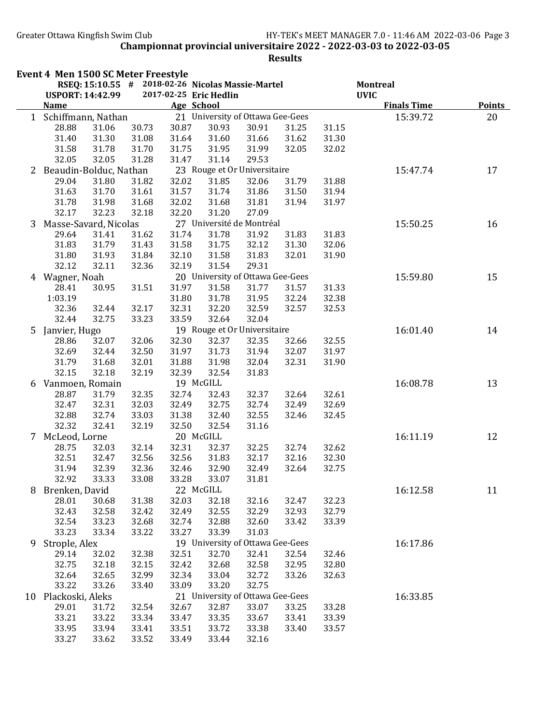|    | Event 4 Men 1500 SC Meter Freestyle | RSEQ: 15:10.55 # 2018-02-26 Nicolas Massie-Martel |       |            |                                  |       |       |       | <b>Montreal</b>    |               |
|----|-------------------------------------|---------------------------------------------------|-------|------------|----------------------------------|-------|-------|-------|--------------------|---------------|
|    | <b>USPORT: 14:42.99</b>             |                                                   |       |            | 2017-02-25 Eric Hedlin           |       |       |       | <b>UVIC</b>        |               |
|    | <b>Name</b>                         |                                                   |       | Age School |                                  |       |       |       | <b>Finals Time</b> | <b>Points</b> |
| 1  | Schiffmann, Nathan                  |                                                   |       |            | 21 University of Ottawa Gee-Gees |       |       |       | 15:39.72           | 20            |
|    | 28.88                               | 31.06                                             | 30.73 | 30.87      | 30.93                            | 30.91 | 31.25 | 31.15 |                    |               |
|    | 31.40                               | 31.30                                             | 31.08 | 31.64      | 31.60                            | 31.66 | 31.62 | 31.30 |                    |               |
|    | 31.58                               | 31.78                                             | 31.70 | 31.75      | 31.95                            | 31.99 | 32.05 | 32.02 |                    |               |
|    | 32.05                               | 32.05                                             | 31.28 | 31.47      | 31.14                            | 29.53 |       |       |                    |               |
| 2  | Beaudin-Bolduc, Nathan              |                                                   |       |            | 23 Rouge et Or Universitaire     |       |       |       | 15:47.74           | 17            |
|    | 29.04                               | 31.80                                             | 31.82 | 32.02      | 31.85                            | 32.06 | 31.79 | 31.88 |                    |               |
|    | 31.63                               | 31.70                                             | 31.61 | 31.57      | 31.74                            | 31.86 | 31.50 | 31.94 |                    |               |
|    | 31.78                               | 31.98                                             | 31.68 | 32.02      | 31.68                            | 31.81 | 31.94 | 31.97 |                    |               |
|    | 32.17                               | 32.23                                             | 32.18 | 32.20      | 31.20                            | 27.09 |       |       |                    |               |
| 3  | Masse-Savard, Nicolas               |                                                   |       |            | 27 Université de Montréal        |       |       |       | 15:50.25           | 16            |
|    | 29.64                               | 31.41                                             | 31.62 | 31.74      | 31.78                            | 31.92 | 31.83 | 31.83 |                    |               |
|    | 31.83                               | 31.79                                             | 31.43 | 31.58      | 31.75                            | 32.12 | 31.30 | 32.06 |                    |               |
|    | 31.80                               | 31.93                                             | 31.84 | 32.10      | 31.58                            | 31.83 | 32.01 | 31.90 |                    |               |
|    | 32.12                               | 32.11                                             | 32.36 | 32.19      | 31.54                            | 29.31 |       |       |                    |               |
|    | 4 Wagner, Noah                      |                                                   |       |            | 20 University of Ottawa Gee-Gees |       |       |       | 15:59.80           | 15            |
|    | 28.41                               | 30.95                                             | 31.51 | 31.97      | 31.58                            | 31.77 | 31.57 | 31.33 |                    |               |
|    | 1:03.19                             |                                                   |       | 31.80      | 31.78                            | 31.95 | 32.24 | 32.38 |                    |               |
|    | 32.36                               | 32.44                                             | 32.17 | 32.31      | 32.20                            | 32.59 | 32.57 | 32.53 |                    |               |
|    | 32.44                               | 32.75                                             | 33.23 | 33.59      | 32.64                            | 32.04 |       |       |                    |               |
| 5. | Janvier, Hugo                       |                                                   |       |            | 19 Rouge et Or Universitaire     |       |       |       | 16:01.40           | 14            |
|    | 28.86                               | 32.07                                             | 32.06 | 32.30      | 32.37                            | 32.35 | 32.66 | 32.55 |                    |               |
|    | 32.69                               | 32.44                                             | 32.50 | 31.97      | 31.73                            | 31.94 | 32.07 | 31.97 |                    |               |
|    | 31.79                               | 31.68                                             | 32.01 | 31.88      | 31.98                            | 32.04 | 32.31 | 31.90 |                    |               |
|    | 32.15                               | 32.18                                             | 32.19 | 32.39      | 32.54                            | 31.83 |       |       |                    |               |
|    | 6 Vanmoen, Romain                   |                                                   |       |            | 19 McGILL                        |       |       |       | 16:08.78           | 13            |
|    | 28.87                               | 31.79                                             | 32.35 | 32.74      | 32.43                            | 32.37 | 32.64 | 32.61 |                    |               |
|    | 32.47                               | 32.31                                             | 32.03 | 32.49      | 32.75                            | 32.74 | 32.49 | 32.69 |                    |               |
|    | 32.88                               | 32.74                                             | 33.03 | 31.38      | 32.40                            | 32.55 | 32.46 | 32.45 |                    |               |
|    | 32.32                               | 32.41                                             | 32.19 | 32.50      | 32.54                            | 31.16 |       |       |                    |               |
|    | 7 McLeod, Lorne                     |                                                   |       |            | 20 McGILL                        |       |       |       | 16:11.19           | 12            |
|    | 28.75                               | 32.03                                             | 32.14 | 32.31      | 32.37                            | 32.25 | 32.74 | 32.62 |                    |               |
|    | 32.51                               | 32.47                                             | 32.56 | 32.56      | 31.83                            | 32.17 | 32.16 | 32.30 |                    |               |
|    | 31.94                               | 32.39                                             | 32.36 | 32.46      | 32.90                            | 32.49 | 32.64 | 32.75 |                    |               |
|    | 32.92                               | 33.33                                             | 33.08 | 33.28      | 33.07                            | 31.81 |       |       |                    |               |
| 8  | Brenken, David                      |                                                   |       |            | 22 McGILL                        |       |       |       | 16:12.58           | 11            |
|    | 28.01                               | 30.68                                             | 31.38 | 32.03      | 32.18                            | 32.16 | 32.47 | 32.23 |                    |               |
|    | 32.43                               | 32.58                                             | 32.42 | 32.49      | 32.55                            | 32.29 | 32.93 | 32.79 |                    |               |
|    | 32.54                               | 33.23                                             | 32.68 | 32.74      | 32.88                            | 32.60 | 33.42 | 33.39 |                    |               |
|    | 33.23                               | 33.34                                             | 33.22 | 33.27      | 33.39                            | 31.03 |       |       |                    |               |
| 9  | Strople, Alex                       |                                                   |       |            | 19 University of Ottawa Gee-Gees |       |       |       | 16:17.86           |               |
|    | 29.14                               | 32.02                                             | 32.38 | 32.51      | 32.70                            | 32.41 | 32.54 | 32.46 |                    |               |
|    | 32.75                               | 32.18                                             | 32.15 | 32.42      | 32.68                            | 32.58 | 32.95 | 32.80 |                    |               |
|    | 32.64                               | 32.65                                             | 32.99 | 32.34      | 33.04                            | 32.72 | 33.26 | 32.63 |                    |               |
|    | 33.22                               | 33.26                                             | 33.40 | 33.09      | 33.20                            | 32.75 |       |       |                    |               |
|    | 10 Plackoski, Aleks                 |                                                   |       |            | 21 University of Ottawa Gee-Gees |       |       |       | 16:33.85           |               |
|    | 29.01                               | 31.72                                             | 32.54 | 32.67      | 32.87                            | 33.07 | 33.25 | 33.28 |                    |               |
|    | 33.21                               | 33.22                                             | 33.34 | 33.47      | 33.35                            | 33.67 | 33.41 | 33.39 |                    |               |
|    | 33.95                               | 33.94                                             | 33.41 | 33.51      | 33.72                            | 33.38 | 33.40 | 33.57 |                    |               |
|    | 33.27                               | 33.62                                             | 33.52 | 33.49      | 33.44                            | 32.16 |       |       |                    |               |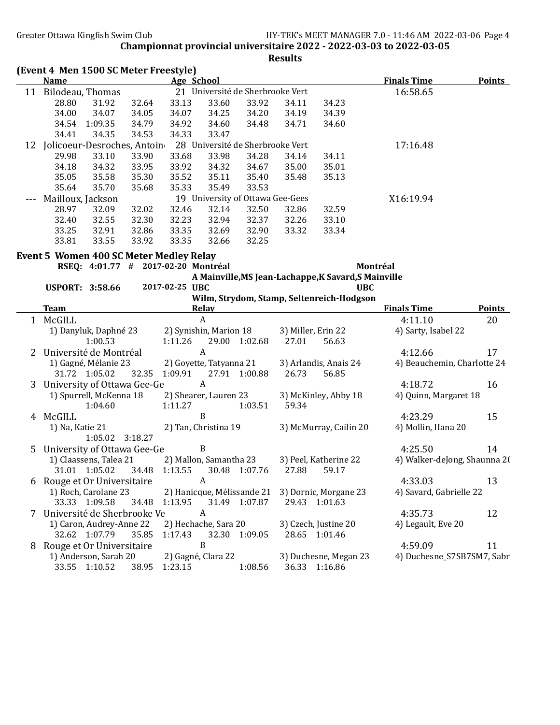|    | (Event 4 Men 1500 SC Meter Freestyle)          |                         |                                  |               |                    |                                                      |                              |               |
|----|------------------------------------------------|-------------------------|----------------------------------|---------------|--------------------|------------------------------------------------------|------------------------------|---------------|
|    | <b>Name</b>                                    | Age School              |                                  |               |                    |                                                      | <b>Finals Time</b>           | <b>Points</b> |
|    | 11 Bilodeau, Thomas                            |                         | 21 Université de Sherbrooke Vert |               |                    |                                                      | 16:58.65                     |               |
|    | 28.80<br>31.92<br>32.64                        | 33.13                   | 33.60                            | 33.92         | 34.11              | 34.23                                                |                              |               |
|    | 34.07<br>34.00<br>34.05                        | 34.07                   | 34.25                            | 34.20         | 34.19              | 34.39                                                |                              |               |
|    | 1:09.35<br>34.79<br>34.54                      | 34.92                   | 34.60                            | 34.48         | 34.71              | 34.60                                                |                              |               |
|    | 34.41<br>34.35<br>34.53                        | 34.33                   | 33.47                            |               |                    |                                                      |                              |               |
|    | 12 Jolicoeur-Desroches, Antoin                 |                         | 28 Université de Sherbrooke Vert |               |                    |                                                      | 17:16.48                     |               |
|    | 29.98<br>33.10<br>33.90                        | 33.68                   | 33.98                            | 34.28         | 34.14              | 34.11                                                |                              |               |
|    | 34.18<br>34.32<br>33.95                        | 33.92                   | 34.32                            | 34.67         | 35.00              | 35.01                                                |                              |               |
|    | 35.05<br>35.58<br>35.30                        | 35.52                   | 35.11                            | 35.40         | 35.48              | 35.13                                                |                              |               |
|    | 35.70<br>35.64<br>35.68                        | 35.33                   | 35.49                            | 33.53         |                    |                                                      |                              |               |
|    | Mailloux, Jackson                              |                         | 19 University of Ottawa Gee-Gees |               |                    |                                                      | X16:19.94                    |               |
|    | 28.97<br>32.09<br>32.02                        | 32.46                   | 32.14                            | 32.50         | 32.86              | 32.59                                                |                              |               |
|    | 32.40<br>32.55<br>32.30                        | 32.23                   | 32.94                            | 32.37         | 32.26              | 33.10                                                |                              |               |
|    | 33.25<br>32.91<br>32.86                        | 33.35                   | 32.69                            | 32.90         | 33.32              | 33.34                                                |                              |               |
|    | 33.81<br>33.55<br>33.92                        | 33.35                   | 32.66                            | 32.25         |                    |                                                      |                              |               |
|    |                                                |                         |                                  |               |                    |                                                      |                              |               |
|    | <b>Event 5 Women 400 SC Meter Medley Relay</b> |                         |                                  |               |                    |                                                      |                              |               |
|    | RSEQ: 4:01.77 # 2017-02-20 Montréal            |                         |                                  |               |                    |                                                      | Montréal                     |               |
|    |                                                |                         |                                  |               |                    | A Mainville, MS Jean-Lachappe, K Savard, S Mainville |                              |               |
|    | <b>USPORT: 3:58.66</b>                         | 2017-02-25 UBC          |                                  |               |                    | <b>UBC</b>                                           |                              |               |
|    |                                                |                         |                                  |               |                    | Wilm, Strydom, Stamp, Seltenreich-Hodgson            |                              |               |
|    | <b>Team</b>                                    |                         | <b>Relay</b>                     |               |                    |                                                      | <b>Finals Time</b>           | <b>Points</b> |
|    | 1 McGILL                                       |                         | $\boldsymbol{A}$                 |               |                    |                                                      | 4:11.10                      | 20            |
|    | 1) Danyluk, Daphné 23                          | 2) Synishin, Marion 18  |                                  |               | 3) Miller, Erin 22 |                                                      | 4) Sarty, Isabel 22          |               |
|    | 1:00.53                                        | 1:11.26                 |                                  | 29.00 1:02.68 | 27.01              | 56.63                                                |                              |               |
| 2  | Université de Montréal                         |                         | $\overline{A}$                   |               |                    |                                                      | 4:12.66                      | 17            |
|    | 1) Gagné, Mélanie 23                           | 2) Goyette, Tatyanna 21 |                                  |               |                    | 3) Arlandis, Anais 24                                | 4) Beauchemin, Charlotte 24  |               |
|    | 31.72 1:05.02<br>32.35                         | 1:09.91                 |                                  | 27.91 1:00.88 | 26.73              | 56.85                                                |                              |               |
| 3. | University of Ottawa Gee-Ge                    |                         | $\boldsymbol{A}$                 |               |                    |                                                      | 4:18.72                      | 16            |
|    | 1) Spurrell, McKenna 18                        | 2) Shearer, Lauren 23   |                                  |               |                    | 3) McKinley, Abby 18                                 | 4) Quinn, Margaret 18        |               |
|    | 1:04.60                                        | 1:11.27                 |                                  | 1:03.51       | 59.34              |                                                      |                              |               |
|    | 4 McGILL                                       |                         | B                                |               |                    |                                                      | 4:23.29                      | 15            |
|    | 1) Na, Katie 21                                | 2) Tan, Christina 19    |                                  |               |                    | 3) McMurray, Cailin 20                               | 4) Mollin, Hana 20           |               |
|    | 1:05.02 3:18.27                                |                         |                                  |               |                    |                                                      |                              |               |
|    | 5 University of Ottawa Gee-Ge                  |                         | B                                |               |                    |                                                      | 4:25.50                      | 14            |
|    | 1) Claassens, Talea 21                         | 2) Mallon, Samantha 23  |                                  |               |                    | 3) Peel, Katherine 22                                | 4) Walker-deJong, Shaunna 20 |               |
|    | 31.01 1:05.02                                  | 34.48 1:13.55           |                                  | 30.48 1:07.76 | 27.88              | 59.17                                                |                              |               |
|    | 6 Rouge et Or Universitaire                    |                         | $\boldsymbol{A}$                 |               |                    |                                                      | 4:33.03                      | 13            |
|    | 1) Roch, Carolane 23                           |                         |                                  |               |                    | 2) Hanicque, Mélissande 21 3) Dornic, Morgane 23     | 4) Savard, Gabrielle 22      |               |
|    | 33.33 1:09.58<br>34.48                         | 1:13.95                 |                                  | 31.49 1:07.87 |                    | 29.43 1:01.63                                        |                              |               |
|    | 7 Université de Sherbrooke Ve                  |                         | A                                |               |                    |                                                      | 4:35.73                      | 12            |
|    | 1) Caron, Audrey-Anne 22                       | 2) Hechache, Sara 20    |                                  |               |                    | 3) Czech, Justine 20                                 | 4) Legault, Eve 20           |               |
|    | 32.62 1:07.79<br>35.85                         | 1:17.43                 |                                  | 32.30 1:09.05 |                    | 28.65 1:01.46                                        |                              |               |
|    |                                                |                         | $\, {\bf B}$                     |               |                    |                                                      | 4:59.09                      | 11            |
|    | 8 Rouge et Or Universitaire                    |                         |                                  |               |                    |                                                      |                              |               |
|    | 1) Anderson, Sarah 20<br>33.55 1:10.52         | 2) Gagné, Clara 22      |                                  |               |                    | 3) Duchesne, Megan 23                                | 4) Duchesne_S7SB7SM7, Sabr   |               |
|    | 38.95                                          | 1:23.15                 |                                  | 1:08.56       |                    | 36.33 1:16.86                                        |                              |               |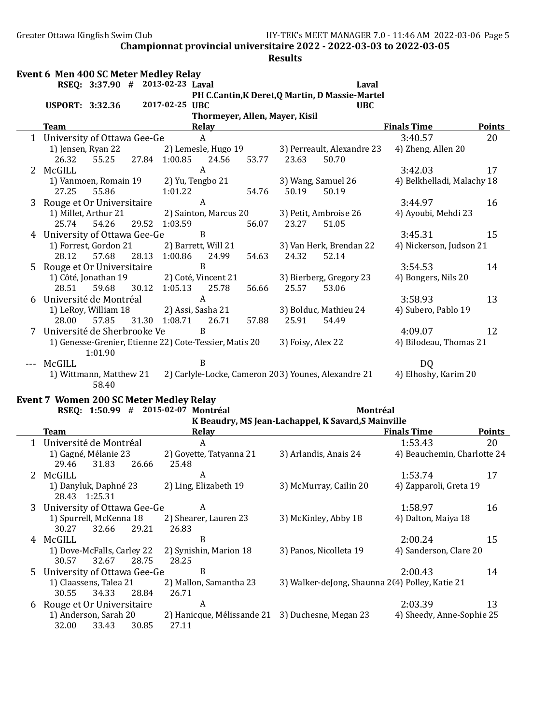#### Results

|    | Event 6 Men 400 SC Meter Medley Relay |                         |       |                                  |                                                        |       |                   |                                                     |                            |               |
|----|---------------------------------------|-------------------------|-------|----------------------------------|--------------------------------------------------------|-------|-------------------|-----------------------------------------------------|----------------------------|---------------|
|    |                                       |                         |       | RSEQ: 3:37.90 # 2013-02-23 Laval |                                                        |       |                   | Laval                                               |                            |               |
|    |                                       |                         |       |                                  |                                                        |       |                   | PH C.Cantin, K Deret, Q Martin, D Massie-Martel     |                            |               |
|    | <b>USPORT: 3:32.36</b>                |                         |       | 2017-02-25 UBC                   |                                                        |       |                   | <b>UBC</b>                                          |                            |               |
|    |                                       |                         |       |                                  | Thormeyer, Allen, Mayer, Kisil                         |       |                   |                                                     |                            |               |
|    | <b>Team</b>                           |                         |       |                                  | <b>Relay</b>                                           |       |                   |                                                     | <b>Finals Time</b>         | <b>Points</b> |
|    | 1 University of Ottawa Gee-Ge         |                         |       |                                  | $\mathsf{A}$                                           |       |                   |                                                     | 3:40.57                    | 20            |
|    |                                       | 1) Jensen, Ryan 22      |       |                                  | 2) Lemesle, Hugo 19                                    |       |                   | 3) Perreault, Alexandre 23                          | 4) Zheng, Allen 20         |               |
|    | 26.32                                 |                         |       |                                  | 55.25 27.84 1:00.85 24.56 53.77 23.63                  |       |                   | 50.70                                               |                            |               |
| 2  | McGILL                                |                         |       |                                  | A                                                      |       |                   |                                                     | 3:42.03                    | 17            |
|    |                                       |                         |       |                                  | 1) Vanmoen, Romain 19 2) Yu, Tengbo 21                 |       |                   | 3) Wang, Samuel 26                                  | 4) Belkhelladi, Malachy 18 |               |
|    | 27.25                                 | 55.86                   |       | 1:01.22                          |                                                        | 54.76 | 50.19             | 50.19                                               |                            |               |
|    | 3 Rouge et Or Universitaire           |                         |       |                                  | A                                                      |       |                   |                                                     | 3:44.97                    | 16            |
|    |                                       | 1) Millet, Arthur 21    |       |                                  | 2) Sainton, Marcus 20                                  |       |                   | 3) Petit, Ambroise 26                               | 4) Ayoubi, Mehdi 23        |               |
|    | 25.74                                 | 54.26                   |       | 29.52 1:03.59                    |                                                        | 56.07 | 23.27             | 51.05                                               |                            |               |
|    | University of Ottawa Gee-Ge           |                         |       |                                  | B                                                      |       |                   |                                                     | 3:45.31                    | 15            |
|    |                                       | 1) Forrest, Gordon 21   |       |                                  | 2) Barrett, Will 21                                    |       |                   | 3) Van Herk, Brendan 22                             | 4) Nickerson, Judson 21    |               |
|    | 28.12                                 | 57.68                   | 28.13 | 1:00.86                          | 24.99                                                  | 54.63 | 24.32             | 52.14                                               |                            |               |
| 5. | Rouge et Or Universitaire             |                         |       |                                  | <sub>B</sub>                                           |       |                   |                                                     | 3:54.53                    | 14            |
|    |                                       | 1) Côté, Jonathan 19    |       |                                  | 2) Coté, Vincent 21                                    |       |                   | 3) Bierberg, Gregory 23                             | 4) Bongers, Nils 20        |               |
|    | 28.51                                 | 59.68                   |       | 30.12 1:05.13                    | 25.78                                                  |       | 56.66 25.57       | 53.06                                               |                            |               |
|    | Université de Montréal                |                         |       |                                  | $\boldsymbol{A}$                                       |       |                   |                                                     | 3:58.93                    | 13            |
|    |                                       | 1) LeRoy, William 18    |       |                                  | 2) Assi, Sasha 21                                      |       |                   | 3) Bolduc, Mathieu 24                               | 4) Subero, Pablo 19        |               |
|    | 28.00                                 | 57.85                   |       |                                  | 31.30 1:08.71 26.71                                    | 57.88 | 25.91             | 54.49                                               |                            |               |
| 7  | Université de Sherbrooke Ve           |                         |       |                                  | <sub>B</sub>                                           |       |                   |                                                     | 4:09.07                    | 12            |
|    |                                       |                         |       |                                  | 1) Genesse-Grenier, Etienne 22) Cote-Tessier, Matis 20 |       | 3) Foisy, Alex 22 |                                                     | 4) Bilodeau, Thomas 21     |               |
|    |                                       | 1:01.90                 |       |                                  |                                                        |       |                   |                                                     |                            |               |
|    | McGILL                                |                         |       |                                  | B                                                      |       |                   |                                                     | D <sub>0</sub>             |               |
|    |                                       | 1) Wittmann, Matthew 21 |       |                                  |                                                        |       |                   | 2) Carlyle-Locke, Cameron 203) Younes, Alexandre 21 | 4) Elhoshy, Karim 20       |               |
|    |                                       | 58.40                   |       |                                  |                                                        |       |                   |                                                     |                            |               |

#### Event 7 Women 200 SC Meter Medley Relay

|    | RSEQ: 1:50.99<br>#                                    | 2015-02-07 Montréal                              | Montréal                                            |                             |               |
|----|-------------------------------------------------------|--------------------------------------------------|-----------------------------------------------------|-----------------------------|---------------|
|    |                                                       |                                                  | K Beaudry, MS Jean-Lachappel, K Savard, S Mainville |                             |               |
|    | <b>Team</b>                                           | Relay                                            |                                                     | <b>Finals Time</b>          | <b>Points</b> |
|    | Université de Montréal                                | A                                                |                                                     | 1:53.43                     | 20            |
|    | 1) Gagné, Mélanie 23<br>29.46<br>31.83<br>26.66       | 2) Goyette, Tatyanna 21<br>25.48                 | 3) Arlandis, Anais 24                               | 4) Beauchemin, Charlotte 24 |               |
|    | 2 McGILL                                              | A                                                |                                                     | 1:53.74                     | 17            |
|    | 1) Danyluk, Daphné 23<br>28.43 1:25.31                | 2) Ling, Elizabeth 19                            | 3) McMurray, Cailin 20                              | 4) Zapparoli, Greta 19      |               |
| 3  | University of Ottawa Gee-Ge                           | A                                                |                                                     | 1:58.97                     | 16            |
|    | 1) Spurrell, McKenna 18<br>29.21<br>30.27<br>32.66    | 2) Shearer, Lauren 23<br>26.83                   | 3) McKinley, Abby 18                                | 4) Dalton, Maiya 18         |               |
| 4  | McGILL                                                | B                                                |                                                     | 2:00.24                     | 15            |
|    | 1) Dove-McFalls, Carley 22<br>32.67<br>28.75<br>30.57 | 2) Synishin, Marion 18<br>28.25                  | 3) Panos, Nicolleta 19                              | 4) Sanderson, Clare 20      |               |
| 5. | University of Ottawa Gee-Ge                           | B                                                |                                                     | 2:00.43                     | 14            |
|    | 1) Claassens, Talea 21                                | 2) Mallon, Samantha 23                           | 3) Walker-deJong, Shaunna 2(4) Polley, Katie 21     |                             |               |
|    | 30.55<br>34.33<br>28.84                               | 26.71                                            |                                                     |                             |               |
| 6  | Rouge et Or Universitaire                             | A                                                |                                                     | 2:03.39                     | 13            |
|    | 1) Anderson, Sarah 20                                 | 2) Hanicque, Mélissande 21 3) Duchesne, Megan 23 |                                                     | 4) Sheedy, Anne-Sophie 25   |               |
|    | 32.00<br>33.43<br>30.85                               | 27.11                                            |                                                     |                             |               |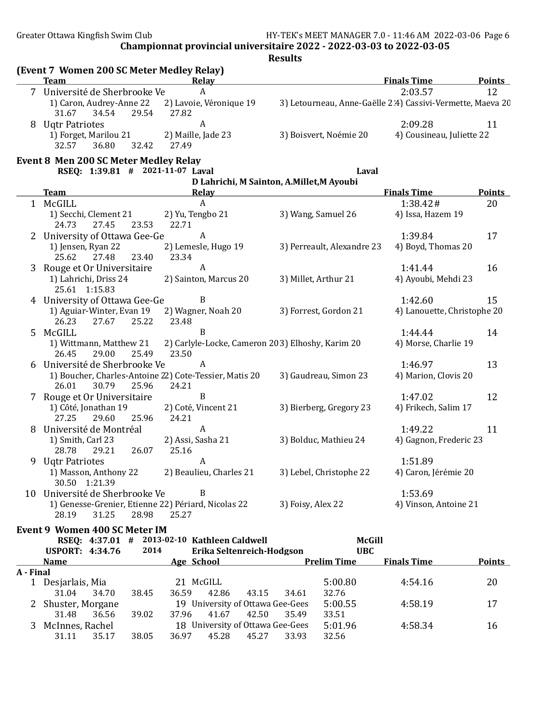Greater Ottawa Kingfish Swim Club **HY-TEK's MEET MANAGER 7.0 - 11:46 AM 2022-03-06** Page 6

Championnat provincial universitaire 2022 - 2022-03-03 to 2022-03-05

|             | (Event 7 Women 200 SC Meter Medley Relay)<br><b>Team</b>             | Relay                                                           |                                                            | <b>Finals Time</b>                   | <b>Points</b>       |
|-------------|----------------------------------------------------------------------|-----------------------------------------------------------------|------------------------------------------------------------|--------------------------------------|---------------------|
|             | 7 Université de Sherbrooke Ve                                        | A                                                               |                                                            | 2:03.57                              | 12                  |
|             | 1) Caron, Audrey-Anne 22<br>31.67<br>34.54<br>29.54                  | 2) Lavoie, Véronique 19<br>27.82                                | 3) Letourneau, Anne-Gaëlle 2.4) Cassivi-Vermette, Maeva 20 |                                      |                     |
|             | 8 Uqtr Patriotes<br>1) Forget, Marilou 21<br>32.57<br>36.80<br>32.42 | $\boldsymbol{A}$<br>2) Maille, Jade 23<br>27.49                 | 3) Boisvert, Noémie 20                                     | 2:09.28<br>4) Cousineau, Juliette 22 | 11                  |
|             | <b>Event 8 Men 200 SC Meter Medley Relay</b>                         |                                                                 |                                                            |                                      |                     |
|             | RSEQ: 1:39.81 # 2021-11-07 Laval                                     |                                                                 | Laval                                                      |                                      |                     |
|             | <b>Team</b>                                                          | Relay                                                           | D Lahrichi, M Sainton, A.Millet, M Ayoubi                  | <b>Finals Time</b>                   |                     |
|             | 1 McGILL                                                             | A                                                               |                                                            | 1:38.42#                             | <b>Points</b><br>20 |
|             | 1) Secchi, Clement 21<br>27.45<br>24.73<br>23.53                     | 2) Yu, Tengbo 21<br>22.71                                       | 3) Wang, Samuel 26                                         | 4) Issa, Hazem 19                    |                     |
|             | University of Ottawa Gee-Ge<br>1) Jensen, Ryan 22                    | A<br>2) Lemesle, Hugo 19                                        | 3) Perreault, Alexandre 23                                 | 1:39.84<br>4) Boyd, Thomas 20        | 17                  |
|             | 25.62<br>27.48<br>23.40                                              | 23.34                                                           |                                                            |                                      |                     |
| 3           | Rouge et Or Universitaire<br>1) Lahrichi, Driss 24<br>25.61 1:15.83  | A<br>2) Sainton, Marcus 20                                      | 3) Millet, Arthur 21                                       | 1:41.44<br>4) Ayoubi, Mehdi 23       | 16                  |
|             | 4 University of Ottawa Gee-Ge                                        | B                                                               |                                                            | 1:42.60                              | 15                  |
|             | 1) Aguiar-Winter, Evan 19<br>26.23<br>27.67<br>25.22                 | 2) Wagner, Noah 20<br>23.48                                     | 3) Forrest, Gordon 21                                      | 4) Lanouette, Christophe 20          |                     |
| $5^{\circ}$ | McGILL<br>1) Wittmann, Matthew 21<br>26.45<br>25.49                  | B                                                               | 2) Carlyle-Locke, Cameron 203) Elhoshy, Karim 20           | 1:44.44<br>4) Morse, Charlie 19      | 14                  |
|             | 29.00<br>6 Université de Sherbrooke Ve                               | 23.50<br>A                                                      |                                                            | 1:46.97                              | 13                  |
|             | 26.01<br>30.79<br>25.96                                              | 1) Boucher, Charles-Antoine 22) Cote-Tessier, Matis 20<br>24.21 | 3) Gaudreau, Simon 23                                      | 4) Marion, Clovis 20                 |                     |
|             | 7 Rouge et Or Universitaire                                          | B                                                               |                                                            | 1:47.02                              | 12                  |
|             | 1) Côté, Jonathan 19<br>27.25<br>29.60<br>25.96                      | 2) Coté, Vincent 21<br>24.21                                    | 3) Bierberg, Gregory 23                                    | 4) Frikech, Salim 17                 |                     |
| 8           | Université de Montréal                                               | A                                                               |                                                            | 1:49.22                              | 11                  |
|             | 1) Smith, Carl 23<br>26.07<br>28.78<br>29.21                         | 2) Assi, Sasha 21<br>25.16                                      | 3) Bolduc, Mathieu 24                                      | 4) Gagnon, Frederic 23               |                     |
| 9           | <b>Ugtr Patriotes</b>                                                | A                                                               |                                                            | 1:51.89                              |                     |
|             | 1) Masson, Anthony 22<br>30.50 1:21.39                               | 2) Beaulieu, Charles 21                                         | 3) Lebel, Christophe 22                                    | 4) Caron, Jérémie 20                 |                     |
|             | 10 Université de Sherbrooke Ve                                       | B                                                               |                                                            | 1:53.69                              |                     |
|             | 28.19<br>31.25<br>28.98                                              | 1) Genesse-Grenier, Etienne 22) Périard, Nicolas 22<br>25.27    | 3) Foisy, Alex 22                                          | 4) Vinson, Antoine 21                |                     |
|             | Event 9 Women 400 SC Meter IM                                        | RSEQ: 4:37.01 # 2013-02-10 Kathleen Caldwell                    | McGill                                                     |                                      |                     |
|             | <b>USPORT: 4:34.76</b>                                               | 2014<br>Erika Seltenreich-Hodgson                               | <b>UBC</b>                                                 |                                      |                     |
|             | <b>Name</b>                                                          | Age School                                                      | <b>Prelim Time</b>                                         | <b>Finals Time</b>                   | <b>Points</b>       |
| A - Final   | 1 Desjarlais, Mia<br>31.04<br>38.45<br>34.70                         | 21 McGILL<br>36.59<br>42.86<br>43.15                            | 5:00.80<br>32.76                                           | 4:54.16                              | 20                  |
|             | Shuster, Morgane<br>36.56<br>39.02                                   | 19 University of Ottawa Gee-Gees<br>37.96<br>41.67<br>42.50     | 34.61<br>5:00.55<br>35.49<br>33.51                         | 4:58.19                              | 17                  |
|             | 31.48<br>3 McInnes, Rachel<br>35.17<br>38.05<br>31.11                | 18 University of Ottawa Gee-Gees<br>36.97<br>45.28<br>45.27     | 5:01.96<br>33.93<br>32.56                                  | 4:58.34                              | 16                  |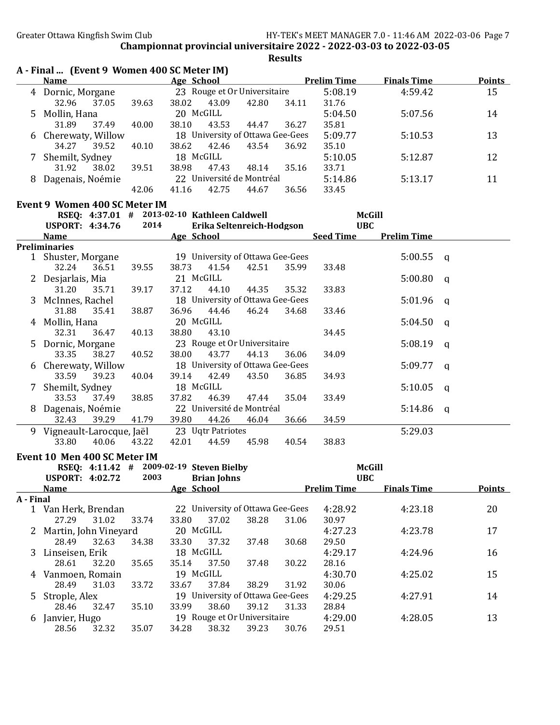|           |                                                                                                                                                                                                                                                                              |       |                                                 |       | <b>Results</b> |                    |                    |              |               |
|-----------|------------------------------------------------------------------------------------------------------------------------------------------------------------------------------------------------------------------------------------------------------------------------------|-------|-------------------------------------------------|-------|----------------|--------------------|--------------------|--------------|---------------|
|           | A - Final  (Event 9 Women 400 SC Meter IM)<br>Name and the state of the state of the state of the state of the state of the state of the state of the state of the state of the state of the state of the state of the state of the state of the state of the state of the s |       | Age School                                      |       |                | <b>Prelim Time</b> | <b>Finals Time</b> |              | <b>Points</b> |
|           | 4 Dornic, Morgane                                                                                                                                                                                                                                                            |       | 23 Rouge et Or Universitaire                    |       |                | 5:08.19            | 4:59.42            |              | 15            |
|           | 32.96<br>37.05                                                                                                                                                                                                                                                               | 39.63 | 38.02<br>43.09                                  | 42.80 | 34.11          | 31.76              |                    |              |               |
|           | 5 Mollin, Hana                                                                                                                                                                                                                                                               |       | 20 McGILL                                       |       |                | 5:04.50            | 5:07.56            |              | 14            |
|           | 31.89<br>37.49                                                                                                                                                                                                                                                               | 40.00 | 38.10<br>43.53                                  |       | 36.27          | 35.81              |                    |              |               |
|           |                                                                                                                                                                                                                                                                              |       | 18 University of Ottawa Gee-Gees                | 44.47 |                | 5:09.77            |                    |              |               |
|           | 6 Cherewaty, Willow<br>39.52<br>34.27                                                                                                                                                                                                                                        | 40.10 | 38.62<br>42.46                                  | 43.54 | 36.92          | 35.10              | 5:10.53            |              | 13            |
|           |                                                                                                                                                                                                                                                                              |       | 18 McGILL                                       |       |                | 5:10.05            |                    |              | 12            |
|           | 7 Shemilt, Sydney<br>31.92<br>38.02                                                                                                                                                                                                                                          | 39.51 | 38.98<br>47.43                                  | 48.14 | 35.16          | 33.71              | 5:12.87            |              |               |
|           |                                                                                                                                                                                                                                                                              |       | 22 Université de Montréal                       |       |                |                    |                    |              |               |
|           | 8 Dagenais, Noémie                                                                                                                                                                                                                                                           |       |                                                 |       |                | 5:14.86            | 5:13.17            |              | 11            |
|           |                                                                                                                                                                                                                                                                              | 42.06 | 41.16<br>42.75                                  | 44.67 | 36.56          | 33.45              |                    |              |               |
|           | Event 9 Women 400 SC Meter IM                                                                                                                                                                                                                                                |       |                                                 |       |                |                    |                    |              |               |
|           |                                                                                                                                                                                                                                                                              |       | RSEQ: 4:37.01 # 2013-02-10 Kathleen Caldwell    |       |                | <b>McGill</b>      |                    |              |               |
|           | <b>USPORT: 4:34.76</b>                                                                                                                                                                                                                                                       | 2014  | Erika Seltenreich-Hodgson                       |       |                | <b>UBC</b>         |                    |              |               |
|           | <b>Name</b>                                                                                                                                                                                                                                                                  |       | Age School                                      |       |                | <b>Seed Time</b>   | <b>Prelim Time</b> |              |               |
|           | <b>Preliminaries</b>                                                                                                                                                                                                                                                         |       |                                                 |       |                |                    |                    |              |               |
|           | 1 Shuster, Morgane                                                                                                                                                                                                                                                           |       | 19 University of Ottawa Gee-Gees                |       |                |                    | 5:00.55            | a            |               |
|           | 36.51<br>32.24                                                                                                                                                                                                                                                               | 39.55 | 38.73<br>41.54                                  | 42.51 | 35.99          | 33.48              |                    |              |               |
|           | 2 Desjarlais, Mia                                                                                                                                                                                                                                                            |       | 21 McGILL                                       |       |                |                    | 5:00.80            | q            |               |
|           | 31.20<br>35.71                                                                                                                                                                                                                                                               | 39.17 | 37.12<br>44.10                                  | 44.35 | 35.32          | 33.83              |                    |              |               |
|           | 3 McInnes, Rachel                                                                                                                                                                                                                                                            |       | 18 University of Ottawa Gee-Gees                |       |                |                    | 5:01.96            | $\mathsf{q}$ |               |
|           | 31.88<br>35.41                                                                                                                                                                                                                                                               | 38.87 | 36.96<br>44.46                                  | 46.24 | 34.68          | 33.46              |                    |              |               |
|           | 4 Mollin, Hana                                                                                                                                                                                                                                                               |       | 20 McGILL                                       |       |                |                    | 5:04.50            | q            |               |
|           | 32.31<br>36.47                                                                                                                                                                                                                                                               | 40.13 | 38.80<br>43.10                                  |       |                | 34.45              |                    |              |               |
|           | 5 Dornic, Morgane                                                                                                                                                                                                                                                            |       | 23 Rouge et Or Universitaire                    |       |                |                    | 5:08.19            | q            |               |
|           | 33.35<br>38.27                                                                                                                                                                                                                                                               | 40.52 | 38.00<br>43.77                                  | 44.13 | 36.06          | 34.09              |                    |              |               |
|           | 6 Cherewaty, Willow                                                                                                                                                                                                                                                          |       | 18 University of Ottawa Gee-Gees                |       |                |                    | 5:09.77            | q            |               |
|           | 33.59<br>39.23                                                                                                                                                                                                                                                               | 40.04 | 39.14<br>42.49                                  | 43.50 | 36.85          | 34.93              |                    |              |               |
|           | 7 Shemilt, Sydney                                                                                                                                                                                                                                                            |       | 18 McGILL                                       |       |                |                    | 5:10.05            | $\mathsf{q}$ |               |
|           | 37.49<br>33.53                                                                                                                                                                                                                                                               | 38.85 | 37.82<br>46.39                                  | 47.44 | 35.04          | 33.49              |                    |              |               |
|           | 8 Dagenais, Noémie                                                                                                                                                                                                                                                           |       | 22 Université de Montréal                       |       |                |                    | 5:14.86            | q            |               |
|           | 39.29<br>32.43                                                                                                                                                                                                                                                               | 41.79 | 39.80<br>44.26                                  | 46.04 | 36.66          | 34.59              |                    |              |               |
|           | 9 Vigneault-Larocque, Jaël 23 Uqtr Patriotes                                                                                                                                                                                                                                 |       |                                                 |       |                |                    | 5:29.03            |              |               |
|           | 33.80<br>40.06                                                                                                                                                                                                                                                               | 43.22 | 42.01<br>44.59                                  | 45.98 | 40.54          | 38.83              |                    |              |               |
|           |                                                                                                                                                                                                                                                                              |       |                                                 |       |                |                    |                    |              |               |
|           | Event 10 Men 400 SC Meter IM                                                                                                                                                                                                                                                 |       |                                                 |       |                |                    |                    |              |               |
|           |                                                                                                                                                                                                                                                                              | 2003  | RSEQ: 4:11.42 # 2009-02-19 Steven Bielby        |       |                | <b>McGill</b>      |                    |              |               |
|           | <b>USPORT: 4:02.72</b>                                                                                                                                                                                                                                                       |       | <b>Brian Johns</b>                              |       |                | <b>UBC</b>         |                    |              |               |
|           | Name and the state of the state of the state of the state of the state of the state of the state of the state of the state of the state of the state of the state of the state of the state of the state of the state of the s                                               |       | Age School Prelim Time                          |       |                |                    | <b>Finals Time</b> |              | Points        |
| A - Final | 1 Van Herk, Brendan 22 University of Ottawa Gee-Gees 4:28.92                                                                                                                                                                                                                 |       |                                                 |       |                |                    | 4:23.18            |              | 20            |
|           |                                                                                                                                                                                                                                                                              |       | 27.29 31.02 33.74 33.80 37.02 38.28 31.06 30.97 |       |                |                    |                    |              |               |
|           |                                                                                                                                                                                                                                                                              |       |                                                 |       |                |                    |                    |              |               |

| $\mathbf{I}$ | Vali Tielk, Dieliudii<br>22 University of Ottawa dee-dees |       |       |           |       |                                  |       | 4.20.72 | 4.43.10 | 4V. |
|--------------|-----------------------------------------------------------|-------|-------|-----------|-------|----------------------------------|-------|---------|---------|-----|
|              | 27.29                                                     | 31.02 | 33.74 | 33.80     | 37.02 | 38.28                            | 31.06 | 30.97   |         |     |
|              | 2 Martin, John Vineyard                                   |       |       | 20 McGILL |       |                                  |       | 4:27.23 | 4:23.78 | 17  |
|              | 28.49                                                     | 32.63 | 34.38 | 33.30     | 37.32 | 37.48                            | 30.68 | 29.50   |         |     |
|              | 3 Linseisen, Erik                                         |       |       | 18 McGILL |       |                                  |       | 4:29.17 | 4:24.96 | 16  |
|              | 28.61                                                     | 32.20 | 35.65 | 35.14     | 37.50 | 37.48                            | 30.22 | 28.16   |         |     |
|              | 4 Vanmoen, Romain                                         |       |       | 19 McGILL |       |                                  |       | 4:30.70 | 4:25.02 | 15  |
|              | 28.49                                                     | 31.03 | 33.72 | 33.67     | 37.84 | 38.29                            | 31.92 | 30.06   |         |     |
|              | 5 Strople, Alex                                           |       |       |           |       | 19 University of Ottawa Gee-Gees |       | 4:29.25 | 4:27.91 | 14  |
|              | 28.46                                                     | 32.47 | 35.10 | 33.99     | 38.60 | 39.12                            | 31.33 | 28.84   |         |     |
| 6            | 19 Rouge et Or Universitaire<br>Janvier, Hugo             |       |       |           |       |                                  |       | 4:29.00 | 4:28.05 | 13  |
|              | 28.56                                                     | 32.32 | 35.07 | 34.28     | 38.32 | 39.23                            | 30.76 | 29.51   |         |     |
|              |                                                           |       |       |           |       |                                  |       |         |         |     |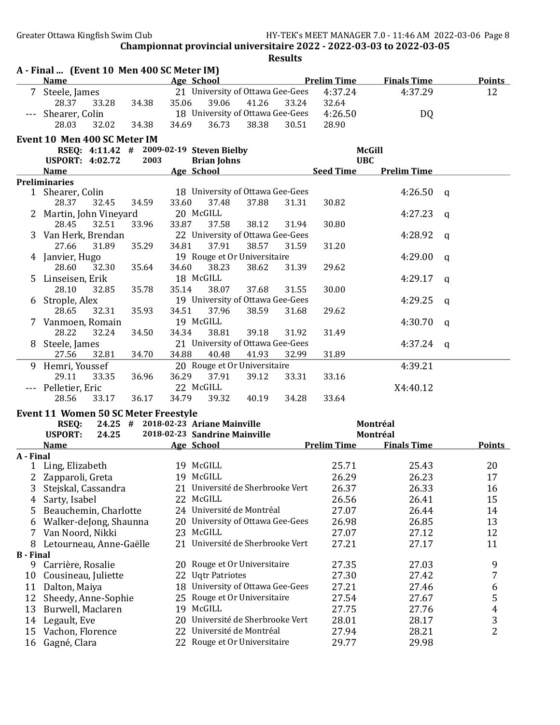|                  | A - Final  (Event 10 Men 400 SC Meter IM)                   |       |       |                                     |       |       |                               |                    |   |               |
|------------------|-------------------------------------------------------------|-------|-------|-------------------------------------|-------|-------|-------------------------------|--------------------|---|---------------|
|                  | Name                                                        |       |       | Age School                          |       |       | <b>Example 12 Prelim Time</b> | <b>Finals Time</b> |   | <b>Points</b> |
|                  | Steele, James                                               |       |       | 21 University of Ottawa Gee-Gees    |       |       | 4:37.24                       | 4:37.29            |   | 12            |
|                  | 28.37<br>33.28                                              | 34.38 | 35.06 | 39.06                               | 41.26 | 33.24 | 32.64                         |                    |   |               |
|                  | Shearer, Colin                                              |       |       | 18 University of Ottawa Gee-Gees    |       |       | 4:26.50                       | DQ                 |   |               |
|                  | 28.03<br>32.02                                              | 34.38 | 34.69 | 36.73                               | 38.38 | 30.51 | 28.90                         |                    |   |               |
|                  | Event 10 Men 400 SC Meter IM                                |       |       |                                     |       |       |                               |                    |   |               |
|                  | RSEQ: 4:11.42 # 2009-02-19 Steven Bielby                    |       |       |                                     |       |       |                               | <b>McGill</b>      |   |               |
|                  | <b>USPORT: 4:02.72</b>                                      | 2003  |       | <b>Brian Johns</b>                  |       |       |                               | <b>UBC</b>         |   |               |
|                  | <b>Name</b>                                                 |       |       | Age School                          |       |       | <b>Seed Time</b>              | <b>Prelim Time</b> |   |               |
|                  | <b>Preliminaries</b>                                        |       |       |                                     |       |       |                               |                    |   |               |
|                  | 1 Shearer, Colin                                            |       |       | 18 University of Ottawa Gee-Gees    |       |       |                               | 4:26.50            | q |               |
|                  | 28.37<br>32.45                                              | 34.59 | 33.60 | 37.48                               | 37.88 | 31.31 | 30.82                         |                    |   |               |
|                  | 2 Martin, John Vineyard                                     |       |       | 20 McGILL                           |       |       |                               | 4:27.23            | q |               |
|                  | 28.45<br>32.51                                              | 33.96 | 33.87 | 37.58                               | 38.12 | 31.94 | 30.80                         |                    |   |               |
| 3                | Van Herk, Brendan                                           |       |       | 22 University of Ottawa Gee-Gees    |       |       |                               | 4:28.92            | q |               |
|                  | 31.89<br>27.66                                              | 35.29 | 34.81 | 37.91                               | 38.57 | 31.59 | 31.20                         |                    |   |               |
|                  | 4 Janvier, Hugo                                             |       |       | 19 Rouge et Or Universitaire        |       |       |                               | 4:29.00            | a |               |
|                  | 28.60<br>32.30                                              | 35.64 | 34.60 | 38.23                               | 38.62 | 31.39 | 29.62                         |                    |   |               |
| 5.               | Linseisen, Erik                                             |       |       | 18 McGILL                           |       |       |                               | 4:29.17            | a |               |
|                  | 28.10<br>32.85                                              | 35.78 | 35.14 | 38.07                               | 37.68 | 31.55 | 30.00                         |                    |   |               |
| 6                | Strople, Alex                                               |       |       | 19 University of Ottawa Gee-Gees    |       |       |                               | 4:29.25            | a |               |
|                  | 28.65<br>32.31                                              | 35.93 | 34.51 | 37.96                               | 38.59 | 31.68 | 29.62                         |                    |   |               |
|                  | 7 Vanmoen, Romain                                           |       |       | 19 McGILL                           |       |       |                               | 4:30.70            | q |               |
|                  | 28.22<br>32.24                                              | 34.50 | 34.34 | 38.81                               | 39.18 | 31.92 | 31.49                         |                    |   |               |
| 8                | Steele, James                                               |       |       | 21 University of Ottawa Gee-Gees    |       |       |                               | 4:37.24            | q |               |
|                  | 27.56<br>32.81                                              | 34.70 | 34.88 | 40.48                               | 41.93 | 32.99 | 31.89                         |                    |   |               |
| 9                | Hemri, Youssef                                              |       |       | 20 Rouge et Or Universitaire        |       |       |                               | 4:39.21            |   |               |
|                  | 29.11<br>33.35                                              | 36.96 | 36.29 | 37.91                               | 39.12 | 33.31 | 33.16                         |                    |   |               |
|                  | Pelletier, Eric                                             |       |       | 22 McGILL                           |       |       |                               | X4:40.12           |   |               |
|                  | 28.56<br>33.17                                              | 36.17 | 34.79 | 39.32                               | 40.19 | 34.28 | 33.64                         |                    |   |               |
|                  |                                                             |       |       |                                     |       |       |                               |                    |   |               |
|                  | <b>Event 11 Women 50 SC Meter Freestyle</b><br><b>RSEQ:</b> |       |       | 24.25 # 2018-02-23 Ariane Mainville |       |       |                               | Montréal           |   |               |
|                  | 24.25<br><b>USPORT:</b>                                     |       |       | 2018-02-23 Sandrine Mainville       |       |       |                               | Montréal           |   |               |
|                  | <u>Name</u>                                                 |       |       | Age School                          |       |       | <b>Prelim Time</b>            | <b>Finals Time</b> |   | <b>Points</b> |
| A - Final        |                                                             |       |       |                                     |       |       |                               |                    |   |               |
|                  | 1 Ling, Elizabeth                                           |       |       | 19 McGILL                           |       |       | 25.71                         | 25.43              |   | 20            |
| 2                | Zapparoli, Greta                                            |       |       | 19 McGILL                           |       |       | 26.29                         | 26.23              |   | 17            |
| 3                | Stejskal, Cassandra                                         |       | 21.   | Université de Sherbrooke Vert       |       |       | 26.37                         | 26.33              |   | 16            |
| 4                | Sarty, Isabel                                               |       |       | 22 McGILL                           |       |       | 26.56                         | 26.41              |   | 15            |
| 5                | Beauchemin, Charlotte                                       |       |       | 24 Université de Montréal           |       |       | 27.07                         | 26.44              |   | 14            |
| 6                | Walker-deJong, Shaunna                                      |       |       | 20 University of Ottawa Gee-Gees    |       |       | 26.98                         | 26.85              |   | 13            |
| 7                | Van Noord, Nikki                                            |       |       | 23 McGILL                           |       |       | 27.07                         | 27.12              |   | 12            |
| 8                |                                                             |       | 21    | Université de Sherbrooke Vert       |       |       | 27.21                         | 27.17              |   | 11            |
| <b>B</b> - Final | Letourneau, Anne-Gaëlle                                     |       |       |                                     |       |       |                               |                    |   |               |
| 9                | Carrière, Rosalie                                           |       |       | 20 Rouge et Or Universitaire        |       |       | 27.35                         | 27.03              |   | 9             |
| 10               | Cousineau, Juliette                                         |       | 22    | <b>Ugtr Patriotes</b>               |       |       | 27.30                         | 27.42              |   | 7             |
| 11               | Dalton, Maiya                                               |       |       | 18 University of Ottawa Gee-Gees    |       |       | 27.21                         | 27.46              |   | 6             |
| 12               | Sheedy, Anne-Sophie                                         |       |       | 25 Rouge et Or Universitaire        |       |       | 27.54                         | 27.67              |   | 5             |
| 13               | Burwell, Maclaren                                           |       |       | 19 McGILL                           |       |       | 27.75                         | 27.76              |   | 4             |
|                  |                                                             |       | 20    | Université de Sherbrooke Vert       |       |       | 28.01                         | 28.17              |   |               |
| 14               | Legault, Eve                                                |       |       | 22 Université de Montréal           |       |       |                               |                    |   | 3<br>2        |
| 15               | Vachon, Florence                                            |       |       |                                     |       |       | 27.94                         | 28.21              |   |               |
| 16               | Gagné, Clara                                                |       |       | 22 Rouge et Or Universitaire        |       |       | 29.77                         | 29.98              |   |               |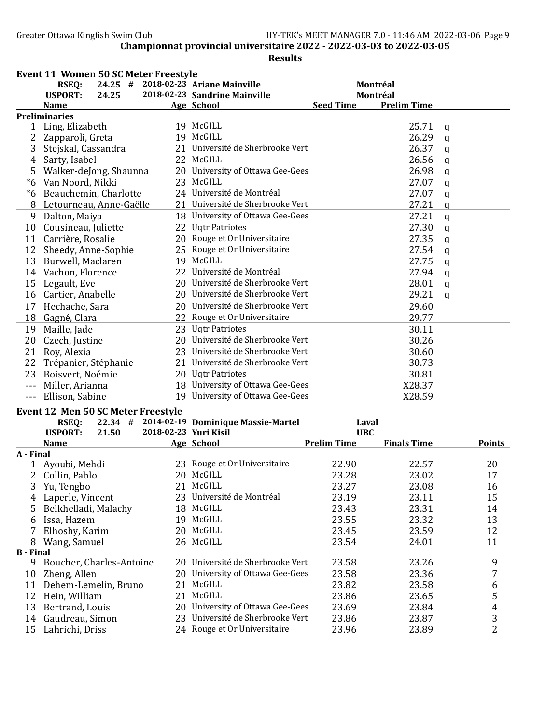|                      | <b>Event 11 Women 50 SC Meter Freestyle</b>         |                                            |                    |                    |              |                |
|----------------------|-----------------------------------------------------|--------------------------------------------|--------------------|--------------------|--------------|----------------|
|                      | 24.25 # 2018-02-23 Ariane Mainville<br><b>RSEQ:</b> |                                            |                    | Montréal           |              |                |
|                      | <b>USPORT:</b><br>24.25                             | 2018-02-23 Sandrine Mainville              |                    | Montréal           |              |                |
|                      | <b>Name</b>                                         | <b>Age School</b>                          | <b>Seed Time</b>   | <b>Prelim Time</b> |              |                |
|                      | <b>Preliminaries</b>                                |                                            |                    |                    |              |                |
|                      | 1 Ling, Elizabeth                                   | 19 McGILL                                  |                    | 25.71              | q            |                |
| 2                    | Zapparoli, Greta                                    | 19 McGILL                                  |                    | 26.29              | $\mathbf q$  |                |
| 3                    | Stejskal, Cassandra                                 | 21 Université de Sherbrooke Vert           |                    | 26.37              | $\mathsf{q}$ |                |
| $\overline{4}$       | Sarty, Isabel                                       | 22 McGILL                                  |                    | 26.56              | $\mathbf q$  |                |
| 5                    | Walker-deJong, Shaunna                              | 20 University of Ottawa Gee-Gees           |                    | 26.98              | $\mathsf{q}$ |                |
|                      | *6 Van Noord, Nikki                                 | 23 McGILL                                  |                    | 27.07              | $\mathbf q$  |                |
|                      | *6 Beauchemin, Charlotte                            | 24 Université de Montréal                  |                    | 27.07              | $\mathbf q$  |                |
|                      | 8 Letourneau, Anne-Gaëlle                           | 21 Université de Sherbrooke Vert           |                    | 27.21              | $\mathbf q$  |                |
|                      | 9 Dalton, Maiya                                     | 18 University of Ottawa Gee-Gees           |                    | 27.21              | $\mathsf{q}$ |                |
|                      | 10 Cousineau, Juliette                              | 22 Uqtr Patriotes                          |                    | 27.30              | $\mathbf q$  |                |
| 11                   | Carrière, Rosalie                                   | 20 Rouge et Or Universitaire               |                    | 27.35              | $\mathbf q$  |                |
|                      | 12 Sheedy, Anne-Sophie                              | 25 Rouge et Or Universitaire               |                    | 27.54              | q            |                |
| 13                   | Burwell, Maclaren                                   | 19 McGILL                                  |                    | 27.75              | q            |                |
|                      | 14 Vachon, Florence                                 | 22 Université de Montréal                  |                    | 27.94              | q            |                |
|                      | 15 Legault, Eve                                     | 20 Université de Sherbrooke Vert           |                    | 28.01              | $\mathbf q$  |                |
|                      | 16 Cartier, Anabelle                                | 20 Université de Sherbrooke Vert           |                    | 29.21              | $\mathbf q$  |                |
|                      | 17 Hechache, Sara                                   | 20 Université de Sherbrooke Vert           |                    |                    |              |                |
|                      |                                                     | 22 Rouge et Or Universitaire               |                    | 29.60              |              |                |
|                      | 18 Gagné, Clara                                     |                                            |                    | 29.77              |              |                |
| 19                   | Maille, Jade                                        | 23 Uqtr Patriotes                          |                    | 30.11              |              |                |
|                      | 20 Czech, Justine                                   | 20 Université de Sherbrooke Vert           |                    | 30.26              |              |                |
|                      | 21 Roy, Alexia                                      | 23 Université de Sherbrooke Vert           |                    | 30.60              |              |                |
|                      | 22 Trépanier, Stéphanie                             | 21 Université de Sherbrooke Vert           |                    | 30.73              |              |                |
|                      | 23 Boisvert, Noémie                                 | 20 Uqtr Patriotes                          |                    | 30.81              |              |                |
| $\sim$ $\sim$ $\sim$ | Miller, Arianna                                     | 18 University of Ottawa Gee-Gees           |                    | X28.37             |              |                |
|                      | --- Ellison, Sabine                                 | 19 University of Ottawa Gee-Gees           |                    | X28.59             |              |                |
|                      | Event 12 Men 50 SC Meter Freestyle                  |                                            |                    |                    |              |                |
|                      | <b>RSEQ:</b>                                        | 22.34 # 2014-02-19 Dominique Massie-Martel |                    | Laval              |              |                |
|                      | <b>USPORT:</b><br>21.50                             | 2018-02-23 Yuri Kisil                      | <b>UBC</b>         |                    |              |                |
|                      | <b>Name</b>                                         | Age School                                 | <b>Prelim Time</b> | <b>Finals Time</b> |              | <b>Points</b>  |
| A - Final            |                                                     |                                            |                    |                    |              |                |
|                      | 1 Ayoubi, Mehdi                                     | 23 Rouge et Or Universitaire               | 22.90              | 22.57              |              | 20             |
|                      | 2 Collin, Pablo                                     | 20 McGILL                                  | 23.28              | 23.02              |              | 17             |
| 3                    | Yu, Tengbo                                          | 21 McGILL                                  | 23.27              | 23.08              |              | 16             |
| 4                    | Laperle, Vincent                                    | 23 Université de Montréal                  | 23.19              | 23.11              |              | 15             |
| 5                    | Belkhelladi, Malachy                                | 18 McGILL                                  | 23.43              | 23.31              |              | 14             |
| 6                    | Issa, Hazem                                         | 19 McGILL                                  | 23.55              | 23.32              |              | 13             |
|                      | Elhoshy, Karim                                      | 20 McGILL                                  | 23.45              | 23.59              |              | 12             |
| 8                    | Wang, Samuel                                        | 26 McGILL                                  | 23.54              | 24.01              |              | 11             |
| <b>B</b> - Final     |                                                     |                                            |                    |                    |              |                |
| 9                    | Boucher, Charles-Antoine                            | 20 Université de Sherbrooke Vert           | 23.58              | 23.26              |              | 9              |
| 10                   | Zheng, Allen                                        | 20 University of Ottawa Gee-Gees           | 23.58              | 23.36              |              | 7              |
| 11                   | Dehem-Lemelin, Bruno                                | 21 McGILL                                  | 23.82              | 23.58              |              | 6              |
| 12                   | Hein, William                                       | 21 McGILL                                  | 23.86              | 23.65              |              | 5              |
| 13                   | Bertrand, Louis                                     | 20 University of Ottawa Gee-Gees           | 23.69              | 23.84              |              | $\overline{4}$ |
| 14                   | Gaudreau, Simon                                     | 23 Université de Sherbrooke Vert           | 23.86              | 23.87              |              | 3              |
| 15                   | Lahrichi, Driss                                     | 24 Rouge et Or Universitaire               | 23.96              | 23.89              |              | $\overline{2}$ |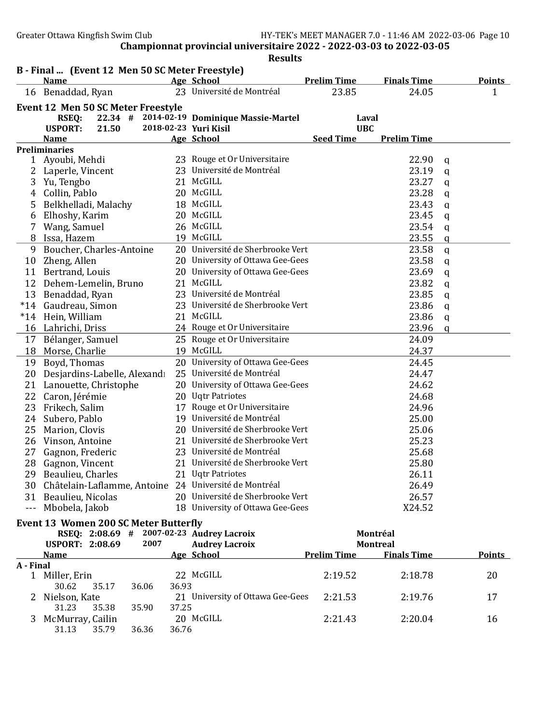Greater Ottawa Kingfish Swim Club HY-TEK's MEET MANAGER 7.0 - 11:46 AM 2022-03-06 Page 10

Championnat provincial universitaire 2022 - 2022-03-03 to 2022-03-05

|           | B - Final  (Event 12 Men 50 SC Meter Freestyle)<br><b>Name</b> |                       | Age School                                 | <b>Prelim Time</b> | <b>Finals Time</b> | <b>Points</b> |  |
|-----------|----------------------------------------------------------------|-----------------------|--------------------------------------------|--------------------|--------------------|---------------|--|
|           | 16 Benaddad, Ryan                                              |                       | 23 Université de Montréal                  | 23.85              | 24.05              | 1             |  |
|           | Event 12 Men 50 SC Meter Freestyle                             |                       |                                            |                    |                    |               |  |
|           | <b>RSEQ:</b>                                                   |                       | 22.34 # 2014-02-19 Dominique Massie-Martel | Laval              |                    |               |  |
|           | <b>USPORT:</b><br>21.50                                        | 2018-02-23 Yuri Kisil |                                            | <b>UBC</b>         |                    |               |  |
|           | <b>Name</b>                                                    |                       | Age School                                 | <b>Seed Time</b>   | <b>Prelim Time</b> |               |  |
|           | <b>Preliminaries</b>                                           |                       |                                            |                    |                    |               |  |
| 1         | Ayoubi, Mehdi                                                  |                       | 23 Rouge et Or Universitaire               |                    | 22.90              | q             |  |
| 2         | Laperle, Vincent                                               |                       | 23 Université de Montréal                  |                    | 23.19              | q             |  |
| 3         | Yu, Tengbo                                                     |                       | 21 McGILL                                  |                    | 23.27              | q             |  |
| 4         | Collin, Pablo                                                  |                       | 20 McGILL                                  |                    | 23.28              | q             |  |
| 5         | Belkhelladi, Malachy                                           |                       | 18 McGILL                                  |                    | 23.43              | $\mathbf q$   |  |
| 6         | Elhoshy, Karim                                                 |                       | 20 McGILL                                  |                    | 23.45              | $\mathbf q$   |  |
|           | Wang, Samuel                                                   |                       | 26 McGILL                                  |                    | 23.54              | q             |  |
| 8         | Issa, Hazem                                                    |                       | 19 McGILL                                  |                    | 23.55              | q             |  |
| 9         | Boucher, Charles-Antoine                                       |                       | 20 Université de Sherbrooke Vert           |                    | 23.58              | $\mathbf q$   |  |
| 10        | Zheng, Allen                                                   |                       | 20 University of Ottawa Gee-Gees           |                    | 23.58              | $\mathbf q$   |  |
| 11        | Bertrand, Louis                                                |                       | 20 University of Ottawa Gee-Gees           |                    | 23.69              | $\mathbf q$   |  |
|           | 12 Dehem-Lemelin, Bruno                                        |                       | 21 McGILL                                  |                    | 23.82              | q             |  |
| 13        | Benaddad, Ryan                                                 |                       | 23 Université de Montréal                  |                    | 23.85              | $\mathbf q$   |  |
| $*14$     | Gaudreau, Simon                                                |                       | 23 Université de Sherbrooke Vert           |                    | 23.86              | q             |  |
| $*14$     | Hein, William                                                  |                       | 21 McGILL                                  |                    | 23.86              | $\mathbf q$   |  |
|           | 16 Lahrichi, Driss                                             |                       | 24 Rouge et Or Universitaire               |                    | 23.96              | $\mathbf q$   |  |
|           | 17 Bélanger, Samuel                                            |                       | 25 Rouge et Or Universitaire               |                    | 24.09              |               |  |
|           | 18 Morse, Charlie                                              |                       | 19 McGILL                                  |                    | 24.37              |               |  |
|           | 19 Boyd, Thomas                                                |                       | 20 University of Ottawa Gee-Gees           |                    | 24.45              |               |  |
| 20        | Desjardins-Labelle, Alexandı                                   |                       | 25 Université de Montréal                  |                    | 24.47              |               |  |
| 21        | Lanouette, Christophe                                          |                       | 20 University of Ottawa Gee-Gees           |                    | 24.62              |               |  |
| 22        | Caron, Jérémie                                                 |                       | 20 Uqtr Patriotes                          |                    | 24.68              |               |  |
| 23        | Frikech, Salim                                                 |                       | 17 Rouge et Or Universitaire               |                    | 24.96              |               |  |
| 24        | Subero, Pablo                                                  |                       | 19 Université de Montréal                  |                    | 25.00              |               |  |
| 25        | Marion, Clovis                                                 |                       | 20 Université de Sherbrooke Vert           |                    | 25.06              |               |  |
|           | 26 Vinson, Antoine                                             |                       | 21 Université de Sherbrooke Vert           |                    | 25.23              |               |  |
| 27        | Gagnon, Frederic                                               |                       | 23 Université de Montréal                  |                    | 25.68              |               |  |
| 28        | Gagnon, Vincent                                                |                       | 21 Université de Sherbrooke Vert           |                    | 25.80              |               |  |
|           | 29 Beaulieu, Charles                                           |                       | 21 Uqtr Patriotes                          |                    | 26.11              |               |  |
|           | 30 Châtelain-Laflamme, Antoine 24 Université de Montréal       |                       |                                            |                    | 26.49              |               |  |
|           | 31 Beaulieu, Nicolas                                           |                       | 20 Université de Sherbrooke Vert           |                    | 26.57              |               |  |
|           | --- Mbobela, Jakob                                             |                       | 18 University of Ottawa Gee-Gees           |                    | X24.52             |               |  |
|           | <b>Event 13 Women 200 SC Meter Butterfly</b>                   |                       |                                            |                    |                    |               |  |
|           | RSEQ: 2:08.69 # 2007-02-23 Audrey Lacroix                      |                       |                                            |                    | Montréal           |               |  |
|           | <b>USPORT: 2:08.69</b>                                         | 2007                  | <b>Audrey Lacroix</b>                      |                    | <b>Montreal</b>    |               |  |
|           | <b>Name</b>                                                    |                       | <b>Age School</b>                          | <b>Prelim Time</b> | <b>Finals Time</b> | <b>Points</b> |  |
| A - Final |                                                                |                       |                                            |                    |                    |               |  |
|           | 1 Miller, Erin                                                 |                       | 22 McGILL                                  | 2:19.52            | 2:18.78            | 20            |  |
|           | 30.62<br>35.17                                                 | 36.93<br>36.06        |                                            |                    |                    |               |  |
|           | Nielson, Kate                                                  |                       | 21 University of Ottawa Gee-Gees           | 2:21.53            | 2:19.76            | 17            |  |
|           | 31.23<br>35.38                                                 | 35.90<br>37.25        |                                            |                    |                    |               |  |
| 3         | McMurray, Cailin                                               |                       | 20 McGILL                                  | 2:21.43            | 2:20.04            | 16            |  |
|           | 35.79<br>31.13                                                 | 36.36<br>36.76        |                                            |                    |                    |               |  |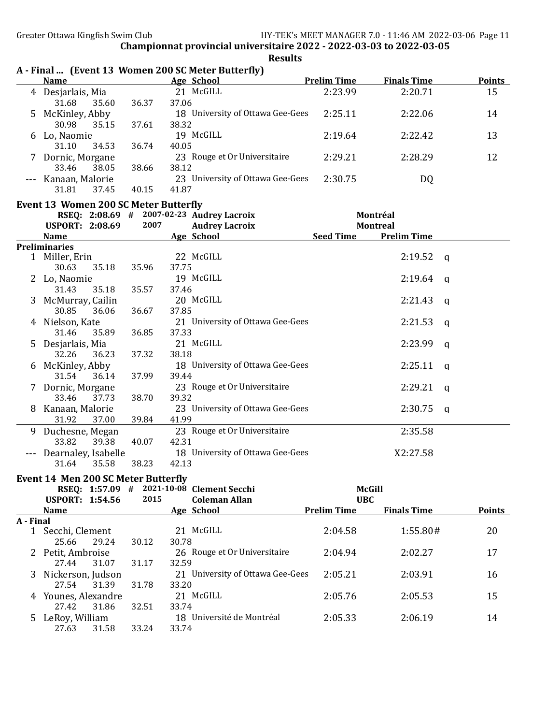|           |                                              |       | A - Final  (Event 13 Women 200 SC Meter Butterfly) |                                  |                                       |               |
|-----------|----------------------------------------------|-------|----------------------------------------------------|----------------------------------|---------------------------------------|---------------|
|           | <b>Name</b>                                  |       | <b>Age School</b>                                  | <b>Prelim Time</b>               | <b>Finals Time</b>                    | <b>Points</b> |
| 4         | Desjarlais, Mia                              |       | 21 McGILL                                          | 2:23.99                          | 2:20.71                               | 15            |
|           | 31.68<br>35.60                               | 36.37 | 37.06                                              |                                  |                                       |               |
| 5         | McKinley, Abby<br>30.98<br>35.15             | 37.61 | 18 University of Ottawa Gee-Gees<br>38.32          | 2:25.11                          | 2:22.06                               | 14            |
|           | 6 Lo, Naomie                                 |       | 19 McGILL                                          | 2:19.64                          | 2:22.42                               | 13            |
|           | 31.10<br>34.53                               | 36.74 | 40.05                                              |                                  |                                       |               |
|           | Dornic, Morgane<br>33.46<br>38.05            | 38.66 | 23 Rouge et Or Universitaire<br>38.12              | 2:29.21                          | 2:28.29                               | 12            |
|           | Kanaan, Malorie                              |       | 23 University of Ottawa Gee-Gees                   | 2:30.75                          | DQ                                    |               |
|           | 31.81<br>37.45                               | 40.15 | 41.87                                              |                                  |                                       |               |
|           | <b>Event 13 Women 200 SC Meter Butterfly</b> |       |                                                    |                                  |                                       |               |
|           |                                              | 2007  | RSEQ: 2:08.69 # 2007-02-23 Audrey Lacroix          |                                  | Montréal                              |               |
|           | <b>USPORT: 2:08.69</b><br><b>Name</b>        |       | <b>Audrey Lacroix</b><br>Age School                | <b>Seed Time</b>                 | <b>Montreal</b><br><b>Prelim Time</b> |               |
|           | <b>Preliminaries</b>                         |       |                                                    |                                  |                                       |               |
|           | 1 Miller, Erin                               |       | 22 McGILL                                          |                                  | 2:19.52<br>q                          |               |
|           | 30.63<br>35.18                               | 35.96 | 37.75                                              |                                  |                                       |               |
|           | Lo, Naomie                                   |       | 19 McGILL                                          |                                  | 2:19.64<br>a                          |               |
|           | 31.43<br>35.18                               | 35.57 | 37.46                                              |                                  |                                       |               |
| 3         | McMurray, Cailin                             |       | 20 McGILL                                          |                                  | 2:21.43<br>a                          |               |
|           | 30.85<br>36.06                               | 36.67 | 37.85                                              |                                  |                                       |               |
| 4         | Nielson, Kate                                |       | 21 University of Ottawa Gee-Gees                   |                                  | 2:21.53<br>a                          |               |
|           | 31.46<br>35.89                               | 36.85 | 37.33<br>21 McGILL                                 |                                  |                                       |               |
| 5         | Desjarlais, Mia<br>32.26<br>36.23            | 37.32 | 38.18                                              |                                  | 2:23.99<br>a                          |               |
| 6         | McKinley, Abby                               |       | 18 University of Ottawa Gee-Gees                   |                                  | 2:25.11<br>a                          |               |
|           | 31.54<br>36.14                               | 37.99 | 39.44                                              |                                  |                                       |               |
| 7         | Dornic, Morgane                              |       | 23 Rouge et Or Universitaire                       |                                  | 2:29.21<br>a                          |               |
|           | 33.46<br>37.73                               | 38.70 | 39.32                                              |                                  |                                       |               |
| 8         | Kanaan, Malorie                              |       | 23 University of Ottawa Gee-Gees                   |                                  | 2:30.75<br>q                          |               |
|           | 31.92<br>37.00                               | 39.84 | 41.99                                              |                                  |                                       |               |
| 9         | Duchesne, Megan                              |       | 23 Rouge et Or Universitaire                       |                                  | 2:35.58                               |               |
|           | 33.82<br>39.38                               | 40.07 | 42.31                                              |                                  |                                       |               |
|           | Dearnaley, Isabelle<br>31.64<br>35.58        | 38.23 | 18 University of Ottawa Gee-Gees<br>42.13          |                                  | X2:27.58                              |               |
|           |                                              |       |                                                    |                                  |                                       |               |
|           | Event 14 Men 200 SC Meter Butterfly          |       |                                                    |                                  |                                       |               |
|           |                                              |       | RSEQ: 1:57.09 # 2021-10-08 Clement Secchi          |                                  | <b>McGill</b>                         |               |
|           | <b>USPORT: 1:54.56</b><br><b>Name</b>        | 2015  | <b>Coleman Allan</b><br>Age School                 | <b>UBC</b><br><b>Prelim Time</b> | <b>Finals Time</b>                    | <b>Points</b> |
| A - Final |                                              |       |                                                    |                                  |                                       |               |
| 1         | Secchi, Clement                              |       | 21 McGILL                                          | 2:04.58                          | 1:55.80#                              | 20            |
|           | 25.66<br>29.24                               | 30.12 | 30.78                                              |                                  |                                       |               |
|           | 2 Petit, Ambroise                            |       | 26 Rouge et Or Universitaire                       | 2:04.94                          | 2:02.27                               | 17            |
|           | 27.44<br>31.07                               | 31.17 | 32.59                                              |                                  |                                       |               |
| 3         | Nickerson, Judson                            |       | 21 University of Ottawa Gee-Gees                   | 2:05.21                          | 2:03.91                               | 16            |
|           | 31.39<br>27.54                               | 31.78 | 33.20<br>21 McGILL                                 |                                  |                                       |               |
|           | 4 Younes, Alexandre<br>27.42<br>31.86        | 32.51 | 33.74                                              | 2:05.76                          | 2:05.53                               | 15            |
|           | 5 LeRoy, William                             |       | 18 Université de Montréal                          | 2:05.33                          | 2:06.19                               | 14            |
|           | 27.63<br>31.58                               | 33.24 | 33.74                                              |                                  |                                       |               |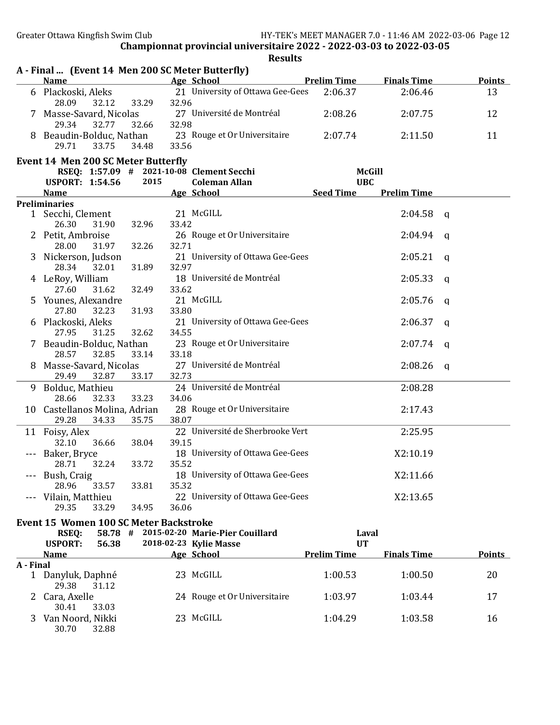|           | A - Final  (Event 14 Men 200 SC Meter Butterfly)<br>Name Age School |       |       |                                                       | <b>Prelim Time</b> | <b>Finals Time</b> |          | <b>Points</b> |
|-----------|---------------------------------------------------------------------|-------|-------|-------------------------------------------------------|--------------------|--------------------|----------|---------------|
|           | 6 Plackoski, Aleks                                                  |       |       | 21 University of Ottawa Gee-Gees                      | 2:06.37            | 2:06.46            |          | 13            |
|           | 28.09<br>32.12                                                      | 33.29 | 32.96 |                                                       |                    |                    |          |               |
|           |                                                                     |       |       | 7 Masse-Savard, Nicolas 27 Université de Montréal     | 2:08.26            | 2:07.75            |          | 12            |
|           | 29.34<br>32.77                                                      | 32.66 | 32.98 |                                                       |                    |                    |          |               |
|           |                                                                     |       |       | 8 Beaudin-Bolduc, Nathan 23 Rouge et Or Universitaire | 2:07.74            | 2:11.50            |          | 11            |
|           | 29.71<br>33.75                                                      | 34.48 | 33.56 |                                                       |                    |                    |          |               |
|           | <b>Event 14 Men 200 SC Meter Butterfly</b>                          |       |       |                                                       |                    |                    |          |               |
|           | RSEQ: 1:57.09 # 2021-10-08 Clement Secchi                           |       |       |                                                       |                    | <b>McGill</b>      |          |               |
|           | <b>USPORT: 1:54.56</b>                                              | 2015  |       | <b>Coleman Allan</b>                                  | <b>UBC</b>         |                    |          |               |
|           | <b>Name</b>                                                         |       |       | Age School                                            | <b>Seed Time</b>   | <b>Prelim Time</b> |          |               |
|           | <b>Preliminaries</b>                                                |       |       |                                                       |                    |                    |          |               |
|           | 1 Secchi, Clement                                                   |       |       | 21 McGILL                                             |                    | $2:04.58$ q        |          |               |
|           | 26.30<br>31.90                                                      | 32.96 | 33.42 |                                                       |                    |                    |          |               |
|           | 2 Petit, Ambroise                                                   |       |       | 26 Rouge et Or Universitaire                          |                    | 2:04.94            | <b>a</b> |               |
|           | 28.00<br>31.97                                                      | 32.26 | 32.71 |                                                       |                    |                    |          |               |
|           | 3 Nickerson, Judson<br>28.34<br>32.01                               | 31.89 | 32.97 | 21 University of Ottawa Gee-Gees                      |                    | 2:05.21            | q        |               |
|           |                                                                     |       |       | 18 Université de Montréal                             |                    | 2:05.33            |          |               |
|           | 4 LeRoy, William<br>27.60<br>31.62                                  | 32.49 | 33.62 |                                                       |                    |                    | a        |               |
|           | 5 Younes, Alexandre                                                 |       |       | 21 McGILL                                             |                    | 2:05.76            | a        |               |
|           | 27.80<br>32.23                                                      | 31.93 | 33.80 |                                                       |                    |                    |          |               |
|           | 6 Plackoski, Aleks                                                  |       |       | 21 University of Ottawa Gee-Gees                      |                    | 2:06.37            | q        |               |
|           | 27.95<br>31.25                                                      | 32.62 | 34.55 |                                                       |                    |                    |          |               |
|           | 7 Beaudin-Bolduc, Nathan                                            |       |       | 23 Rouge et Or Universitaire                          |                    | 2:07.74            | q        |               |
|           | 28.57<br>32.85                                                      | 33.14 | 33.18 |                                                       |                    |                    |          |               |
|           | 8 Masse-Savard, Nicolas                                             |       |       | 27 Université de Montréal                             |                    | 2:08.26            | q        |               |
|           | 29.49<br>32.87                                                      | 33.17 | 32.73 |                                                       |                    |                    |          |               |
|           | 9 Bolduc, Mathieu                                                   |       |       | 24 Université de Montréal                             |                    | 2:08.28            |          |               |
|           | 28.66<br>32.33                                                      | 33.23 | 34.06 |                                                       |                    |                    |          |               |
|           | 10 Castellanos Molina, Adrian                                       |       |       | 28 Rouge et Or Universitaire                          |                    | 2:17.43            |          |               |
|           | 29.28<br>34.33                                                      | 35.75 | 38.07 |                                                       |                    |                    |          |               |
|           | 11 Foisy, Alex                                                      |       |       | 22 Université de Sherbrooke Vert                      |                    | 2:25.95            |          |               |
|           | 32.10<br>36.66                                                      | 38.04 | 39.15 |                                                       |                    |                    |          |               |
|           | --- Baker, Bryce                                                    |       |       | 18 University of Ottawa Gee-Gees                      |                    | X2:10.19           |          |               |
|           | 28.71<br>32.24                                                      | 33.72 | 35.52 | 18 University of Ottawa Gee-Gees                      |                    |                    |          |               |
|           | --- Bush, Craig<br>28.96<br>33.57                                   | 33.81 | 35.32 |                                                       |                    | X2:11.66           |          |               |
|           | Vilain, Matthieu                                                    |       |       | 22 University of Ottawa Gee-Gees                      |                    | X2:13.65           |          |               |
|           | 29.35<br>33.29                                                      | 34.95 | 36.06 |                                                       |                    |                    |          |               |
|           | <b>Event 15 Women 100 SC Meter Backstroke</b>                       |       |       |                                                       |                    |                    |          |               |
|           | <b>RSEQ:</b>                                                        |       |       | 58.78 # 2015-02-20 Marie-Pier Couillard               |                    | Laval              |          |               |
|           | <b>USPORT:</b><br>56.38                                             |       |       | 2018-02-23 Kylie Masse                                | <b>UT</b>          |                    |          |               |
|           | <u>Name</u>                                                         |       |       | Age School                                            | <b>Prelim Time</b> | <b>Finals Time</b> |          | <b>Points</b> |
| A - Final |                                                                     |       |       |                                                       |                    |                    |          |               |
|           | 1 Danyluk, Daphné                                                   |       |       | 23 McGILL                                             | 1:00.53            | 1:00.50            |          | 20            |
|           | 29.38<br>31.12                                                      |       |       |                                                       |                    |                    |          |               |
|           | 2 Cara, Axelle                                                      |       |       | 24 Rouge et Or Universitaire                          | 1:03.97            | 1:03.44            |          | 17            |
|           | 30.41<br>33.03                                                      |       |       |                                                       |                    |                    |          |               |
|           | 3 Van Noord, Nikki                                                  |       |       | 23 McGILL                                             | 1:04.29            | 1:03.58            |          | 16            |
|           | 30.70<br>32.88                                                      |       |       |                                                       |                    |                    |          |               |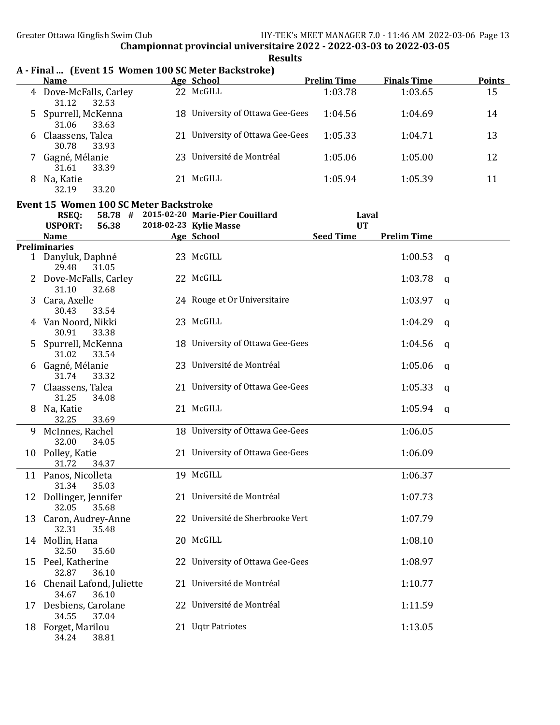Results

|    | <b>Name</b>                                   | Age School                              | <b>Prelim Time</b> | <b>Finals Time</b> | <b>Points</b> |
|----|-----------------------------------------------|-----------------------------------------|--------------------|--------------------|---------------|
|    | 4 Dove-McFalls, Carley<br>31.12<br>32.53      | 22 McGILL                               | 1:03.78            | 1:03.65            | 15            |
| 5  | Spurrell, McKenna<br>31.06<br>33.63           | 18 University of Ottawa Gee-Gees        | 1:04.56            | 1:04.69            | 14            |
| 6  | Claassens, Talea<br>30.78<br>33.93            | 21 University of Ottawa Gee-Gees        | 1:05.33            | 1:04.71            | 13            |
|    | 7 Gagné, Mélanie<br>31.61<br>33.39            | 23 Université de Montréal               | 1:05.06            | 1:05.00            | 12            |
| 8  | Na, Katie<br>32.19<br>33.20                   | 21 McGILL                               | 1:05.94            | 1:05.39            | 11            |
|    | <b>Event 15 Women 100 SC Meter Backstroke</b> |                                         |                    |                    |               |
|    | <b>RSEQ:</b>                                  | 58.78 # 2015-02-20 Marie-Pier Couillard |                    |                    |               |
|    | <b>USPORT:</b>                                |                                         | Laval<br><b>UT</b> |                    |               |
|    | 56.38                                         | 2018-02-23 Kylie Masse                  |                    | <b>Prelim Time</b> |               |
|    | <b>Name</b>                                   | Age School                              | <b>Seed Time</b>   |                    |               |
|    | <b>Preliminaries</b>                          |                                         |                    |                    |               |
|    | 1 Danyluk, Daphné<br>29.48<br>31.05           | 23 McGILL                               |                    | 1:00.53            | q             |
|    | Dove-McFalls, Carley<br>31.10<br>32.68        | 22 McGILL                               |                    | 1:03.78            | a             |
| 3  | Cara, Axelle<br>30.43<br>33.54                | 24 Rouge et Or Universitaire            |                    | 1:03.97            | a             |
| 4  | Van Noord, Nikki<br>30.91<br>33.38            | 23 McGILL                               |                    | 1:04.29            | q             |
| 5  | Spurrell, McKenna<br>31.02<br>33.54           | 18 University of Ottawa Gee-Gees        |                    | 1:04.56            | a             |
| 6  | Gagné, Mélanie<br>31.74<br>33.32              | 23 Université de Montréal               |                    | 1:05.06            | a             |
|    | Claassens, Talea<br>31.25<br>34.08            | 21 University of Ottawa Gee-Gees        |                    | 1:05.33            | a             |
| 8  | Na, Katie<br>32.25<br>33.69                   | 21 McGILL                               |                    | 1:05.94            | q             |
| 9. | McInnes, Rachel<br>32.00<br>34.05             | 18 University of Ottawa Gee-Gees        |                    | 1:06.05            |               |
|    | 10 Polley, Katie<br>31.72<br>34.37            | 21 University of Ottawa Gee-Gees        |                    | 1:06.09            |               |
|    | 11 Panos, Nicolleta<br>31.34 35.03            | 19 McGILL                               |                    | 1:06.37            |               |
|    | 12 Dollinger, Jennifer<br>32.05<br>35.68      | 21 Université de Montréal               |                    | 1:07.73            |               |
| 13 | Caron, Audrey-Anne<br>32.31<br>35.48          | 22 Université de Sherbrooke Vert        |                    | 1:07.79            |               |
|    | 14 Mollin, Hana<br>32.50<br>35.60             | 20 McGILL                               |                    | 1:08.10            |               |
|    | 15 Peel, Katherine<br>32.87<br>36.10          | 22 University of Ottawa Gee-Gees        |                    | 1:08.97            |               |
|    | 16 Chenail Lafond, Juliette<br>36.10<br>34.67 | 21 Université de Montréal               |                    | 1:10.77            |               |
|    | 17 Desbiens, Carolane<br>37.04<br>34.55       | 22 Université de Montréal               |                    | 1:11.59            |               |
|    | 18 Forget, Marilou<br>34.24<br>38.81          | 21 Uqtr Patriotes                       |                    | 1:13.05            |               |

# A - Final ... (Event 15 Women 100 SC Meter Backstroke)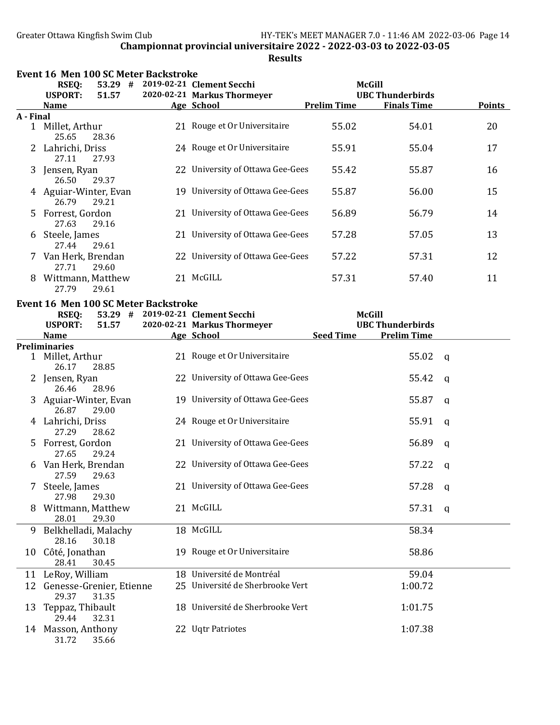|               | Event 16 Men 100 SC Meter Backstroke |           |                                      |                                   |                    |                          |               |  |
|---------------|--------------------------------------|-----------|--------------------------------------|-----------------------------------|--------------------|--------------------------|---------------|--|
|               | <b>RSEQ:</b>                         |           |                                      | 53.29 # 2019-02-21 Clement Secchi | McGill             |                          |               |  |
|               | <b>USPORT:</b>                       | 51.57     |                                      | 2020-02-21 Markus Thormeyer       |                    | <b>UBC Thunderbirds</b>  |               |  |
|               | <b>Name</b>                          |           |                                      | <b>Age School</b>                 | <b>Prelim Time</b> | <b>Finals Time</b>       | <b>Points</b> |  |
| A - Final     |                                      |           |                                      |                                   |                    |                          |               |  |
| $\mathbf{1}$  | Millet, Arthur<br>25.65              | 28.36     |                                      | 21 Rouge et Or Universitaire      | 55.02              | 54.01                    | 20            |  |
|               | Lahrichi, Driss<br>27.11             | 27.93     |                                      | 24 Rouge et Or Universitaire      | 55.91              | 55.04                    | 17            |  |
| 3.            | Jensen, Ryan<br>26.50                | 29.37     |                                      | 22 University of Ottawa Gee-Gees  | 55.42              | 55.87                    | 16            |  |
|               | 4 Aguiar-Winter, Evan<br>26.79       | 29.21     |                                      | 19 University of Ottawa Gee-Gees  | 55.87              | 56.00                    | 15            |  |
| 5.            | Forrest, Gordon<br>27.63             | 29.16     |                                      | 21 University of Ottawa Gee-Gees  | 56.89              | 56.79                    | 14            |  |
| 6             | Steele, James<br>27.44               | 29.61     |                                      | 21 University of Ottawa Gee-Gees  | 57.28              | 57.05                    | 13            |  |
| $\mathcal{L}$ | Van Herk, Brendan<br>27.71           | 29.60     |                                      | 22 University of Ottawa Gee-Gees  | 57.22              | 57.31                    | 12            |  |
| 8             | Wittmann, Matthew<br>27.79           | 29.61     |                                      | 21 McGILL                         | 57.31              | 57.40                    | 11            |  |
|               |                                      |           | Event 16 Men 100 SC Meter Backstroke |                                   |                    |                          |               |  |
|               | <b>RSEQ:</b>                         | $53.29$ # |                                      | 2019-02-21 Clement Secchi         | <b>McGill</b>      |                          |               |  |
|               | нерлрт. –                            | E1 E7.    |                                      | 2020-02-21 Morley Thormover       |                    | <b>IIDC Thundorbirds</b> |               |  |

|    | <b>USPORT:</b>                    | 51.57 | 2020-02-21 Markus Thormeyer      |                  | <b>UBC Thunderbirds</b> |              |
|----|-----------------------------------|-------|----------------------------------|------------------|-------------------------|--------------|
|    | <b>Name</b>                       |       | Age School                       | <b>Seed Time</b> | <b>Prelim Time</b>      |              |
|    | <b>Preliminaries</b>              |       |                                  |                  |                         |              |
|    | Millet, Arthur<br>26.17           | 28.85 | 21 Rouge et Or Universitaire     |                  | 55.02                   | <b>g</b>     |
|    | Jensen, Ryan<br>26.46             | 28.96 | 22 University of Ottawa Gee-Gees |                  | 55.42                   | q            |
|    | Aguiar-Winter, Evan<br>26.87      | 29.00 | 19 University of Ottawa Gee-Gees |                  | 55.87                   | q            |
| 4  | Lahrichi, Driss<br>27.29          | 28.62 | 24 Rouge et Or Universitaire     |                  | 55.91                   | q            |
| 5. | Forrest, Gordon<br>27.65          | 29.24 | 21 University of Ottawa Gee-Gees |                  | 56.89                   | q            |
| 6  | Van Herk, Brendan<br>27.59        | 29.63 | 22 University of Ottawa Gee-Gees |                  | 57.22                   | q            |
|    | Steele, James<br>27.98            | 29.30 | 21 University of Ottawa Gee-Gees |                  | 57.28                   | $\mathsf{q}$ |
| 8  | Wittmann, Matthew<br>28.01        | 29.30 | 21 McGILL                        |                  | 57.31                   | q            |
| 9  | Belkhelladi, Malachy<br>28.16     | 30.18 | 18 McGILL                        |                  | 58.34                   |              |
|    | 10 Côté, Jonathan<br>28.41        | 30.45 | 19 Rouge et Or Universitaire     |                  | 58.86                   |              |
| 11 | LeRoy, William                    |       | 18 Université de Montréal        |                  | 59.04                   |              |
| 12 | Genesse-Grenier, Etienne<br>29.37 | 31.35 | 25 Université de Sherbrooke Vert |                  | 1:00.72                 |              |
| 13 | Teppaz, Thibault<br>29.44         | 32.31 | 18 Université de Sherbrooke Vert |                  | 1:01.75                 |              |
|    | 14 Masson, Anthony<br>31.72       | 35.66 | 22 Uqtr Patriotes                |                  | 1:07.38                 |              |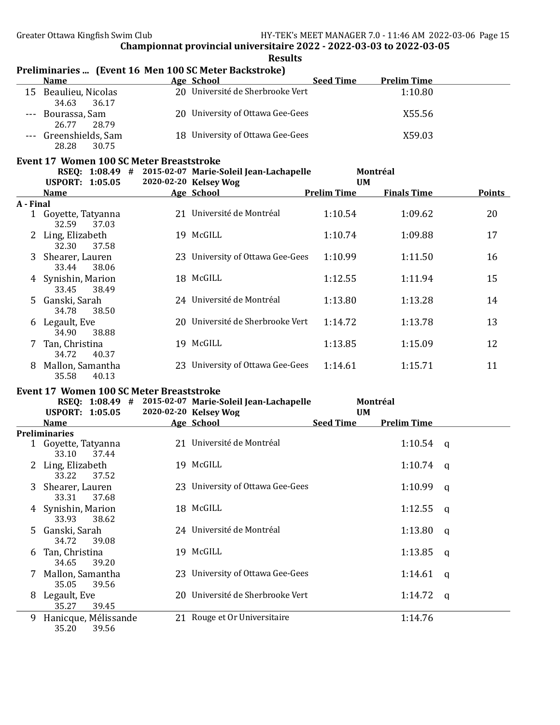| Results |
|---------|
|---------|

# Preliminaries ... (Event 16 Men 100 SC Meter Backstroke)

| <b>Name</b>                             | Age School                       | <b>Seed Time</b> | <b>Prelim Time</b> |
|-----------------------------------------|----------------------------------|------------------|--------------------|
| 15 Beaulieu, Nicolas<br>36.17<br>34.63  | 20 Université de Sherbrooke Vert |                  | 1:10.80            |
| --- Bourassa, Sam<br>28.79<br>26.77     | 20 University of Ottawa Gee-Gees |                  | X55.56             |
| --- Greenshields, Sam<br>28.28<br>30.75 | 18 University of Ottawa Gee-Gees |                  | X59.03             |

## Event 17 Women 100 SC Meter Breaststroke

|           |                              | RSEQ: 1:08.49 # |     | 2015-02-07 Marie-Soleil Jean-Lachapelle |                    | Montréal           |               |
|-----------|------------------------------|-----------------|-----|-----------------------------------------|--------------------|--------------------|---------------|
|           | <b>USPORT: 1:05.05</b>       |                 |     | 2020-02-20 Kelsey Wog                   |                    | <b>UM</b>          |               |
|           | <b>Name</b>                  |                 |     | Age School                              | <b>Prelim Time</b> | <b>Finals Time</b> | <b>Points</b> |
| A - Final |                              |                 |     |                                         |                    |                    |               |
|           | 1 Goyette, Tatyanna<br>32.59 | 37.03           | 21  | Université de Montréal                  | 1:10.54            | 1:09.62            | 20            |
|           | Ling, Elizabeth<br>32.30     | 37.58           | 19  | McGILL                                  | 1:10.74            | 1:09.88            | 17            |
|           | 3 Shearer, Lauren<br>33.44   | 38.06           | 23. | University of Ottawa Gee-Gees           | 1:10.99            | 1:11.50            | 16            |
|           | 4 Synishin, Marion<br>33.45  | 38.49           |     | 18 McGILL                               | 1:12.55            | 1:11.94            | 15            |
|           | 5 Ganski, Sarah<br>34.78     | 38.50           |     | 24 Université de Montréal               | 1:13.80            | 1:13.28            | 14            |
| 6         | Legault, Eve<br>34.90        | 38.88           | 20. | Université de Sherbrooke Vert           | 1:14.72            | 1:13.78            | 13            |
|           | Tan, Christina<br>34.72      | 40.37           | 19  | McGILL                                  | 1:13.85            | 1:15.09            | 12            |
| 8         | Mallon, Samantha<br>35.58    | 40.13           | 23. | University of Ottawa Gee-Gees           | 1:14.61            | 1:15.71            | 11            |

## Event 17 Women 100 SC Meter Breaststroke

|    | RSEQ: 1:08.49 #                        | 2015-02-07 Marie-Soleil Jean-Lachapelle | Montréal         |                    |     |
|----|----------------------------------------|-----------------------------------------|------------------|--------------------|-----|
|    | <b>USPORT: 1:05.05</b>                 | 2020-02-20 Kelsey Wog                   | <b>UM</b>        |                    |     |
|    | <b>Name</b>                            | Age School                              | <b>Seed Time</b> | <b>Prelim Time</b> |     |
|    | Preliminaries                          |                                         |                  |                    |     |
|    | 1 Goyette, Tatyanna<br>37.44<br>33.10  | 21 Université de Montréal               |                  | $1:10.54$ q        |     |
| 2  | Ling, Elizabeth<br>37.52<br>33.22      | 19 McGILL                               |                  | $1:10.74$ q        |     |
| 3  | Shearer, Lauren<br>33.31 37.68         | 23 University of Ottawa Gee-Gees        |                  | 1:10.99            | q   |
|    | 4 Synishin, Marion<br>33.93<br>38.62   | 18 McGILL                               |                  | 1:12.55            | - a |
| 5. | Ganski, Sarah<br>34.72<br>39.08        | 24 Université de Montréal               |                  | 1:13.80            | a   |
| 6  | Tan, Christina<br>34.65<br>39.20       | 19 McGILL                               |                  | 1:13.85            | q   |
| 7  | Mallon, Samantha<br>35.05<br>39.56     | 23 University of Ottawa Gee-Gees        |                  | 1:14.61            | a   |
| 8  | Legault, Eve<br>35.27<br>39.45         | 20 Université de Sherbrooke Vert        |                  | 1:14.72            | q   |
| 9  | Hanicque, Mélissande<br>35.20<br>39.56 | 21 Rouge et Or Universitaire            |                  | 1:14.76            |     |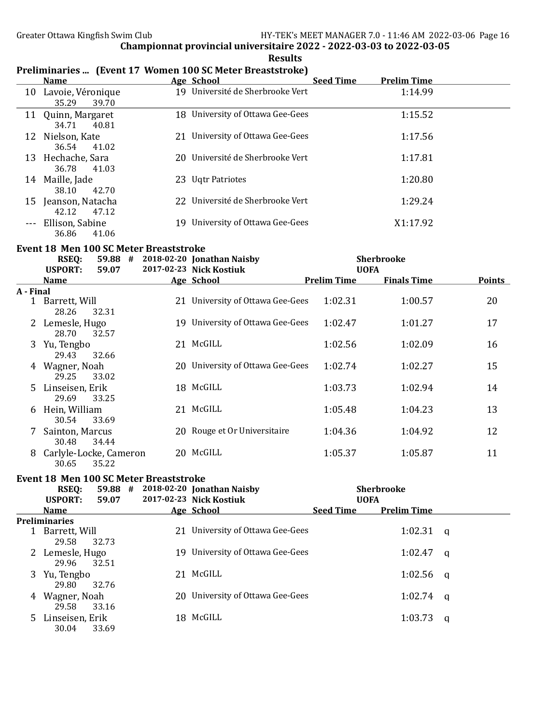|           |                                               | I Tenningi ies  Tevent 17 - Wonien 100 SC Meter Dreastströße J |                    |                    |               |
|-----------|-----------------------------------------------|----------------------------------------------------------------|--------------------|--------------------|---------------|
|           | <b>Name</b>                                   | Age School                                                     | <b>Seed Time</b>   | <b>Prelim Time</b> |               |
|           | 10 Lavoie, Véronique<br>35.29<br>39.70        | 19 Université de Sherbrooke Vert                               |                    | 1:14.99            |               |
|           | 11 Quinn, Margaret<br>34.71<br>40.81          | 18 University of Ottawa Gee-Gees                               |                    | 1:15.52            |               |
|           | 12 Nielson, Kate<br>36.54<br>41.02            | 21 University of Ottawa Gee-Gees                               |                    | 1:17.56            |               |
|           | 13 Hechache, Sara<br>36.78<br>41.03           | 20 Université de Sherbrooke Vert                               |                    | 1:17.81            |               |
|           | 14 Maille, Jade<br>38.10<br>42.70             | 23 Uqtr Patriotes                                              |                    | 1:20.80            |               |
|           | 15 Jeanson, Natacha<br>42.12<br>47.12         | 22 Université de Sherbrooke Vert                               |                    | 1:29.24            |               |
|           | Ellison, Sabine<br>36.86<br>41.06             | 19 University of Ottawa Gee-Gees                               |                    | X1:17.92           |               |
|           | <b>Event 18 Men 100 SC Meter Breaststroke</b> |                                                                |                    |                    |               |
|           | <b>RSEQ:</b>                                  | 59.88 # 2018-02-20 Jonathan Naisby                             |                    | <b>Sherbrooke</b>  |               |
|           | <b>USPORT:</b><br>59.07                       | 2017-02-23 Nick Kostiuk                                        | <b>UOFA</b>        |                    |               |
|           | <b>Name</b>                                   | <b>Age School</b>                                              | <b>Prelim Time</b> | <b>Finals Time</b> | <b>Points</b> |
| A - Final |                                               |                                                                |                    |                    |               |
|           | 1 Barrett, Will<br>28.26<br>32.31             | 21 University of Ottawa Gee-Gees                               | 1:02.31            | 1:00.57            | 20            |
|           | 2 Lemesle, Hugo<br>28.70<br>32.57             | 19 University of Ottawa Gee-Gees                               | 1:02.47            | 1:01.27            | 17            |
| 3         | Yu, Tengbo<br>29.43<br>32.66                  | 21 McGILL                                                      | 1:02.56            | 1:02.09            | 16            |
|           | 4 Wagner, Noah<br>29.25<br>33.02              | 20 University of Ottawa Gee-Gees                               | 1:02.74            | 1:02.27            | 15            |
| 5         | Linseisen, Erik<br>29.69<br>33.25             | 18 McGILL                                                      | 1:03.73            | 1:02.94            | 14            |
| 6         | Hein, William<br>30.54<br>33.69               | 21 McGILL                                                      | 1:05.48            | 1:04.23            | 13            |
|           | Sainton, Marcus                               | 20 Rouge et Or Universitaire                                   | 1:04.36            | 1:04.92            | 12            |

#### Results Preliminaries ... (Event 17 Women 100 SC Meter Breaststroke)

|                                               | 0.411100111110110000<br>30.48 34.44     |       |  |                                                  |                  |                    | -- |  |
|-----------------------------------------------|-----------------------------------------|-------|--|--------------------------------------------------|------------------|--------------------|----|--|
|                                               | 8 Carlyle-Locke, Cameron<br>30.65 35.22 |       |  | 20 McGILL                                        | 1:05.37          | 1:05.87            | 11 |  |
| <b>Event 18 Men 100 SC Meter Breaststroke</b> |                                         |       |  |                                                  |                  |                    |    |  |
|                                               | <b>RSEO:</b>                            |       |  | 59.88 # 2018-02-20 Jonathan Naisby               |                  | <b>Sherbrooke</b>  |    |  |
|                                               | <b>USPORT:</b>                          | 59.07 |  | 2017-02-23 Nick Kostiuk                          |                  | <b>UOFA</b>        |    |  |
|                                               | <b>Name</b>                             |       |  | Age School                                       | <b>Seed Time</b> | <b>Prelim Time</b> |    |  |
|                                               | Preliminaries                           |       |  | $\sim$ $\sim$ $\sim$ $\sim$ $\sim$ $\sim$ $\sim$ |                  |                    |    |  |

| Preliminaries |                 |                                  |             |  |  |  |  |  |
|---------------|-----------------|----------------------------------|-------------|--|--|--|--|--|
|               | Barrett, Will   | 21 University of Ottawa Gee-Gees | 1:02.31 q   |  |  |  |  |  |
|               | 29.58<br>32.73  |                                  |             |  |  |  |  |  |
|               | Lemesle, Hugo   | 19 University of Ottawa Gee-Gees | $1:02.47$ q |  |  |  |  |  |
|               | 29.96<br>32.51  |                                  |             |  |  |  |  |  |
| 3             | Yu, Tengbo      | 21 McGILL                        | 1:02.56 $q$ |  |  |  |  |  |
|               | 29.80<br>32.76  |                                  |             |  |  |  |  |  |
|               | 4 Wagner, Noah  | 20 University of Ottawa Gee-Gees | $1:02.74$ q |  |  |  |  |  |
|               | 29.58<br>33.16  |                                  |             |  |  |  |  |  |
| $5 -$         | Linseisen, Erik | 18 McGILL                        | $1:03.73$ q |  |  |  |  |  |
|               | 30.04<br>33.69  |                                  |             |  |  |  |  |  |
|               |                 |                                  |             |  |  |  |  |  |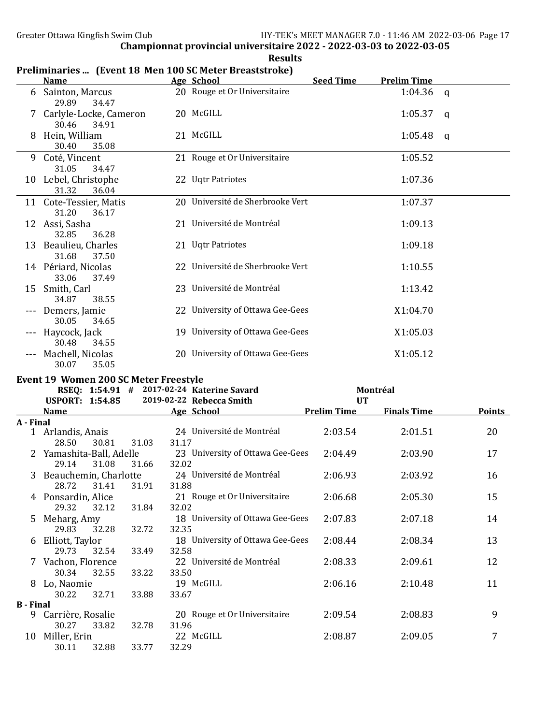|                  | <b>Name</b>                                              |                | Preliminaries  (Event 18 Men 100 SC Meter Breaststroke)<br>Age School | <b>Seed Time</b>   | <b>Prelim Time</b> |                |
|------------------|----------------------------------------------------------|----------------|-----------------------------------------------------------------------|--------------------|--------------------|----------------|
|                  | 6 Sainton, Marcus                                        |                | 20 Rouge et Or Universitaire                                          |                    | 1:04.36 $q$        |                |
|                  | 29.89<br>34.47                                           |                |                                                                       |                    |                    |                |
|                  | 7 Carlyle-Locke, Cameron<br>30.46<br>34.91               |                | 20 McGILL                                                             |                    | 1:05.37            | $\mathbf{q}$   |
|                  | 8 Hein, William<br>30.40<br>35.08                        |                | 21 McGILL                                                             |                    | 1:05.48            | q              |
|                  | 9 Coté, Vincent                                          |                | 21 Rouge et Or Universitaire                                          |                    | 1:05.52            |                |
|                  | 31.05<br>34.47<br>10 Lebel, Christophe<br>31.32<br>36.04 |                | 22 Uqtr Patriotes                                                     |                    | 1:07.36            |                |
|                  | 11 Cote-Tessier, Matis                                   |                | 20 Université de Sherbrooke Vert                                      |                    | 1:07.37            |                |
|                  | 31.20<br>36.17<br>12 Assi, Sasha                         |                | 21 Université de Montréal                                             |                    | 1:09.13            |                |
|                  | 32.85<br>36.28<br>13 Beaulieu, Charles                   |                | 21 Uqtr Patriotes                                                     |                    | 1:09.18            |                |
|                  | 31.68<br>37.50<br>14 Périard, Nicolas<br>33.06<br>37.49  |                | 22 Université de Sherbrooke Vert                                      |                    | 1:10.55            |                |
|                  | 15 Smith, Carl<br>34.87<br>38.55                         |                | 23 Université de Montréal                                             |                    | 1:13.42            |                |
|                  | --- Demers, Jamie<br>30.05<br>34.65                      |                | 22 University of Ottawa Gee-Gees                                      |                    | X1:04.70           |                |
|                  | --- Haycock, Jack<br>30.48<br>34.55                      |                | 19 University of Ottawa Gee-Gees                                      |                    | X1:05.03           |                |
|                  | --- Machell, Nicolas<br>30.07<br>35.05                   |                | 20 University of Ottawa Gee-Gees                                      |                    | X1:05.12           |                |
|                  | Event 19 Women 200 SC Meter Freestyle                    |                |                                                                       |                    |                    |                |
|                  |                                                          |                | RSEQ: 1:54.91 # 2017-02-24 Katerine Savard                            |                    | Montréal           |                |
|                  | <b>USPORT: 1:54.85</b>                                   |                | 2019-02-22 Rebecca Smith                                              | <b>UT</b>          |                    |                |
|                  | <b>Name</b>                                              |                | Age School                                                            | <b>Prelim Time</b> | <b>Finals Time</b> | <b>Points</b>  |
| A - Final        |                                                          |                |                                                                       |                    |                    |                |
|                  | 1 Arlandis, Anais<br>28.50<br>30.81                      | 31.03<br>31.17 | 24 Université de Montréal                                             | 2:03.54            | 2:01.51            | 20             |
|                  | 2 Yamashita-Ball, Adelle                                 |                | 23 University of Ottawa Gee-Gees                                      | 2:04.49            | 2:03.90            | 17             |
|                  | 29.14<br>31.08                                           | 32.02<br>31.66 |                                                                       |                    |                    |                |
|                  | 3 Beauchemin, Charlotte<br>28.72<br>31.41                | 31.91<br>31.88 | 24 Université de Montréal                                             | 2:06.93            | 2:03.92            | 16             |
|                  | 4 Ponsardin, Alice<br>29.32<br>32.12                     | 32.02<br>31.84 | 21 Rouge et Or Universitaire                                          | 2:06.68            | 2:05.30            | 15             |
| 5                | Meharg, Amy<br>29.83<br>32.28                            | 32.35<br>32.72 | 18 University of Ottawa Gee-Gees                                      | 2:07.83            | 2:07.18            | 14             |
| 6                | Elliott, Taylor<br>29.73<br>32.54                        | 32.58          | 18 University of Ottawa Gee-Gees                                      | 2:08.44            | 2:08.34            | 13             |
|                  | 7 Vachon, Florence                                       | 33.49          | 22 Université de Montréal                                             | 2:08.33            | 2:09.61            | 12             |
|                  | 30.34<br>32.55<br>8 Lo, Naomie                           | 33.22<br>33.50 | 19 McGILL                                                             | 2:06.16            | 2:10.48            | 11             |
|                  | 30.22<br>32.71                                           | 33.88<br>33.67 |                                                                       |                    |                    |                |
| <b>B</b> - Final |                                                          |                | 20 Rouge et Or Universitaire                                          | 2:09.54            | 2:08.83            | 9              |
|                  | 9 Carrière, Rosalie<br>30.27<br>33.82                    | 32.78<br>31.96 |                                                                       |                    |                    |                |
|                  | 10 Miller, Erin                                          |                | 22 McGILL                                                             | 2:08.87            | 2:09.05            | $\overline{7}$ |
|                  | 30.11<br>32.88                                           | 33.77<br>32.29 |                                                                       |                    |                    |                |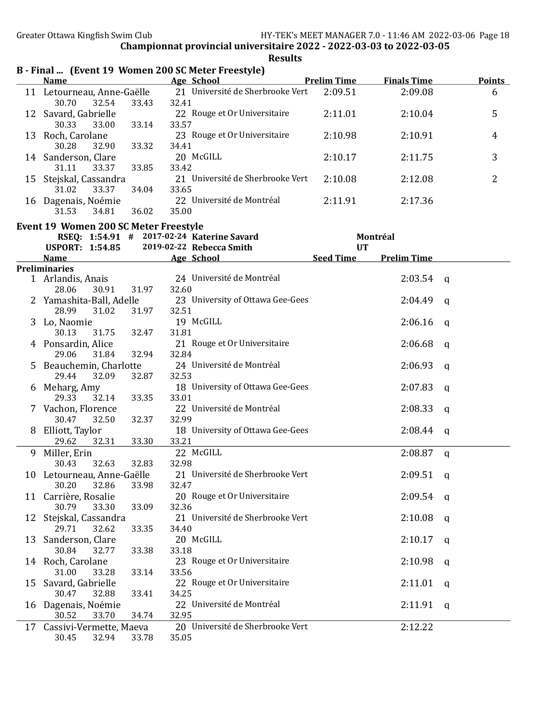Results

|    | $\frac{1}{2}$ and $\frac{1}{2}$ and $\frac{1}{2}$ are not the set of $\frac{1}{2}$ and $\frac{1}{2}$<br><b>Name</b> |             |       | <b>Example 2018</b> Age School <b>Age School</b> | <b>Prelim Time</b> | <b>Finals Time</b> |             | Points         |
|----|---------------------------------------------------------------------------------------------------------------------|-------------|-------|--------------------------------------------------|--------------------|--------------------|-------------|----------------|
|    | 11 Letourneau, Anne-Gaëlle                                                                                          |             |       | 21 Université de Sherbrooke Vert                 | 2:09.51            | 2:09.08            |             | 6              |
|    | 30.70<br>32.54                                                                                                      | 33.43       | 32.41 |                                                  |                    |                    |             |                |
|    | 12 Savard, Gabrielle                                                                                                |             |       | 22 Rouge et Or Universitaire                     | 2:11.01            | 2:10.04            |             | 5              |
|    | 30.33<br>33.00                                                                                                      | 33.14       | 33.57 |                                                  |                    |                    |             |                |
|    | 13 Roch, Carolane                                                                                                   |             |       | 23 Rouge et Or Universitaire                     | 2:10.98            | 2:10.91            |             | 4              |
|    | 30.28<br>32.90                                                                                                      | 33.32       | 34.41 |                                                  |                    |                    |             |                |
|    | 14 Sanderson, Clare                                                                                                 |             |       | 20 McGILL                                        | 2:10.17            | 2:11.75            |             | 3              |
|    | 31.11<br>33.37                                                                                                      | 33.85       | 33.42 |                                                  |                    |                    |             |                |
|    | 15 Stejskal, Cassandra                                                                                              |             |       | 21 Université de Sherbrooke Vert                 | 2:10.08            | 2:12.08            |             | $\overline{2}$ |
|    | 31.02<br>33.37                                                                                                      | 34.04       | 33.65 |                                                  |                    |                    |             |                |
|    | 16 Dagenais, Noémie                                                                                                 |             |       | 22 Université de Montréal                        | 2:11.91            | 2:17.36            |             |                |
|    | 31.53<br>34.81                                                                                                      | 36.02       | 35.00 |                                                  |                    |                    |             |                |
|    | <b>Event 19 Women 200 SC Meter Freestyle</b>                                                                        |             |       |                                                  |                    |                    |             |                |
|    | RSEQ: 1:54.91 # 2017-02-24 Katerine Savard                                                                          |             |       |                                                  |                    | Montréal           |             |                |
|    | <b>USPORT: 1:54.85</b>                                                                                              |             |       | 2019-02-22 Rebecca Smith                         | <b>UT</b>          |                    |             |                |
|    | Name Age School                                                                                                     |             |       |                                                  | Seed Time          | <b>Prelim Time</b> |             |                |
|    | <b>Preliminaries</b>                                                                                                |             |       | 24 Université de Montréal                        |                    | 2:03.54            |             |                |
|    | 1 Arlandis, Anais<br>30.91<br>28.06                                                                                 | 31.97       | 32.60 |                                                  |                    |                    | q           |                |
|    | 2 Yamashita-Ball, Adelle                                                                                            |             |       | 23 University of Ottawa Gee-Gees                 |                    | 2:04.49            | q           |                |
|    | 28.99<br>31.02                                                                                                      | 31.97       | 32.51 |                                                  |                    |                    |             |                |
| 3  | Lo, Naomie                                                                                                          |             |       | 19 McGILL                                        |                    | 2:06.16            | q           |                |
|    | 30.13<br>31.75                                                                                                      | 32.47       | 31.81 |                                                  |                    |                    |             |                |
|    | 4 Ponsardin, Alice                                                                                                  |             |       | 21 Rouge et Or Universitaire                     |                    | 2:06.68            | a           |                |
|    | 29.06<br>31.84                                                                                                      | 32.94       | 32.84 |                                                  |                    |                    |             |                |
| 5. | Beauchemin, Charlotte                                                                                               |             |       | 24 Université de Montréal                        |                    | 2:06.93            | a           |                |
|    | 29.44<br>32.09                                                                                                      | 32.87       | 32.53 |                                                  |                    |                    |             |                |
| 6  | Meharg, Amy                                                                                                         |             |       | 18 University of Ottawa Gee-Gees                 |                    | 2:07.83            | a           |                |
|    | 29.33<br>32.14                                                                                                      | 33.35       | 33.01 |                                                  |                    |                    |             |                |
|    | Vachon, Florence                                                                                                    |             |       | 22 Université de Montréal                        |                    | 2:08.33            | q           |                |
|    | 30.47<br>32.50                                                                                                      | 32.37       | 32.99 |                                                  |                    |                    |             |                |
| 8  | Elliott, Taylor                                                                                                     |             |       | 18 University of Ottawa Gee-Gees                 |                    | 2:08.44            | q           |                |
|    | 29.62<br>32.31                                                                                                      | 33.30       | 33.21 |                                                  |                    |                    |             |                |
| 9  | Miller, Erin                                                                                                        |             |       | 22 McGILL                                        |                    | 2:08.87            | $\mathbf q$ |                |
|    | 32.63<br>30.43                                                                                                      | 32.83       | 32.98 |                                                  |                    |                    |             |                |
|    | 10 Letourneau, Anne-Gaëlle                                                                                          |             |       | 21 Université de Sherbrooke Vert                 |                    | 2:09.51            | q           |                |
|    | 32.86<br>30.20                                                                                                      | 33.98 32.47 |       |                                                  |                    |                    |             |                |
|    | 11 Carrière, Rosalie                                                                                                |             |       | 20 Rouge et Or Universitaire                     |                    | 2:09.54            | a           |                |
|    | 30.79<br>33.30                                                                                                      | 33.09       | 32.36 | 21 Université de Sherbrooke Vert                 |                    |                    |             |                |
|    | 12 Stejskal, Cassandra<br>29.71<br>32.62                                                                            | 33.35       | 34.40 |                                                  |                    | 2:10.08            | q           |                |
|    | 13 Sanderson, Clare                                                                                                 |             |       | 20 McGILL                                        |                    | 2:10.17            |             |                |
|    | 30.84<br>32.77                                                                                                      | 33.38       | 33.18 |                                                  |                    |                    | q           |                |
|    | 14 Roch, Carolane                                                                                                   |             |       | 23 Rouge et Or Universitaire                     |                    | 2:10.98            |             |                |
|    | 31.00<br>33.28                                                                                                      | 33.14       | 33.56 |                                                  |                    |                    | q           |                |
|    | 15 Savard, Gabrielle                                                                                                |             |       | 22 Rouge et Or Universitaire                     |                    | 2:11.01            | q           |                |
|    | 30.47<br>32.88                                                                                                      | 33.41       | 34.25 |                                                  |                    |                    |             |                |
| 16 | Dagenais, Noémie                                                                                                    |             |       | 22 Université de Montréal                        |                    | 2:11.91            | q           |                |
|    | 30.52<br>33.70                                                                                                      | 34.74       | 32.95 |                                                  |                    |                    |             |                |
|    | 17 Cassivi-Vermette, Maeva                                                                                          |             |       | 20 Université de Sherbrooke Vert                 |                    | 2:12.22            |             |                |
|    | 30.45<br>32.94                                                                                                      | 33.78       | 35.05 |                                                  |                    |                    |             |                |

# B - Final ... (Event 19 Women 200 SC Meter Freestyle)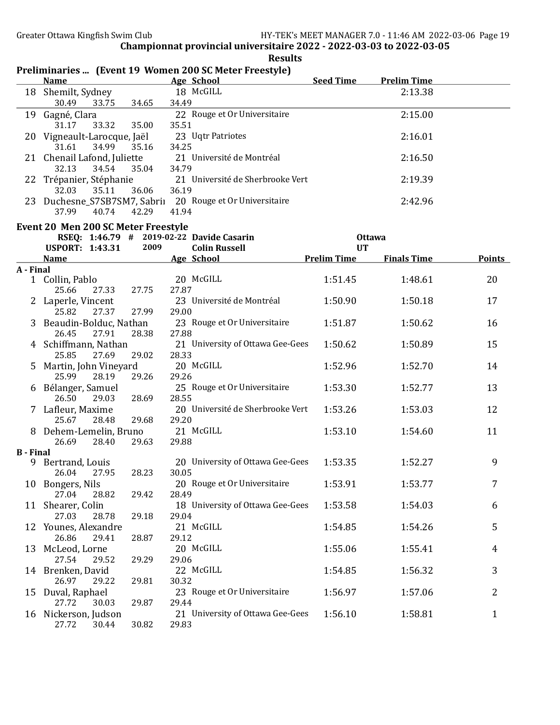|                  |                                               |                | Preliminaries  (Event 19 Women 200 SC Meter Freestyle)             |                            |                    |               |
|------------------|-----------------------------------------------|----------------|--------------------------------------------------------------------|----------------------------|--------------------|---------------|
|                  | <b>Name</b>                                   |                | Age School                                                         | <b>Seed Time</b>           | <b>Prelim Time</b> |               |
|                  | 18 Shemilt, Sydney<br>30.49<br>33.75          | 34.65          | 18 McGILL<br>34.49                                                 |                            | 2:13.38            |               |
| 19               | Gagné, Clara<br>31.17<br>33.32                | 35.00          | 22 Rouge et Or Universitaire<br>35.51                              |                            | 2:15.00            |               |
|                  | 20 Vigneault-Larocque, Jaël<br>31.61<br>34.99 |                | 23 Uqtr Patriotes<br>34.25                                         |                            | 2:16.01            |               |
|                  | 21 Chenail Lafond, Juliette<br>32.13<br>34.54 | 35.16<br>35.04 | 21 Université de Montréal<br>34.79                                 |                            | 2:16.50            |               |
|                  | 22 Trépanier, Stéphanie<br>32.03<br>35.11     | 36.06          | 21 Université de Sherbrooke Vert<br>36.19                          |                            | 2:19.39            |               |
|                  | 37.99<br>40.74                                | 42.29          | 23 Duchesne_S7SB7SM7, Sabrii 20 Rouge et Or Universitaire<br>41.94 |                            | 2:42.96            |               |
|                  | Event 20 Men 200 SC Meter Freestyle           |                |                                                                    |                            |                    |               |
|                  | <b>USPORT: 1:43.31</b>                        | 2009           | RSEQ: 1:46.79 # 2019-02-22 Davide Casarin<br><b>Colin Russell</b>  | <b>Ottawa</b><br><b>UT</b> |                    |               |
|                  | <b>Name</b>                                   |                | <b>Age School</b>                                                  | <b>Prelim Time</b>         | <b>Finals Time</b> | <b>Points</b> |
| A - Final        |                                               |                |                                                                    |                            |                    |               |
|                  | 1 Collin, Pablo<br>25.66<br>27.33             | 27.75          | 20 McGILL<br>27.87                                                 | 1:51.45                    | 1:48.61            | 20            |
|                  | Laperle, Vincent                              |                | 23 Université de Montréal                                          | 1:50.90                    | 1:50.18            | 17            |
|                  | 25.82<br>27.37                                | 27.99          | 29.00                                                              |                            |                    |               |
| 3                | Beaudin-Bolduc, Nathan<br>26.45<br>27.91      | 28.38          | 23 Rouge et Or Universitaire<br>27.88                              | 1:51.87                    | 1:50.62            | 16            |
| 4                | Schiffmann, Nathan<br>25.85<br>27.69          | 29.02          | 21 University of Ottawa Gee-Gees<br>28.33                          | 1:50.62                    | 1:50.89            | 15            |
| 5                | Martin, John Vineyard<br>25.99<br>28.19       | 29.26          | 20 McGILL<br>29.26                                                 | 1:52.96                    | 1:52.70            | 14            |
| 6                | Bélanger, Samuel<br>26.50<br>29.03            | 28.69          | 25 Rouge et Or Universitaire<br>28.55                              | 1:53.30                    | 1:52.77            | 13            |
| 7                | Lafleur, Maxime                               |                | 20 Université de Sherbrooke Vert                                   | 1:53.26                    | 1:53.03            | 12            |
|                  | 25.67<br>28.48                                | 29.68          | 29.20<br>21 McGILL                                                 |                            |                    | 11            |
|                  | Dehem-Lemelin, Bruno<br>26.69<br>28.40        | 29.63          | 29.88                                                              | 1:53.10                    | 1:54.60            |               |
| <b>B</b> - Final |                                               |                |                                                                    |                            |                    |               |
| 9                | Bertrand, Louis<br>26.04 27.95                | 28.23          | 20 University of Ottawa Gee-Gees<br>30.05                          | 1:53.35                    | 1:52.27            | 9             |
|                  | 10 Bongers, Nils                              |                | 20 Rouge et Or Universitaire                                       | 1:53.91                    | 1:53.77            | 7             |
|                  | 27.04<br>28.82<br>11 Shearer, Colin           | 29.42          | 28.49<br>18 University of Ottawa Gee-Gees                          | 1:53.58                    | 1:54.03            | 6             |
|                  | 27.03<br>28.78                                | 29.18          | 29.04                                                              |                            |                    |               |
|                  | 12 Younes, Alexandre<br>26.86<br>29.41        | 28.87          | 21 McGILL<br>29.12                                                 | 1:54.85                    | 1:54.26            | 5             |
|                  | 13 McLeod, Lorne<br>27.54<br>29.52            | 29.29          | 20 McGILL<br>29.06                                                 | 1:55.06                    | 1:55.41            | 4             |
|                  | 14 Brenken, David<br>26.97<br>29.22           | 29.81          | 22 McGILL<br>30.32                                                 | 1:54.85                    | 1:56.32            | 3             |
|                  | 15 Duval, Raphael<br>27.72<br>30.03           | 29.87          | 23 Rouge et Or Universitaire<br>29.44                              | 1:56.97                    | 1:57.06            | 2             |
|                  | 16 Nickerson, Judson<br>27.72<br>30.44        | 30.82          | 21 University of Ottawa Gee-Gees<br>29.83                          | 1:56.10                    | 1:58.81            | $\mathbf{1}$  |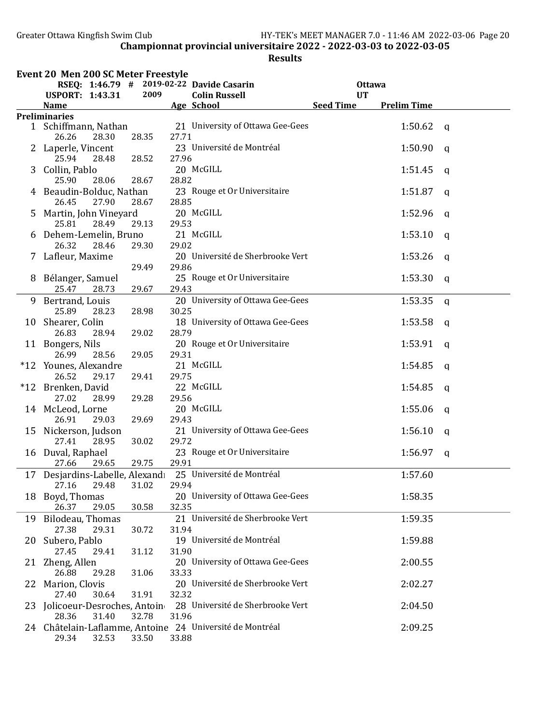|    | Event 20 Men 200 SC Meter Freestyle               |       |       |                                                          |                  |                    |              |
|----|---------------------------------------------------|-------|-------|----------------------------------------------------------|------------------|--------------------|--------------|
|    | RSEQ: 1:46.79 # 2019-02-22 Davide Casarin         |       |       |                                                          | <b>Ottawa</b>    |                    |              |
|    | <b>USPORT: 1:43.31</b>                            | 2009  |       | <b>Colin Russell</b>                                     | <b>UT</b>        |                    |              |
|    | <b>Name</b><br><b>Preliminaries</b>               |       |       | Age School                                               | <b>Seed Time</b> | <b>Prelim Time</b> |              |
|    | 1 Schiffmann, Nathan<br>26.26<br>28.30            | 28.35 | 27.71 | 21 University of Ottawa Gee-Gees                         |                  | 1:50.62            | $\mathsf{q}$ |
|    | 2 Laperle, Vincent<br>25.94<br>28.48              | 28.52 | 27.96 | 23 Université de Montréal                                |                  | 1:50.90            | $\mathsf{q}$ |
| 3  | Collin, Pablo<br>25.90<br>28.06                   | 28.67 | 28.82 | 20 McGILL                                                |                  | 1:51.45            | q            |
|    | 4 Beaudin-Bolduc, Nathan<br>26.45<br>27.90        | 28.67 | 28.85 | 23 Rouge et Or Universitaire                             |                  | 1:51.87            | $\mathsf{q}$ |
| 5  | Martin, John Vineyard<br>28.49<br>25.81           | 29.13 | 29.53 | 20 McGILL                                                |                  | 1:52.96            | $\mathsf{q}$ |
|    | 6 Dehem-Lemelin, Bruno<br>26.32<br>28.46          | 29.30 | 29.02 | 21 McGILL                                                |                  | 1:53.10            | q            |
|    | 7 Lafleur, Maxime                                 | 29.49 | 29.86 | 20 Université de Sherbrooke Vert                         |                  | 1:53.26            | q            |
|    | 8 Bélanger, Samuel<br>25.47<br>28.73              | 29.67 | 29.43 | 25 Rouge et Or Universitaire                             |                  | 1:53.30            | q            |
|    | 9 Bertrand, Louis<br>25.89<br>28.23               | 28.98 | 30.25 | 20 University of Ottawa Gee-Gees                         |                  | 1:53.35            | q            |
|    | 10 Shearer, Colin<br>26.83<br>28.94               | 29.02 | 28.79 | 18 University of Ottawa Gee-Gees                         |                  | 1:53.58            | q            |
|    | 11 Bongers, Nils<br>26.99<br>28.56                | 29.05 | 29.31 | 20 Rouge et Or Universitaire                             |                  | 1:53.91            | q            |
|    | *12 Younes, Alexandre<br>26.52<br>29.17           | 29.41 | 29.75 | 21 McGILL                                                |                  | 1:54.85            | q            |
|    | *12 Brenken, David<br>27.02<br>28.99              | 29.28 | 29.56 | 22 McGILL                                                |                  | 1:54.85            | $\mathsf{q}$ |
|    | 14 McLeod, Lorne<br>26.91<br>29.03                | 29.69 | 29.43 | 20 McGILL                                                |                  | 1:55.06            | q            |
|    | 15 Nickerson, Judson<br>27.41<br>28.95            | 30.02 | 29.72 | 21 University of Ottawa Gee-Gees                         |                  | 1:56.10            | $\mathsf{q}$ |
|    | 16 Duval, Raphael<br>27.66<br>29.65               | 29.75 | 29.91 | 23 Rouge et Or Universitaire                             |                  | 1:56.97            | q            |
|    | 17 Desjardins-Labelle, Alexandı<br>27.16<br>29.48 | 31.02 | 29.94 | 25 Université de Montréal                                |                  | 1:57.60            |              |
| 18 | Boyd, Thomas<br>29.05<br>26.37                    | 30.58 | 32.35 | 20 University of Ottawa Gee-Gees                         |                  | 1:58.35            |              |
|    | 19 Bilodeau, Thomas<br>27.38<br>29.31             | 30.72 | 31.94 | 21 Université de Sherbrooke Vert                         |                  | 1:59.35            |              |
| 20 | Subero, Pablo<br>27.45<br>29.41                   | 31.12 | 31.90 | 19 Université de Montréal                                |                  | 1:59.88            |              |
|    | 21 Zheng, Allen<br>26.88<br>29.28                 | 31.06 | 33.33 | 20 University of Ottawa Gee-Gees                         |                  | 2:00.55            |              |
| 22 | Marion, Clovis<br>27.40<br>30.64                  | 31.91 | 32.32 | 20 Université de Sherbrooke Vert                         |                  | 2:02.27            |              |
| 23 | Jolicoeur-Desroches, Antoin<br>28.36<br>31.40     | 32.78 | 31.96 | 28 Université de Sherbrooke Vert                         |                  | 2:04.50            |              |
|    | 29.34<br>32.53                                    | 33.50 | 33.88 | 24 Châtelain-Laflamme, Antoine 24 Université de Montréal |                  | 2:09.25            |              |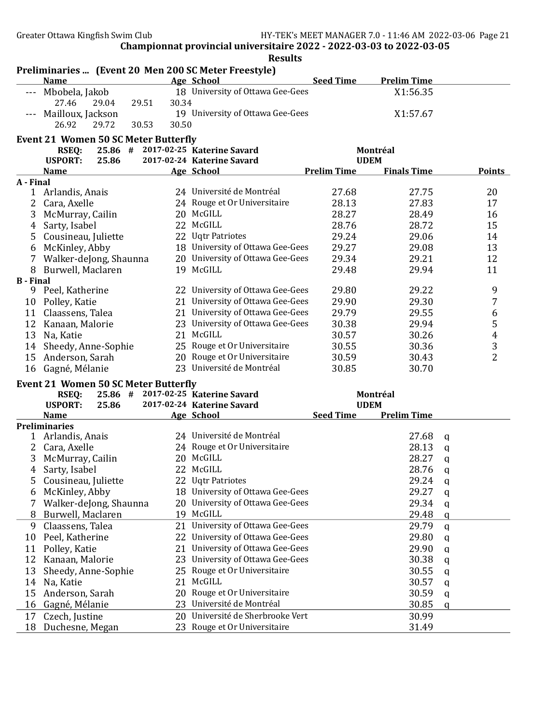|                  | Preliminaries  (Event 20 Men 200 SC Meter Freestyle)<br><b>Name</b> |       | Age School                         | <b>Seed Time</b>   | <b>Prelim Time</b> |              |                         |
|------------------|---------------------------------------------------------------------|-------|------------------------------------|--------------------|--------------------|--------------|-------------------------|
|                  |                                                                     |       |                                    |                    |                    |              |                         |
|                  | --- Mbobela, Jakob                                                  |       | 18 University of Ottawa Gee-Gees   |                    | X1:56.35           |              |                         |
|                  | 27.46<br>29.04<br>29.51                                             | 30.34 |                                    |                    |                    |              |                         |
|                  | Mailloux, Jackson                                                   |       | 19 University of Ottawa Gee-Gees   |                    | X1:57.67           |              |                         |
|                  | 26.92<br>29.72<br>30.53                                             | 30.50 |                                    |                    |                    |              |                         |
|                  | <b>Event 21 Women 50 SC Meter Butterfly</b>                         |       |                                    |                    |                    |              |                         |
|                  | <b>RSEQ:</b>                                                        |       | 25.86 # 2017-02-25 Katerine Savard |                    | Montréal           |              |                         |
|                  | <b>USPORT:</b><br>25.86                                             |       | 2017-02-24 Katerine Savard         |                    | <b>UDEM</b>        |              |                         |
|                  | <b>Name</b>                                                         |       | Age School                         | <b>Prelim Time</b> | <b>Finals Time</b> |              | <b>Points</b>           |
| A - Final        |                                                                     |       |                                    |                    |                    |              |                         |
|                  | 1 Arlandis, Anais                                                   |       | 24 Université de Montréal          | 27.68              | 27.75              |              | 20                      |
| 2                | Cara, Axelle                                                        |       | 24 Rouge et Or Universitaire       | 28.13              | 27.83              |              | 17                      |
| 3                | McMurray, Cailin                                                    |       | 20 McGILL                          | 28.27              | 28.49              |              | 16                      |
| 4                | Sarty, Isabel                                                       |       | 22 McGILL                          | 28.76              | 28.72              |              | 15                      |
| 5                | Cousineau, Juliette                                                 |       | 22 Uqtr Patriotes                  | 29.24              | 29.06              |              | 14                      |
| 6                | McKinley, Abby                                                      |       | 18 University of Ottawa Gee-Gees   | 29.27              | 29.08              |              | 13                      |
| 7                | Walker-deJong, Shaunna                                              |       | 20 University of Ottawa Gee-Gees   | 29.34              | 29.21              |              | 12                      |
| 8                | Burwell, Maclaren                                                   |       | 19 McGILL                          | 29.48              | 29.94              |              | 11                      |
| <b>B</b> - Final |                                                                     |       |                                    |                    |                    |              |                         |
|                  | 9 Peel, Katherine                                                   |       | 22 University of Ottawa Gee-Gees   | 29.80              | 29.22              |              | $\boldsymbol{9}$        |
|                  | 10 Polley, Katie                                                    |       | 21 University of Ottawa Gee-Gees   | 29.90              | 29.30              |              | 7                       |
|                  | 11 Claassens, Talea                                                 |       | 21 University of Ottawa Gee-Gees   | 29.79              | 29.55              |              | 6                       |
|                  | 12 Kanaan, Malorie                                                  |       | 23 University of Ottawa Gee-Gees   | 30.38              | 29.94              |              | 5                       |
|                  | 13 Na, Katie                                                        |       | 21 McGILL                          | 30.57              | 30.26              |              | $\overline{\mathbf{4}}$ |
| 14               | Sheedy, Anne-Sophie                                                 |       | 25 Rouge et Or Universitaire       | 30.55              | 30.36              |              | 3                       |
| 15               | Anderson, Sarah                                                     |       | 20 Rouge et Or Universitaire       | 30.59              | 30.43              |              | $\overline{2}$          |
|                  | 16 Gagné, Mélanie                                                   |       | 23 Université de Montréal          | 30.85              | 30.70              |              |                         |
|                  |                                                                     |       |                                    |                    |                    |              |                         |
|                  | <b>Event 21 Women 50 SC Meter Butterfly</b><br><b>RSEQ:</b>         |       | 25.86 # 2017-02-25 Katerine Savard |                    | Montréal           |              |                         |
|                  | <b>USPORT:</b><br>25.86                                             |       | 2017-02-24 Katerine Savard         |                    | <b>UDEM</b>        |              |                         |
|                  | <b>Name</b>                                                         |       | Age School                         | <b>Seed Time</b>   | <b>Prelim Time</b> |              |                         |
|                  | <b>Preliminaries</b>                                                |       |                                    |                    |                    |              |                         |
|                  | 1 Arlandis, Anais                                                   |       | 24 Université de Montréal          |                    | 27.68              | q            |                         |
|                  | 2 Cara, Axelle                                                      |       | 24 Rouge et Or Universitaire       |                    | 28.13              | q            |                         |
| 3                | McMurray, Cailin                                                    |       | 20 McGILL                          |                    | 28.27              | q            |                         |
| $\overline{4}$   | Sarty, Isabel                                                       |       | 22 McGILL                          |                    | 28.76              | $\mathsf{q}$ |                         |
| 5                | Cousineau, Juliette                                                 |       | 22 Uqtr Patriotes                  |                    | 29.24              | q            |                         |
| 6                | McKinley, Abby                                                      |       | 18 University of Ottawa Gee-Gees   |                    | 29.27              | q            |                         |
| 7                | Walker-deJong, Shaunna                                              |       | 20 University of Ottawa Gee-Gees   |                    | 29.34              | q            |                         |
| 8                | Burwell, Maclaren                                                   |       | 19 McGILL                          |                    | 29.48              | q            |                         |
| 9                | Claassens, Talea                                                    |       | 21 University of Ottawa Gee-Gees   |                    | 29.79              |              |                         |
|                  |                                                                     |       | 22 University of Ottawa Gee-Gees   |                    |                    | $\mathbf q$  |                         |
| 10               | Peel, Katherine                                                     |       | University of Ottawa Gee-Gees      |                    | 29.80              | q            |                         |
| 11               | Polley, Katie                                                       | 21    | University of Ottawa Gee-Gees      |                    | 29.90              | q            |                         |
| 12               | Kanaan, Malorie                                                     | 23    |                                    |                    | 30.38              | q            |                         |
| 13               | Sheedy, Anne-Sophie                                                 | 25    | Rouge et Or Universitaire          |                    | 30.55              | q            |                         |
| 14               | Na, Katie                                                           | 21    | McGILL                             |                    | 30.57              | q            |                         |
| 15               | Anderson, Sarah                                                     |       | 20 Rouge et Or Universitaire       |                    | 30.59              | q            |                         |
| 16               | Gagné, Mélanie                                                      | 23    | Université de Montréal             |                    | 30.85              | q            |                         |
| 17               | Czech, Justine                                                      |       | 20 Université de Sherbrooke Vert   |                    | 30.99              |              |                         |
| 18               | Duchesne, Megan                                                     |       | 23 Rouge et Or Universitaire       |                    | 31.49              |              |                         |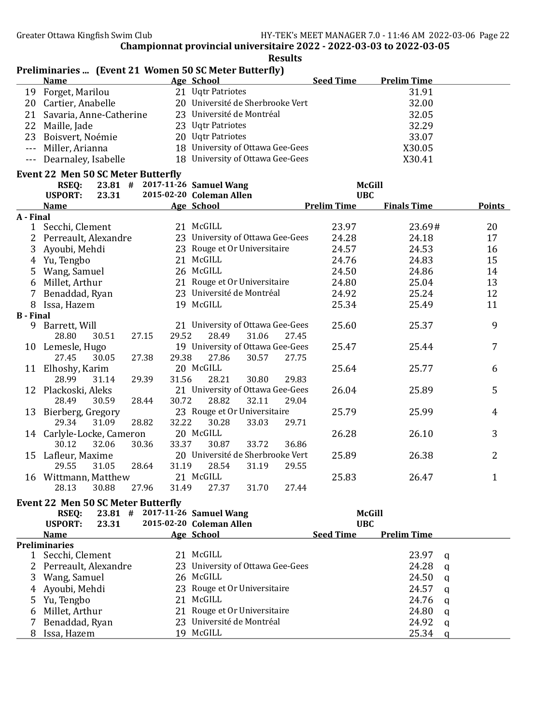Results

## Preliminaries ... (Event 21 Women 50 SC Meter Butterfly)<br>Name Age School **Name** Age School Seed Time Prelim Time<br>Forget, Marilou 21 Uqtr Patriotes 31.91 19 Forget, Marilou 21 Uqtr Patriotes 31.91 20 Cartier, Anabelle 20 Université de Sherbrooke Vert 32.00 21 Savaria, Anne-Catherine 23 Université de Montréal 32.05 22 Maille, Jade 23 Uqtr Patriotes 22 Maille, Jade 23 Uqtr Patriotes 32.29 23 Boisvert, Noémie 20 Uqtr Patriotes 33.07 --- Miller, Arianna 18 University of Ottawa Gee-Gees X30.05 --- Dearnaley, Isabelle 18 University of Ottawa Gee-Gees X30.41

# Event 22 Men 50 SC Meter Butterfly

| <b>RSEQ:</b>                    | $23.81$ # | 2017-11-26 Samuel Wang |                                  |       |       | <b>McGill</b>      |                    |                |
|---------------------------------|-----------|------------------------|----------------------------------|-------|-------|--------------------|--------------------|----------------|
| <b>USPORT:</b>                  | 23.31     |                        | 2015-02-20 Coleman Allen         |       |       | <b>UBC</b>         |                    |                |
| <b>Name</b>                     |           |                        | Age School                       |       |       | <b>Prelim Time</b> | <b>Finals Time</b> | <b>Points</b>  |
| A - Final                       |           |                        |                                  |       |       |                    |                    |                |
| Secchi, Clement<br>$\mathbf{1}$ |           |                        | 21 McGILL                        |       |       | 23.97              | 23.69#             | 20             |
| 2<br>Perreault, Alexandre       |           |                        | 23 University of Ottawa Gee-Gees |       |       | 24.28              | 24.18              | 17             |
| 3<br>Ayoubi, Mehdi              |           |                        | 23 Rouge et Or Universitaire     |       |       | 24.57              | 24.53              | 16             |
| Yu, Tengbo<br>4                 |           |                        | 21 McGILL                        |       |       | 24.76              | 24.83              | 15             |
| 5<br>Wang, Samuel               |           |                        | 26 McGILL                        |       |       | 24.50              | 24.86              | 14             |
| Millet, Arthur<br>6             |           | 21                     | Rouge et Or Universitaire        |       |       | 24.80              | 25.04              | 13             |
| Benaddad, Ryan<br>7             |           |                        | 23 Université de Montréal        |       |       | 24.92              | 25.24              | 12             |
| Issa, Hazem<br>8                |           |                        | 19 McGILL                        |       |       | 25.34              | 25.49              | 11             |
| <b>B</b> - Final                |           |                        |                                  |       |       |                    |                    |                |
| Barrett, Will<br>9              |           |                        | 21 University of Ottawa Gee-Gees |       |       | 25.60              | 25.37              | 9              |
| 28.80                           | 30.51     | 27.15<br>29.52         | 28.49                            | 31.06 | 27.45 |                    |                    |                |
| Lemesle, Hugo<br>10             |           |                        | 19 University of Ottawa Gee-Gees |       |       | 25.47              | 25.44              | $\overline{7}$ |
| 27.45                           | 30.05     | 27.38<br>29.38         | 27.86                            | 30.57 | 27.75 |                    |                    |                |
| Elhoshy, Karim<br>11            |           |                        | 20 McGILL                        |       |       | 25.64              | 25.77              | 6              |
| 28.99                           | 31.14     | 31.56<br>29.39         | 28.21                            | 30.80 | 29.83 |                    |                    |                |
| 12 Plackoski, Aleks             |           |                        | 21 University of Ottawa Gee-Gees |       |       | 26.04              | 25.89              | 5              |
| 28.49                           | 30.59     | 28.44<br>30.72         | 28.82                            | 32.11 | 29.04 |                    |                    |                |
| Bierberg, Gregory<br>13         |           |                        | 23 Rouge et Or Universitaire     |       |       | 25.79              | 25.99              | 4              |
| 29.34                           | 31.09     | 32.22<br>28.82         | 30.28                            | 33.03 | 29.71 |                    |                    |                |
| 14 Carlyle-Locke, Cameron       |           |                        | 20 McGILL                        |       |       | 26.28              | 26.10              | 3              |
| 30.12                           | 32.06     | 30.36<br>33.37         | 30.87                            | 33.72 | 36.86 |                    |                    |                |
| Lafleur, Maxime<br>15           |           |                        | 20 Université de Sherbrooke Vert |       |       | 25.89              | 26.38              | 2              |
| 29.55                           | 31.05     | 28.64<br>31.19         | 28.54                            | 31.19 | 29.55 |                    |                    |                |
| Wittmann, Matthew<br>16         |           |                        | 21 McGILL                        |       |       | 25.83              | 26.47              | $\mathbf{1}$   |
| 28.13                           | 30.88     | 31.49<br>27.96         | 27.37                            | 31.70 | 27.44 |                    |                    |                |

#### Event 22 Men 50 SC Meter Butterfly

|    | RSEQ:                   | $23.81$ # |     | 2017-11-26 Samuel Wang           |                  | McGill             |          |
|----|-------------------------|-----------|-----|----------------------------------|------------------|--------------------|----------|
|    | <b>USPORT:</b><br>23.31 |           |     | 2015-02-20 Coleman Allen         | <b>UBC</b>       |                    |          |
|    | <b>Name</b>             |           |     | Age School                       | <b>Seed Time</b> | <b>Prelim Time</b> |          |
|    | <b>Preliminaries</b>    |           |     |                                  |                  |                    |          |
|    | Secchi, Clement         |           |     | 21 McGILL                        |                  | 23.97              | a        |
|    | 2 Perreault, Alexandre  |           |     | 23 University of Ottawa Gee-Gees |                  | 24.28              | - a      |
| 3. | Wang, Samuel            |           |     | 26 McGILL                        |                  | 24.50              | <b>a</b> |
| 4  | Ayoubi, Mehdi           |           |     | 23 Rouge et Or Universitaire     |                  | 24.57              | a        |
| 5. | Yu, Tengbo              |           |     | 21 McGILL                        |                  | 24.76              | - a      |
| 6  | Millet, Arthur          |           |     | 21 Rouge et Or Universitaire     |                  | 24.80              | a        |
|    | Benaddad, Ryan          |           |     | 23 Université de Montréal        |                  | 24.92              | q        |
| 8  | Issa, Hazem             |           | 19. | McGILL                           |                  | 25.34              | a        |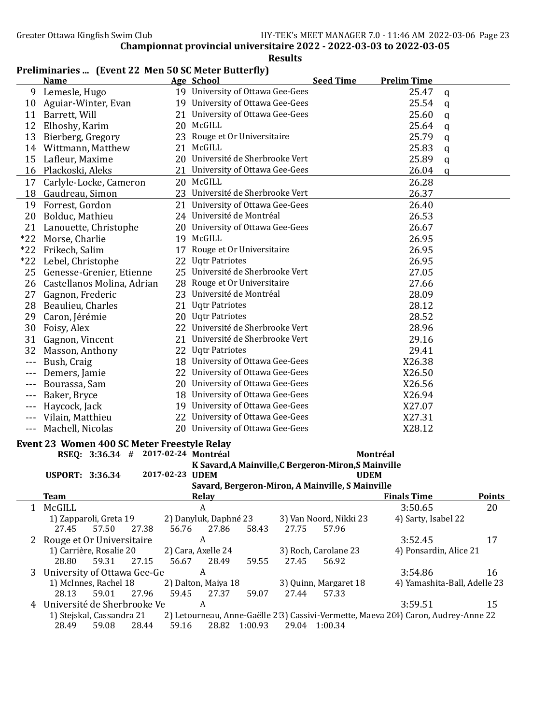## Name Age School Seed Time Prelim Time 9 Lemesle, Hugo 19 University of Ottawa Gee-Gees 25.47 q 10 Aguiar-Winter, Evan 19 University of Ottawa Gee-Gees 25.54 q 11 Barrett, Will 21 University of Ottawa Gee-Gees 25.60 q 12 Elhoshy, Karim 20 McGILL 25.64 q 13 Bierberg, Gregory 23 Rouge et Or Universitaire 25.79 q 14 Wittmann, Matthew 21 McGILL 25.83 q 15 Lafleur, Maxime 20 Université de Sherbrooke Vert 25.89 q 16 Plackoski, Aleks 21 University of Ottawa Gee-Gees 26.04 q 17 Carlyle-Locke, Cameron 20 McGILL 26.28 18 Gaudreau, Simon 23 Université de Sherbrooke Vert 26.37 19 Forrest, Gordon 21 University of Ottawa Gee-Gees 26.40 20 Bolduc, Mathieu 24 Université de Montréal 26.53 21 Lanouette, Christophe 20 University of Ottawa Gee-Gees 26.67 \*22 Morse, Charlie 19 McGILL 26.95 \*22 Frikech, Salim 17 Rouge et Or Universitaire 26.95 \*22 Lebel, Christophe 22 Uqtr Patriotes 26.95 25 Genesse-Grenier, Etienne 25 Université de Sherbrooke Vert 27.05 26 Castellanos Molina, Adrian 28 Rouge et Or Universitaire 27.66 27 Gagnon, Frederic 23 Université de Montréal 28.09 28 Beaulieu, Charles 21 Uqtr Patriotes 28.12 29 Caron, Jérémie 20 Uqtr Patriotes 28.52 30 Foisy, Alex 22 Université de Sherbrooke Vert 28.96 31 Gagnon, Vincent 21 Université de Sherbrooke Vert 29.16 32 Masson, Anthony 22 Uqtr Patriotes 29.41 --- Bush, Craig 18 University of Ottawa Gee-Gees X26.38 --- Demers, Jamie 22 University of Ottawa Gee-Gees X26.50 --- Bourassa, Sam 20 University of Ottawa Gee-Gees X26.56 --- Baker, Bryce 18 University of Ottawa Gee-Gees 726.94 --- Haycock, Jack 19 University of Ottawa Gee-Gees X27.07 --- Vilain, Matthieu 22 University of Ottawa Gee-Gees X27.31 --- Machell, Nicolas 20 University of Ottawa Gee-Gees X28.12 Event 23 Women 400 SC Meter Freestyle Relay RSEQ: 3:36.34 # 2017-02-24 Montréal Montréal Montréal K Savard,A Mainville,C Bergeron-Miron,S Mainville USPORT: 3:36.34 2017-02-23 UDEM UDEM Savard, Bergeron-Miron, A Mainville, S Mainville **Team** Relay Relay **Relay Relay Relay Relay Relay Relay** Relations **Relay Relations** Points 1 McGILL A 3:50.65 20 1) Zapparoli, Greta 19 2) Danyluk, Daphné 23 3) Van Noord, Nikki 23 4) Sarty, Isabel 22 27.45 57.50 27.38 56.76 27.86 58.43 27.75 57.96 2 Rouge et Or Universitaire A 3:52.45 17 1) Carrière, Rosalie 20 2) Cara, Axelle 24 3) Roch, Carolane 23 4) Ponsardin, Alice 21 28.80 59.31 27.15 56.67 28.49 59.55 27.45 56.92 3 University of Ottawa Gee-Ge A 3:54.86 16 1) McInnes, Rachel 18 2) Dalton, Maiya 18 3) Quinn, Margaret 18 4) Yamashita-Ball, Adelle 23 28.13 59.01 27.96 59.45 27.37 59.07 27.44 57.33 4 Université de Sherbrooke Ve $\overline{A}$  A 3:59.51 15

## Championnat provincial universitaire 2022 - 2022-03-03 to 2022-03-05

Results

#### Preliminaries ... (Event 22 Men 50 SC Meter Butterfly)

1) Stejskal, Cassandra 21 2) Letourneau, Anne-Gaëlle 213) Cassivi-Vermette, Maeva 204) Caron, Audrey-Anne 22 28.49 59.08 28.44 59.16 28.82 1:00.93 29.04 1:00.34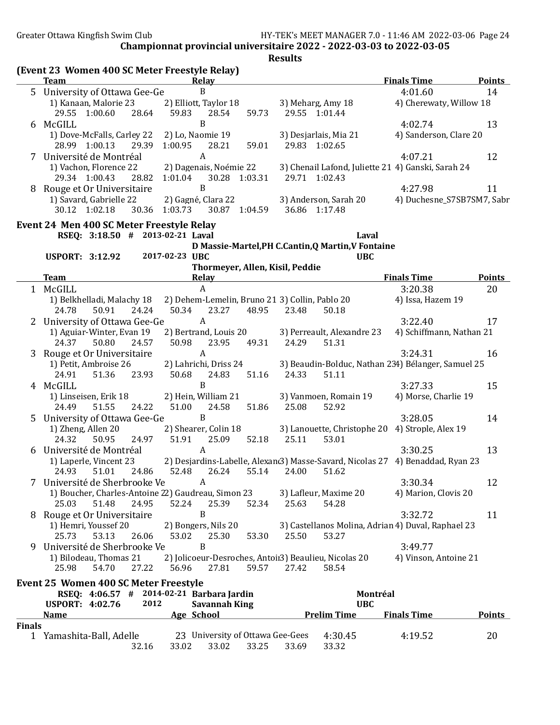Greater Ottawa Kingfish Swim Club HY-TEK's MEET MANAGER 7.0 - 11:46 AM 2022-03-06 Page 24

Championnat provincial universitaire 2022 - 2022-03-03 to 2022-03-05

|               | (Event 23 Women 400 SC Meter Freestyle Relay)<br><b>Team</b>              |       |                             | Relay                |                                  |       |                                                       | <b>Finals Time</b>                                                             |                                                                                                                         |
|---------------|---------------------------------------------------------------------------|-------|-----------------------------|----------------------|----------------------------------|-------|-------------------------------------------------------|--------------------------------------------------------------------------------|-------------------------------------------------------------------------------------------------------------------------|
|               | 5 University of Ottawa Gee-Ge                                             |       |                             | B                    |                                  |       |                                                       | 4:01.60                                                                        |                                                                                                                         |
|               | 1) Kanaan, Malorie 23                                                     |       | 2) Elliott, Taylor 18       |                      |                                  |       | 3) Meharg, Amy 18                                     | 4) Cherewaty, Willow 18                                                        | <b>Points</b><br>14<br>13<br>12<br>11<br><b>Points</b><br>20<br>17<br>16<br>15<br>14<br>13<br>12<br>11<br><b>Points</b> |
|               | 29.55 1:00.60                                                             | 28.64 | 59.83                       | 28.54                | 59.73                            |       | 29.55 1:01.44                                         |                                                                                |                                                                                                                         |
|               | 6 McGILL                                                                  |       |                             | $\boldsymbol{B}$     |                                  |       |                                                       | 4:02.74                                                                        |                                                                                                                         |
|               | 1) Dove-McFalls, Carley 22 2) Lo, Naomie 19                               |       |                             |                      |                                  |       | 3) Desjarlais, Mia 21                                 | 4) Sanderson, Clare 20                                                         |                                                                                                                         |
|               | 28.99 1:00.13                                                             | 29.39 | 1:00.95                     | 28.21                | 59.01                            |       | 29.83 1:02.65                                         |                                                                                |                                                                                                                         |
|               | 7 Université de Montréal                                                  |       |                             | $\boldsymbol{A}$     |                                  |       |                                                       | 4:07.21                                                                        |                                                                                                                         |
|               | 1) Vachon, Florence 22                                                    |       | 2) Dagenais, Noémie 22      |                      |                                  |       |                                                       | 3) Chenail Lafond, Juliette 21 4) Ganski, Sarah 24                             |                                                                                                                         |
|               | 29.34 1:00.43                                                             | 28.82 | 1:01.04 30.28 1:03.31       |                      |                                  |       | 29.71 1:02.43                                         |                                                                                |                                                                                                                         |
|               | 8 Rouge et Or Universitaire                                               |       |                             | $\, {\bf B}$         |                                  |       |                                                       | 4:27.98                                                                        |                                                                                                                         |
|               | 1) Savard, Gabrielle 22                                                   |       | 2) Gagné, Clara 22          |                      |                                  |       | 3) Anderson, Sarah 20                                 | 4) Duchesne_S7SB7SM7, Sabr                                                     |                                                                                                                         |
|               | 30.12 1:02.18                                                             |       | 30.36 1:03.73 30.87 1:04.59 |                      |                                  |       | 36.86 1:17.48                                         |                                                                                |                                                                                                                         |
|               | Event 24 Men 400 SC Meter Freestyle Relay                                 |       |                             |                      |                                  |       |                                                       |                                                                                |                                                                                                                         |
|               | RSEQ: 3:18.50 # 2013-02-21 Laval                                          |       |                             |                      |                                  |       | Laval                                                 |                                                                                |                                                                                                                         |
|               |                                                                           |       |                             |                      |                                  |       | D Massie-Martel, PH C.Cantin, Q Martin, V Fontaine    |                                                                                |                                                                                                                         |
|               | <b>USPORT: 3:12.92</b>                                                    |       | 2017-02-23 UBC              |                      |                                  |       | <b>UBC</b>                                            |                                                                                |                                                                                                                         |
|               |                                                                           |       |                             |                      | Thormeyer, Allen, Kisil, Peddie  |       |                                                       |                                                                                |                                                                                                                         |
|               | <b>Team</b>                                                               |       |                             | <b>Relay</b>         |                                  |       |                                                       | <b>Finals Time</b>                                                             |                                                                                                                         |
|               | 1 McGILL                                                                  |       |                             | $\mathbf{A}$         |                                  |       |                                                       | 3:20.38                                                                        |                                                                                                                         |
|               | 1) Belkhelladi, Malachy 18 2) Dehem-Lemelin, Bruno 21 3) Collin, Pablo 20 |       |                             |                      |                                  |       |                                                       | 4) Issa, Hazem 19                                                              |                                                                                                                         |
|               | 24.78<br>50.91                                                            | 24.24 | 50.34                       | 23.27                | 48.95                            | 23.48 | 50.18                                                 |                                                                                |                                                                                                                         |
|               | 2 University of Ottawa Gee-Ge                                             |       |                             | $\boldsymbol{A}$     |                                  |       |                                                       | 3:22.40                                                                        |                                                                                                                         |
|               | 1) Aguiar-Winter, Evan 19                                                 |       | 2) Bertrand, Louis 20       |                      |                                  |       | 3) Perreault, Alexandre 23                            | 4) Schiffmann, Nathan 21                                                       |                                                                                                                         |
|               | 24.37<br>50.80                                                            | 24.57 | 50.98 23.95                 |                      | 49.31                            | 24.29 | 51.31                                                 |                                                                                |                                                                                                                         |
|               | 3 Rouge et Or Universitaire                                               |       |                             | $\mathbf{A}$         |                                  |       |                                                       | 3:24.31                                                                        |                                                                                                                         |
|               | 1) Petit, Ambroise 26                                                     |       | 2) Lahrichi, Driss 24       |                      |                                  |       |                                                       | 3) Beaudin-Bolduc, Nathan 234) Bélanger, Samuel 25                             |                                                                                                                         |
|               | 24.91<br>51.36                                                            | 23.93 | 50.68                       | 24.83                | 51.16                            | 24.33 | 51.11                                                 |                                                                                |                                                                                                                         |
|               | 4 McGILL                                                                  |       |                             | B                    |                                  |       |                                                       | 3:27.33                                                                        |                                                                                                                         |
|               | 1) Linseisen, Erik 18                                                     |       | 2) Hein, William 21         |                      |                                  |       | 3) Vanmoen, Romain 19                                 | 4) Morse, Charlie 19                                                           |                                                                                                                         |
|               | 24.49<br>51.55                                                            | 24.22 | 51.00                       | 24.58                | 51.86                            | 25.08 | 52.92                                                 |                                                                                |                                                                                                                         |
|               | University of Ottawa Gee-Ge                                               |       |                             | B                    |                                  |       |                                                       | 3:28.05                                                                        |                                                                                                                         |
|               | 1) Zheng, Allen 20                                                        |       | 2) Shearer, Colin 18        |                      |                                  |       |                                                       | 3) Lanouette, Christophe 20 4) Strople, Alex 19                                |                                                                                                                         |
|               | 50.95<br>24.32                                                            | 24.97 | 51.91                       | 25.09                | 52.18                            | 25.11 | 53.01                                                 |                                                                                |                                                                                                                         |
|               | Université de Montréal                                                    |       |                             | $\boldsymbol{A}$     |                                  |       |                                                       | 3:30.25                                                                        |                                                                                                                         |
|               | 1) Laperle, Vincent 23                                                    |       |                             |                      |                                  |       |                                                       | 2) Desjardins-Labelle, Alexan(3) Masse-Savard, Nicolas 27 4) Benaddad, Ryan 23 |                                                                                                                         |
|               | 24.93<br>51.01                                                            | 24.86 | 52.48                       | 26.24                | 55.14                            | 24.00 | 51.62                                                 |                                                                                |                                                                                                                         |
|               | Université de Sherbrooke Ve                                               |       |                             | A                    |                                  |       |                                                       | 3:30.34                                                                        |                                                                                                                         |
|               | 1) Boucher, Charles-Antoine 22) Gaudreau, Simon 23                        |       |                             |                      |                                  |       | 3) Lafleur, Maxime 20                                 | 4) Marion, Clovis 20                                                           |                                                                                                                         |
|               | 25.03<br>51.48                                                            | 24.95 | 52.24                       | 25.39                | 52.34                            | 25.63 | 54.28                                                 |                                                                                |                                                                                                                         |
| 8             | Rouge et Or Universitaire                                                 |       |                             | B                    |                                  |       |                                                       | 3:32.72                                                                        |                                                                                                                         |
|               | 1) Hemri, Youssef 20                                                      |       | 2) Bongers, Nils 20         |                      |                                  |       |                                                       | 3) Castellanos Molina, Adrian 4) Duval, Raphael 23                             |                                                                                                                         |
|               | 53.13<br>25.73                                                            | 26.06 | 53.02                       | 25.30                | 53.30                            | 25.50 | 53.27                                                 |                                                                                |                                                                                                                         |
| 9             | Université de Sherbrooke Ve                                               |       |                             | B                    |                                  |       |                                                       | 3:49.77                                                                        |                                                                                                                         |
|               | 1) Bilodeau, Thomas 21                                                    |       |                             |                      |                                  |       | 2) Jolicoeur-Desroches, Antoii3) Beaulieu, Nicolas 20 | 4) Vinson, Antoine 21                                                          |                                                                                                                         |
|               | 25.98<br>54.70                                                            | 27.22 | 56.96                       | 27.81                | 59.57                            | 27.42 | 58.54                                                 |                                                                                |                                                                                                                         |
|               | Event 25 Women 400 SC Meter Freestyle                                     |       |                             |                      |                                  |       |                                                       |                                                                                |                                                                                                                         |
|               | RSEQ: 4:06.57 # 2014-02-21 Barbara Jardin                                 |       |                             |                      |                                  |       | Montréal                                              |                                                                                |                                                                                                                         |
|               | <b>USPORT: 4:02.76</b>                                                    | 2012  |                             | <b>Savannah King</b> |                                  |       | <b>UBC</b>                                            |                                                                                |                                                                                                                         |
|               | <b>Name</b>                                                               |       | Age School                  |                      |                                  |       | <b>Prelim Time</b>                                    | <b>Finals Time</b>                                                             |                                                                                                                         |
| <b>Finals</b> |                                                                           |       |                             |                      |                                  |       |                                                       |                                                                                |                                                                                                                         |
|               | 1 Yamashita-Ball, Adelle                                                  |       |                             |                      | 23 University of Ottawa Gee-Gees |       | 4:30.45                                               | 4:19.52                                                                        | 20                                                                                                                      |
|               |                                                                           | 32.16 | 33.02                       | 33.02                | 33.25                            | 33.69 | 33.32                                                 |                                                                                |                                                                                                                         |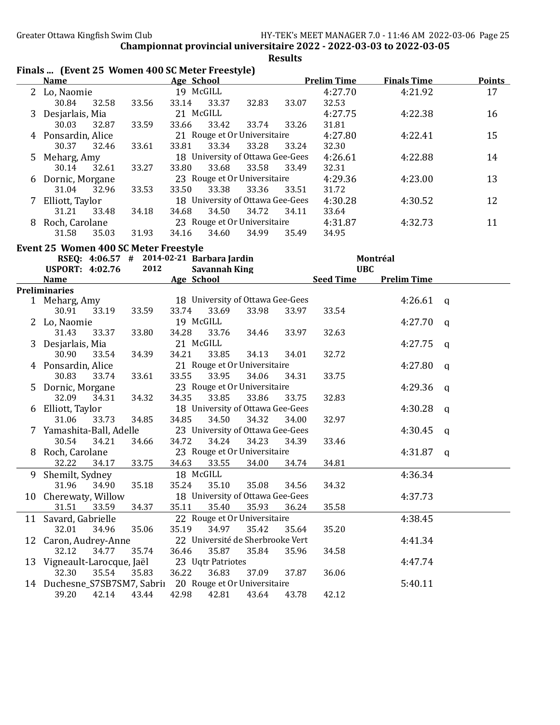|    | Finals  (Event 25 Women 400 SC Meter Freestyle) |       |                                           |       | would |                    |                    |              |               |
|----|-------------------------------------------------|-------|-------------------------------------------|-------|-------|--------------------|--------------------|--------------|---------------|
|    | <b>Name</b>                                     |       | Age School                                |       |       | <b>Prelim Time</b> | <b>Finals Time</b> |              | <b>Points</b> |
|    | 2 Lo, Naomie                                    |       | 19 McGILL                                 |       |       | 4:27.70            | 4:21.92            |              | 17            |
|    | 30.84<br>32.58                                  | 33.56 | 33.14<br>33.37                            | 32.83 | 33.07 | 32.53              |                    |              |               |
|    | 3 Desjarlais, Mia                               |       | 21 McGILL                                 |       |       | 4:27.75            | 4:22.38            |              | 16            |
|    | 30.03<br>32.87                                  | 33.59 | 33.42<br>33.66                            | 33.74 | 33.26 | 31.81              |                    |              |               |
|    | 4 Ponsardin, Alice                              |       | 21 Rouge et Or Universitaire              |       |       | 4:27.80            | 4:22.41            |              | 15            |
|    | 30.37<br>32.46                                  | 33.61 | 33.81<br>33.34                            | 33.28 | 33.24 | 32.30              |                    |              |               |
|    | 5 Meharg, Amy                                   |       | 18 University of Ottawa Gee-Gees          |       |       | 4:26.61            | 4:22.88            |              | 14            |
|    | 30.14<br>32.61                                  | 33.27 | 33.68<br>33.80                            | 33.58 | 33.49 | 32.31              |                    |              |               |
|    | 6 Dornic, Morgane                               |       | 23 Rouge et Or Universitaire              |       |       | 4:29.36            | 4:23.00            |              | 13            |
|    | 31.04<br>32.96                                  | 33.53 | 33.38<br>33.50                            | 33.36 | 33.51 | 31.72              |                    |              |               |
|    | 7 Elliott, Taylor                               |       | 18 University of Ottawa Gee-Gees          |       |       | 4:30.28            | 4:30.52            |              | 12            |
|    | 31.21<br>33.48                                  | 34.18 | 34.50<br>34.68                            | 34.72 | 34.11 | 33.64              |                    |              |               |
|    | 8 Roch, Carolane                                |       | 23 Rouge et Or Universitaire              |       |       | 4:31.87            | 4:32.73            |              | 11            |
|    | 35.03<br>31.58                                  | 31.93 | 34.16<br>34.60                            | 34.99 | 35.49 | 34.95              |                    |              |               |
|    |                                                 |       |                                           |       |       |                    |                    |              |               |
|    | <b>Event 25 Women 400 SC Meter Freestyle</b>    |       |                                           |       |       |                    |                    |              |               |
|    |                                                 | 2012  | RSEQ: 4:06.57 # 2014-02-21 Barbara Jardin |       |       | <b>UBC</b>         | Montréal           |              |               |
|    | <b>USPORT: 4:02.76</b>                          |       | <b>Savannah King</b>                      |       |       |                    |                    |              |               |
|    | <b>Name</b>                                     |       | Age School                                |       |       | <b>Seed Time</b>   | <b>Prelim Time</b> |              |               |
|    | <b>Preliminaries</b><br>1 Meharg, Amy           |       | 18 University of Ottawa Gee-Gees          |       |       |                    | 4:26.61            | $\mathbf{q}$ |               |
|    | 30.91<br>33.19                                  | 33.59 | 33.74<br>33.69                            | 33.98 | 33.97 | 33.54              |                    |              |               |
|    | 2 Lo, Naomie                                    |       | 19 McGILL                                 |       |       |                    | 4:27.70            |              |               |
|    | 33.37<br>31.43                                  | 33.80 | 34.28<br>33.76                            | 34.46 | 33.97 | 32.63              |                    | q            |               |
|    |                                                 |       | 21 McGILL                                 |       |       |                    |                    |              |               |
|    | 3 Desjarlais, Mia<br>30.90<br>33.54             | 34.39 | 34.21<br>33.85                            | 34.13 | 34.01 | 32.72              | 4:27.75            | $\mathsf{q}$ |               |
|    |                                                 |       | 21 Rouge et Or Universitaire              |       |       |                    |                    |              |               |
|    | 4 Ponsardin, Alice                              |       |                                           |       |       |                    | 4:27.80            | $\mathsf{q}$ |               |
|    | 30.83<br>33.74                                  | 33.61 | 33.55<br>33.95                            | 34.06 | 34.31 | 33.75              |                    |              |               |
|    | 5 Dornic, Morgane                               |       | 23 Rouge et Or Universitaire              |       |       |                    | 4:29.36            | q            |               |
|    | 32.09<br>34.31                                  | 34.32 | 34.35<br>33.85                            | 33.86 | 33.75 | 32.83              |                    |              |               |
|    | 6 Elliott, Taylor                               |       | 18 University of Ottawa Gee-Gees          |       |       | 32.97              | 4:30.28            | q            |               |
|    | 33.73<br>31.06                                  | 34.85 | 34.85<br>34.50                            | 34.32 | 34.00 |                    |                    |              |               |
|    | 7 Yamashita-Ball, Adelle                        |       | 23 University of Ottawa Gee-Gees          |       |       |                    | 4:30.45            | q            |               |
|    | 30.54<br>34.21                                  | 34.66 | 34.72<br>34.24                            | 34.23 | 34.39 | 33.46              |                    |              |               |
| 8  | Roch, Carolane                                  |       | 23 Rouge et Or Universitaire              |       |       | 34.81              | 4:31.87            | q            |               |
|    | 32.22<br>34.17                                  | 33.75 | 34.63<br>33.55                            | 34.00 | 34.74 |                    |                    |              |               |
| 9  | Shemilt, Sydney                                 |       | 18 McGILL                                 |       |       |                    | 4:36.34            |              |               |
|    | 31.96<br>34.90                                  | 35.18 | 35.24<br>35.10                            | 35.08 | 34.56 | 34.32              |                    |              |               |
|    | 10 Cherewaty, Willow                            |       | 18 University of Ottawa Gee-Gees          |       |       |                    | 4:37.73            |              |               |
|    | 31.51<br>33.59                                  | 34.37 | 35.11<br>35.40                            | 35.93 | 36.24 | 35.58              |                    |              |               |
| 11 | Savard, Gabrielle                               |       | 22 Rouge et Or Universitaire              |       |       |                    | 4:38.45            |              |               |
|    | 32.01<br>34.96                                  | 35.06 | 35.19<br>34.97                            | 35.42 | 35.64 | 35.20              |                    |              |               |
|    | 12 Caron, Audrey-Anne                           |       | 22 Université de Sherbrooke Vert          |       |       |                    | 4:41.34            |              |               |
|    | 32.12<br>34.77                                  | 35.74 | 36.46<br>35.87                            | 35.84 | 35.96 | 34.58              |                    |              |               |
|    | 13 Vigneault-Larocque, Jaël                     |       | 23 Uqtr Patriotes                         |       |       |                    | 4:47.74            |              |               |
|    | 32.30<br>35.54                                  | 35.83 | 36.22<br>36.83                            | 37.09 | 37.87 | 36.06              |                    |              |               |
|    | 14 Duchesne_S7SB7SM7, Sabrii                    |       | 20 Rouge et Or Universitaire              |       |       |                    | 5:40.11            |              |               |
|    | 39.20<br>42.14                                  | 43.44 | 42.98<br>42.81                            | 43.64 | 43.78 | 42.12              |                    |              |               |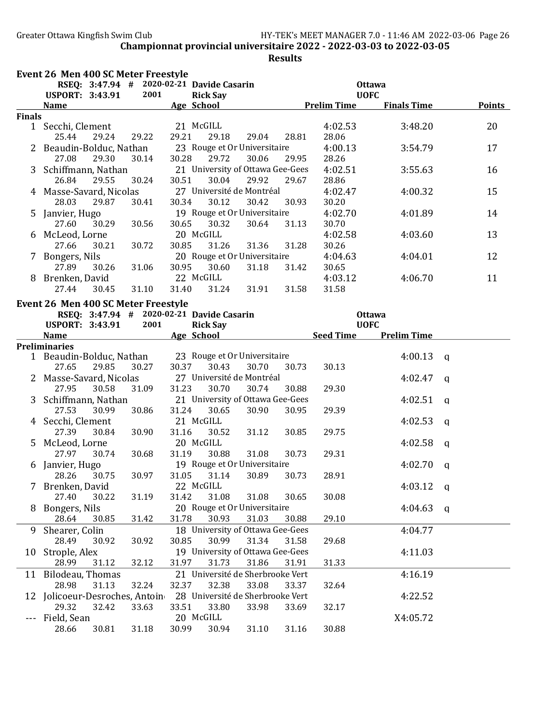|                    | Event 26 Men 400 SC Meter Freestyle       |       |                   |                                    |       |                    |                    |   |               |
|--------------------|-------------------------------------------|-------|-------------------|------------------------------------|-------|--------------------|--------------------|---|---------------|
|                    | RSEQ: 3:47.94 # 2020-02-21 Davide Casarin |       |                   |                                    |       |                    | <b>Ottawa</b>      |   |               |
|                    | <b>USPORT: 3:43.91</b>                    | 2001  | <b>Rick Say</b>   |                                    |       |                    | <b>UOFC</b>        |   |               |
|                    | Name                                      |       | Age School        |                                    |       | <b>Prelim Time</b> | <b>Finals Time</b> |   | <b>Points</b> |
| <b>Finals</b>      |                                           |       |                   |                                    |       |                    |                    |   |               |
|                    | 1 Secchi, Clement                         |       | 21 McGILL         |                                    |       | 4:02.53            | 3:48.20            |   | 20            |
|                    | 25.44<br>29.24                            | 29.22 | 29.21<br>29.18    | 29.04                              | 28.81 | 28.06              |                    |   |               |
|                    | Beaudin-Bolduc, Nathan                    |       |                   | 23 Rouge et Or Universitaire       |       | 4:00.13            | 3:54.79            |   | 17            |
|                    | 27.08<br>29.30                            | 30.14 | 30.28<br>29.72    | 30.06                              | 29.95 | 28.26              |                    |   |               |
| 3                  | Schiffmann, Nathan                        |       |                   | 21 University of Ottawa Gee-Gees   |       | 4:02.51            | 3:55.63            |   | 16            |
|                    | 26.84<br>29.55                            | 30.24 | 30.51<br>30.04    | 29.92<br>27 Université de Montréal | 29.67 | 28.86              |                    |   |               |
|                    | 4 Masse-Savard, Nicolas<br>28.03<br>29.87 | 30.41 | 30.12<br>30.34    | 30.42                              |       | 4:02.47<br>30.20   | 4:00.32            |   | 15            |
|                    | 5 Janvier, Hugo                           |       |                   | 19 Rouge et Or Universitaire       | 30.93 | 4:02.70            | 4:01.89            |   | 14            |
|                    | 27.60<br>30.29                            | 30.56 | 30.65<br>30.32    | 30.64                              | 31.13 | 30.70              |                    |   |               |
|                    | 6 McLeod, Lorne                           |       | 20 McGILL         |                                    |       | 4:02.58            | 4:03.60            |   | 13            |
|                    | 27.66<br>30.21                            | 30.72 | 30.85<br>31.26    | 31.36                              | 31.28 | 30.26              |                    |   |               |
|                    | 7 Bongers, Nils                           |       |                   | 20 Rouge et Or Universitaire       |       | 4:04.63            | 4:04.01            |   | 12            |
|                    | 27.89<br>30.26                            | 31.06 | 30.95<br>30.60    | 31.18                              | 31.42 | 30.65              |                    |   |               |
|                    | 8 Brenken, David                          |       | 22 McGILL         |                                    |       | 4:03.12            | 4:06.70            |   | 11            |
|                    | 27.44<br>30.45                            | 31.10 | 31.40<br>31.24    | 31.91                              | 31.58 | 31.58              |                    |   |               |
|                    |                                           |       |                   |                                    |       |                    |                    |   |               |
|                    | Event 26 Men 400 SC Meter Freestyle       |       |                   |                                    |       |                    |                    |   |               |
|                    | RSEQ: 3:47.94 # 2020-02-21 Davide Casarin |       |                   |                                    |       |                    | <b>Ottawa</b>      |   |               |
|                    | <b>USPORT: 3:43.91</b>                    | 2001  | <b>Rick Say</b>   |                                    |       |                    | <b>UOFC</b>        |   |               |
|                    | <b>Name</b><br><b>Preliminaries</b>       |       | Age School        |                                    |       | <b>Seed Time</b>   | <b>Prelim Time</b> |   |               |
|                    | 1 Beaudin-Bolduc, Nathan                  |       |                   | 23 Rouge et Or Universitaire       |       |                    | 4:00.13            | a |               |
|                    | 29.85<br>27.65                            | 30.27 | 30.43<br>30.37    | 30.70                              | 30.73 | 30.13              |                    |   |               |
|                    | 2 Masse-Savard, Nicolas                   |       |                   | 27 Université de Montréal          |       |                    | 4:02.47            | a |               |
|                    | 27.95<br>30.58                            | 31.09 | 31.23<br>30.70    | 30.74                              | 30.88 | 29.30              |                    |   |               |
| 3                  | Schiffmann, Nathan                        |       |                   | 21 University of Ottawa Gee-Gees   |       |                    | 4:02.51            | a |               |
|                    | 27.53<br>30.99                            | 30.86 | 31.24<br>30.65    | 30.90                              | 30.95 | 29.39              |                    |   |               |
|                    | 4 Secchi, Clement                         |       | 21 McGILL         |                                    |       |                    | 4:02.53            | a |               |
|                    | 27.39<br>30.84                            | 30.90 | 31.16<br>30.52    | 31.12                              | 30.85 | 29.75              |                    |   |               |
|                    | 5 McLeod, Lorne                           |       | 20 McGILL         |                                    |       |                    | 4:02.58            | a |               |
|                    | 27.97<br>30.74                            | 30.68 | 30.88<br>31.19    | 31.08                              | 30.73 | 29.31              |                    |   |               |
|                    | 6 Janvier, Hugo                           |       |                   | 19 Rouge et Or Universitaire       |       |                    | 4:02.70            | a |               |
|                    | 28.26 30.75                               | 30.97 | 31.05 31.14 30.89 |                                    | 30.73 | 28.91              |                    |   |               |
|                    | Brenken, David                            |       | 22 McGILL         |                                    |       |                    | 4:03.12            | q |               |
|                    | 27.40<br>30.22                            | 31.19 | 31.42<br>31.08    | 31.08                              | 30.65 | 30.08              |                    |   |               |
|                    | 8 Bongers, Nils                           |       |                   | 20 Rouge et Or Universitaire       |       |                    | 4:04.63            | q |               |
|                    | 28.64<br>30.85                            | 31.42 | 31.78<br>30.93    | 31.03                              | 30.88 | 29.10              |                    |   |               |
| 9                  | Shearer, Colin                            |       |                   | 18 University of Ottawa Gee-Gees   |       |                    | 4:04.77            |   |               |
|                    | 28.49<br>30.92                            | 30.92 | 30.99<br>30.85    | 31.34                              | 31.58 | 29.68              |                    |   |               |
| 10                 | Strople, Alex                             |       |                   | 19 University of Ottawa Gee-Gees   |       |                    | 4:11.03            |   |               |
|                    | 31.12<br>28.99                            | 32.12 | 31.73<br>31.97    | 31.86                              | 31.91 | 31.33              |                    |   |               |
|                    | 11 Bilodeau, Thomas                       |       |                   | 21 Université de Sherbrooke Vert   |       |                    | 4:16.19            |   |               |
|                    | 28.98<br>31.13                            | 32.24 | 32.37<br>32.38    | 33.08                              | 33.37 | 32.64              |                    |   |               |
|                    | 12 Jolicoeur-Desroches, Antoin            |       |                   | 28 Université de Sherbrooke Vert   |       |                    | 4:22.52            |   |               |
|                    | 29.32<br>32.42                            | 33.63 | 33.51<br>33.80    | 33.98                              | 33.69 | 32.17              |                    |   |               |
| $\qquad \qquad -1$ | Field, Sean                               |       | 20 McGILL         |                                    |       |                    | X4:05.72           |   |               |
|                    | 30.81<br>28.66                            | 31.18 | 30.94<br>30.99    | 31.10                              | 31.16 | 30.88              |                    |   |               |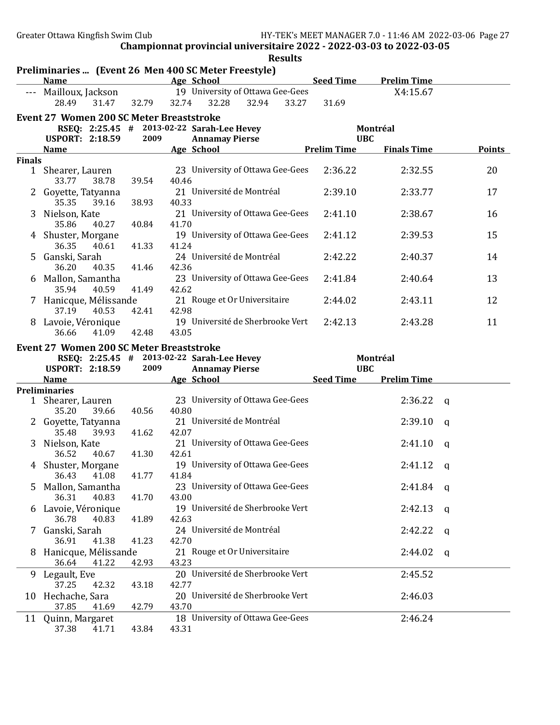Greater Ottawa Kingfish Swim Club HY-TEK's MEET MANAGER 7.0 - 11:46 AM 2022-03-06 Page 27

Championnat provincial universitaire 2022 - 2022-03-03 to 2022-03-05

|               |                                                                     |       |       |                           |                                           | <b>Results</b> |                    |                    |              |
|---------------|---------------------------------------------------------------------|-------|-------|---------------------------|-------------------------------------------|----------------|--------------------|--------------------|--------------|
|               | Preliminaries  (Event 26 Men 400 SC Meter Freestyle)<br><b>Name</b> |       |       | Age School                |                                           |                | <b>Seed Time</b>   | <b>Prelim Time</b> |              |
|               | --- Mailloux, Jackson<br>28.49<br>31.47                             | 32.79 | 32.74 | 32.28                     | 19 University of Ottawa Gee-Gees<br>32.94 | 33.27          | 31.69              | X4:15.67           |              |
|               | <b>Event 27 Women 200 SC Meter Breaststroke</b>                     |       |       |                           |                                           |                |                    |                    |              |
|               | RSEQ: 2:25.45 # 2013-02-22 Sarah-Lee Hevey                          |       |       |                           |                                           |                |                    | Montréal           |              |
|               | <b>USPORT: 2:18.59</b>                                              | 2009  |       | <b>Annamay Pierse</b>     |                                           |                | <b>UBC</b>         |                    |              |
| <b>Finals</b> | <b>Name</b>                                                         |       |       | Age School                |                                           |                | <b>Prelim Time</b> | <b>Finals Time</b> | Points       |
|               | 1 Shearer, Lauren<br>38.78<br>33.77                                 | 39.54 | 40.46 |                           | 23 University of Ottawa Gee-Gees          |                | 2:36.22            | 2:32.55            | 20           |
|               | Goyette, Tatyanna<br>35.35<br>39.16                                 | 38.93 | 40.33 | 21 Université de Montréal |                                           |                | 2:39.10            | 2:33.77            | 17           |
| 3             | Nielson, Kate<br>35.86<br>40.27                                     | 40.84 | 41.70 |                           | 21 University of Ottawa Gee-Gees          |                | 2:41.10            | 2:38.67            | 16           |
|               | 4 Shuster, Morgane<br>36.35<br>40.61                                | 41.33 | 41.24 |                           | 19 University of Ottawa Gee-Gees          |                | 2:41.12            | 2:39.53            | 15           |
| 5             | Ganski, Sarah<br>36.20<br>40.35                                     | 41.46 | 42.36 | 24 Université de Montréal |                                           |                | 2:42.22            | 2:40.37            | 14           |
| 6             | Mallon, Samantha<br>35.94<br>40.59                                  | 41.49 | 42.62 |                           | 23 University of Ottawa Gee-Gees          |                | 2:41.84            | 2:40.64            | 13           |
|               | 7 Hanicque, Mélissande<br>37.19<br>40.53                            | 42.41 | 42.98 |                           | 21 Rouge et Or Universitaire              |                | 2:44.02            | 2:43.11            | 12           |
| 8.            | Lavoie, Véronique<br>41.09<br>36.66                                 | 42.48 | 43.05 |                           | 19 Université de Sherbrooke Vert          |                | 2:42.13            | 2:43.28            | 11           |
|               | <b>Event 27 Women 200 SC Meter Breaststroke</b>                     |       |       |                           |                                           |                |                    |                    |              |
|               | RSEQ: 2:25.45 # 2013-02-22 Sarah-Lee Hevey                          |       |       |                           |                                           |                |                    | Montréal           |              |
|               | <b>USPORT: 2:18.59</b>                                              | 2009  |       | <b>Annamay Pierse</b>     |                                           |                | <b>UBC</b>         |                    |              |
|               | <b>Name</b>                                                         |       |       | Age School                |                                           |                | <b>Seed Time</b>   | <b>Prelim Time</b> |              |
|               | <b>Preliminaries</b>                                                |       |       |                           | 23 University of Ottawa Gee-Gees          |                |                    | 2:36.22            |              |
|               | 1 Shearer, Lauren<br>35.20<br>39.66                                 | 40.56 | 40.80 |                           |                                           |                |                    |                    | a            |
|               | 2 Goyette, Tatyanna<br>35.48<br>39.93                               | 41.62 | 42.07 | 21 Université de Montréal |                                           |                |                    | 2:39.10            | a            |
| 3             | Nielson, Kate<br>36.52<br>40.67                                     | 41.30 | 42.61 |                           | 21 University of Ottawa Gee-Gees          |                |                    | 2:41.10            | a            |
| 4             | Shuster, Morgane<br>41.08<br>36.43                                  | 41.77 | 41.84 |                           | 19 University of Ottawa Gee-Gees          |                |                    | 2:41.12            | $\mathbf{q}$ |
| 5             | Mallon, Samantha<br>36.31<br>40.83                                  | 41.70 | 43.00 |                           | 23 University of Ottawa Gee-Gees          |                |                    | 2:41.84            | q            |
|               | 6 Lavoie, Véronique<br>36.78<br>40.83                               | 41.89 | 42.63 |                           | 19 Université de Sherbrooke Vert          |                |                    | 2:42.13            | q            |
|               | 7 Ganski, Sarah<br>41.38<br>36.91                                   | 41.23 | 42.70 | 24 Université de Montréal |                                           |                |                    | 2:42.22            | q            |
| 8             | Hanicque, Mélissande<br>36.64<br>41.22                              | 42.93 | 43.23 |                           | 21 Rouge et Or Universitaire              |                |                    | 2:44.02            | q            |
| 9             | Legault, Eve<br>37.25<br>42.32                                      | 43.18 | 42.77 |                           | 20 Université de Sherbrooke Vert          |                |                    | 2:45.52            |              |
|               | 10 Hechache, Sara<br>37.85<br>41.69                                 | 42.79 | 43.70 |                           | 20 Université de Sherbrooke Vert          |                |                    | 2:46.03            |              |
| 11            | Quinn, Margaret<br>37.38<br>41.71                                   | 43.84 | 43.31 |                           | 18 University of Ottawa Gee-Gees          |                |                    | 2:46.24            |              |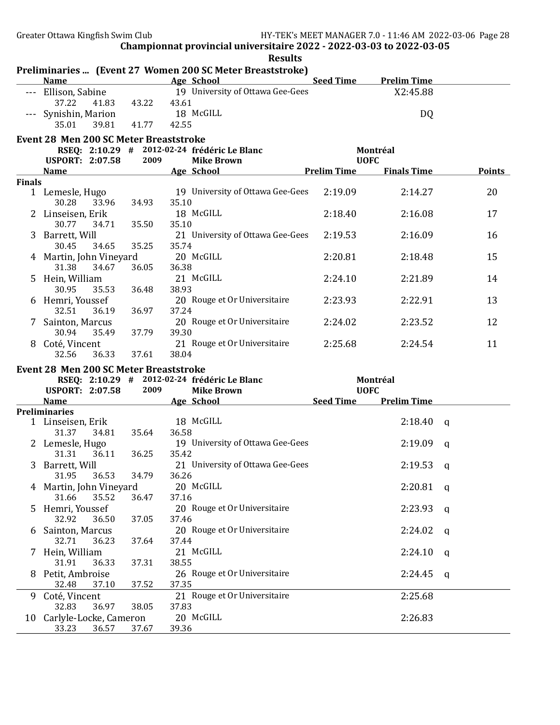|               | <b>Name</b>                                   |             | Preliminaries  (Event 27 Women 200 SC Meter Breaststroke)<br>and the School Age School<br><u> 1990 - Johann Barbara, martxa</u> | Seed Time   | <b>Prelim Time</b> |          |               |
|---------------|-----------------------------------------------|-------------|---------------------------------------------------------------------------------------------------------------------------------|-------------|--------------------|----------|---------------|
|               | --- Ellison, Sabine                           |             | 19 University of Ottawa Gee-Gees                                                                                                |             | X2:45.88           |          |               |
|               | 37.22                                         |             |                                                                                                                                 |             |                    |          |               |
|               | 41.83                                         | 43.22       | 43.61                                                                                                                           |             |                    |          |               |
|               | --- Synishin, Marion 18 McGILL                |             |                                                                                                                                 |             | DQ                 |          |               |
|               | 35.01<br>39.81                                | 41.77       | 42.55                                                                                                                           |             |                    |          |               |
|               | <b>Event 28 Men 200 SC Meter Breaststroke</b> |             |                                                                                                                                 |             |                    |          |               |
|               |                                               |             | RSEQ: 2:10.29 # 2012-02-24 frédéric Le Blanc                                                                                    |             | Montréal           |          |               |
|               | USPORT: 2:07.58 2009                          |             | <b>Mike Brown</b>                                                                                                               | <b>UOFC</b> |                    |          |               |
|               | Name Age School                               |             | <b>Example 2 Prelim Time</b>                                                                                                    |             | <b>Finals Time</b> |          | <b>Points</b> |
| <b>Finals</b> |                                               |             |                                                                                                                                 |             |                    |          |               |
|               | 1 Lemesle, Hugo                               |             | 19 University of Ottawa Gee-Gees                                                                                                | 2:19.09     | 2:14.27            | 20       |               |
|               | 33.96<br>30.28                                | 34.93       | 35.10                                                                                                                           |             |                    |          |               |
|               | 2 Linseisen, Erik                             |             | 18 McGILL                                                                                                                       | 2:18.40     | 2:16.08            | 17       |               |
|               | 30.77 34.71                                   | 35.50       | 35.10                                                                                                                           |             |                    |          |               |
|               | 3 Barrett, Will                               |             | 21 University of Ottawa Gee-Gees                                                                                                | 2:19.53     | 2:16.09            | 16       |               |
|               | 30.45<br>34.65                                | 35.25       | 35.74                                                                                                                           |             |                    |          |               |
|               | 4 Martin, John Vineyard                       |             | 20 McGILL                                                                                                                       | 2:20.81     | 2:18.48            | 15       |               |
|               | 31.38<br>34.67                                | 36.05       | 36.38                                                                                                                           |             |                    |          |               |
|               | 5 Hein, William                               |             | 21 McGILL                                                                                                                       | 2:24.10     | 2:21.89            | 14       |               |
|               | 30.95<br>35.53                                | 36.48       | 38.93                                                                                                                           |             |                    |          |               |
|               | 6 Hemri, Youssef                              |             | 20 Rouge et Or Universitaire                                                                                                    | 2:23.93     | 2:22.91            | 13       |               |
|               | 32.51<br>36.19                                | 36.97       | 37.24                                                                                                                           |             |                    |          |               |
|               | 7 Sainton, Marcus                             |             | 20 Rouge et Or Universitaire                                                                                                    | 2:24.02     | 2:23.52            | 12       |               |
|               | 30.94                                         | 37.79       | 39.30                                                                                                                           |             |                    |          |               |
|               | 35.49                                         |             |                                                                                                                                 |             |                    |          |               |
|               | 8 Coté, Vincent                               |             | 21 Rouge et Or Universitaire                                                                                                    | 2:25.68     | 2:24.54            | 11       |               |
|               | 32.56<br>36.33                                | 37.61       | 38.04                                                                                                                           |             |                    |          |               |
|               | <b>Event 28 Men 200 SC Meter Breaststroke</b> |             |                                                                                                                                 |             |                    |          |               |
|               |                                               |             | RSEQ: 2:10.29 # 2012-02-24 frédéric Le Blanc                                                                                    |             | Montréal           |          |               |
|               | <b>USPORT: 2:07.58</b>                        | 2009        | <b>Mike Brown</b>                                                                                                               | <b>UOFC</b> |                    |          |               |
|               | Name                                          |             | <b>Example 12 Seed Time Prelim Time</b><br><b>Example 2018</b> Age School                                                       |             |                    |          |               |
|               | <b>Preliminaries</b>                          |             |                                                                                                                                 |             |                    |          |               |
|               | 1 Linseisen, Erik                             |             | 18 McGILL                                                                                                                       |             | 2:18.40            | <b>a</b> |               |
|               | 31.37 34.81                                   | 35.64       | 36.58                                                                                                                           |             |                    |          |               |
|               | 2 Lemesle, Hugo                               |             | 19 University of Ottawa Gee-Gees                                                                                                |             | 2:19.09            | a        |               |
|               | 31.31 36.11                                   | 36.25       | 35.42                                                                                                                           |             |                    |          |               |
|               | 3 Barrett, Will                               |             | 21 University of Ottawa Gee-Gees                                                                                                |             | 2:19.53            | q        |               |
|               | 31.95 36.53                                   | 34.79 36.26 |                                                                                                                                 |             |                    |          |               |
|               | 4 Martin, John Vineyard                       |             | 20 McGILL                                                                                                                       |             | 2:20.81            | q        |               |
|               | 31.66<br>35.52                                | 36.47       | 37.16                                                                                                                           |             |                    |          |               |
| 5             | Hemri, Youssef                                |             | 20 Rouge et Or Universitaire                                                                                                    |             | 2:23.93            | q        |               |
|               | 32.92<br>36.50                                | 37.05       | 37.46                                                                                                                           |             |                    |          |               |
|               | 6 Sainton, Marcus                             |             | 20 Rouge et Or Universitaire                                                                                                    |             | 2:24.02            | a        |               |
|               | 32.71<br>36.23                                | 37.64       | 37.44                                                                                                                           |             |                    |          |               |
|               | 7 Hein, William                               |             | 21 McGILL                                                                                                                       |             | 2:24.10            | a        |               |
|               | 31.91<br>36.33                                | 37.31       | 38.55                                                                                                                           |             |                    |          |               |
| 8             | Petit, Ambroise                               |             | 26 Rouge et Or Universitaire                                                                                                    |             | 2:24.45            | q        |               |
|               | 32.48<br>37.10                                | 37.52       | 37.35                                                                                                                           |             |                    |          |               |
| 9             | Coté, Vincent                                 |             | 21 Rouge et Or Universitaire                                                                                                    |             | 2:25.68            |          |               |
|               | 32.83<br>36.97                                | 38.05       | 37.83                                                                                                                           |             |                    |          |               |
|               | 10 Carlyle-Locke, Cameron                     |             | 20 McGILL                                                                                                                       |             | 2:26.83            |          |               |
|               | 33.23<br>36.57                                | 37.67       | 39.36                                                                                                                           |             |                    |          |               |

# Results<br>ststroke)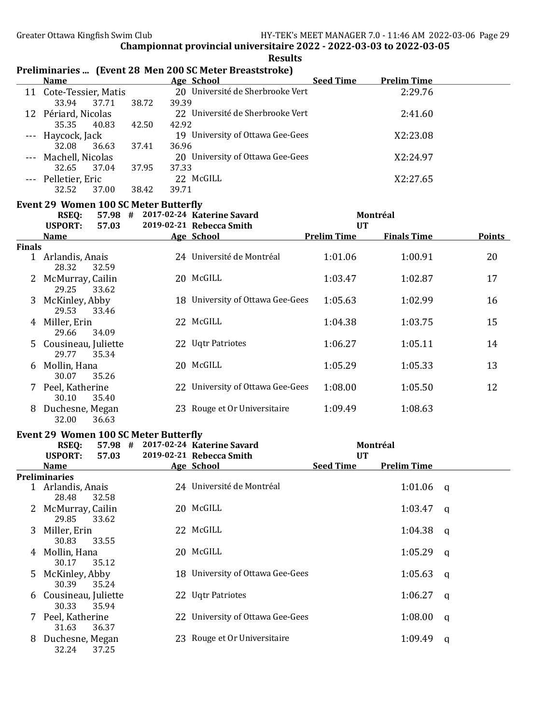| 20 Université de Sherbrooke Vert<br>2:29.76<br>11 Cote-Tessier, Matis<br>33.94<br>38.72<br>39.39<br>37.71<br>22 Université de Sherbrooke Vert<br>12 Périard, Nicolas<br>2:41.60<br>35.35<br>42.50<br>42.92<br>40.83<br>19 University of Ottawa Gee-Gees<br>X2:23.08<br>--- Haycock, Jack<br>32.08<br>36.63<br>37.41<br>36.96<br>20 University of Ottawa Gee-Gees<br>--- Machell, Nicolas<br>X2:24.97<br>32.65<br>37.04<br>37.95<br>37.33<br>22 McGILL<br>X2:27.65<br>--- Pelletier, Eric<br>32.52<br>37.00<br>38.42<br>39.71<br><b>Event 29 Women 100 SC Meter Butterfly</b><br>57.98 # 2017-02-24 Katerine Savard<br><b>RSEQ:</b><br>Montréal<br><b>USPORT:</b><br>2019-02-21 Rebecca Smith<br>57.03<br><b>UT</b><br><b>Prelim Time</b><br><b>Finals Time</b><br><b>Points</b><br><b>Name</b><br>Age School<br><b>Finals</b><br>24 Université de Montréal<br>1:01.06<br>20<br>1 Arlandis, Anais<br>1:00.91<br>28.32<br>32.59<br>20 McGILL<br>2 McMurray, Cailin<br>1:03.47<br>1:02.87<br>17<br>29.25<br>33.62<br>3 McKinley, Abby<br>18 University of Ottawa Gee-Gees<br>1:05.63<br>1:02.99<br>16<br>29.53<br>33.46<br>22 McGILL<br>15<br>4 Miller, Erin<br>1:04.38<br>1:03.75<br>29.66<br>34.09<br>22 Uqtr Patriotes<br>5 Cousineau, Juliette<br>1:06.27<br>1:05.11<br>14<br>29.77<br>35.34<br>20 McGILL<br>6 Mollin, Hana<br>1:05.29<br>13<br>1:05.33<br>30.07<br>35.26<br>22 University of Ottawa Gee-Gees<br>7 Peel, Katherine<br>1:08.00<br>12<br>1:05.50<br>35.40<br>30.10<br>23 Rouge et Or Universitaire<br>8 Duchesne, Megan<br>1:09.49<br>1:08.63<br>32.00<br>36.63<br><b>Event 29 Women 100 SC Meter Butterfly</b><br>57.98 # 2017-02-24 Katerine Savard<br>Montréal<br><b>RSEQ:</b><br><b>USPORT:</b><br>57.03<br>2019-02-21 Rebecca Smith<br><b>UT</b><br><b>Seed Time</b><br><b>Prelim Time</b><br>Age School<br><b>Name</b><br>Preliminaries<br>24 Université de Montréal<br>1:01.06<br>1 Arlandis, Anais<br>- q<br>28.48<br>32.58<br>20 McGILL<br>2 McMurray, Cailin<br>1:03.47<br>$\mathbf{q}$<br>29.85<br>33.62<br>22 McGILL<br>Miller, Erin<br>1:04.38<br>3.<br>q<br>30.83<br>33.55<br>20 McGILL<br>Mollin, Hana<br>1:05.29<br>4<br>q<br>30.17<br>35.12<br>18 University of Ottawa Gee-Gees<br>McKinley, Abby<br>1:05.63<br>5<br>q<br>30.39<br>35.24<br>22 Uqtr Patriotes<br>Cousineau, Juliette<br>1:06.27<br>6<br>q<br>30.33<br>35.94<br>22 University of Ottawa Gee-Gees<br>7 Peel, Katherine<br>1:08.00<br>q<br>31.63<br>36.37<br>23 Rouge et Or Universitaire<br>Duchesne, Megan<br>1:09.49<br>8<br>q | <b>Name</b> | Preliminaries  [Event 28 Men 200 SC Meter Breaststroke]<br>Age School | <b>Seed Time</b> | <b>Prelim Time</b> |  |
|--------------------------------------------------------------------------------------------------------------------------------------------------------------------------------------------------------------------------------------------------------------------------------------------------------------------------------------------------------------------------------------------------------------------------------------------------------------------------------------------------------------------------------------------------------------------------------------------------------------------------------------------------------------------------------------------------------------------------------------------------------------------------------------------------------------------------------------------------------------------------------------------------------------------------------------------------------------------------------------------------------------------------------------------------------------------------------------------------------------------------------------------------------------------------------------------------------------------------------------------------------------------------------------------------------------------------------------------------------------------------------------------------------------------------------------------------------------------------------------------------------------------------------------------------------------------------------------------------------------------------------------------------------------------------------------------------------------------------------------------------------------------------------------------------------------------------------------------------------------------------------------------------------------------------------------------------------------------------------------------------------------------------------------------------------------------------------------------------------------------------------------------------------------------------------------------------------------------------------------------------------------------------------------------------------------------------------------------------------------------------------------------------------------------------------------------------------------------------------------------------------------------------------|-------------|-----------------------------------------------------------------------|------------------|--------------------|--|
|                                                                                                                                                                                                                                                                                                                                                                                                                                                                                                                                                                                                                                                                                                                                                                                                                                                                                                                                                                                                                                                                                                                                                                                                                                                                                                                                                                                                                                                                                                                                                                                                                                                                                                                                                                                                                                                                                                                                                                                                                                                                                                                                                                                                                                                                                                                                                                                                                                                                                                                                |             |                                                                       |                  |                    |  |
|                                                                                                                                                                                                                                                                                                                                                                                                                                                                                                                                                                                                                                                                                                                                                                                                                                                                                                                                                                                                                                                                                                                                                                                                                                                                                                                                                                                                                                                                                                                                                                                                                                                                                                                                                                                                                                                                                                                                                                                                                                                                                                                                                                                                                                                                                                                                                                                                                                                                                                                                |             |                                                                       |                  |                    |  |
|                                                                                                                                                                                                                                                                                                                                                                                                                                                                                                                                                                                                                                                                                                                                                                                                                                                                                                                                                                                                                                                                                                                                                                                                                                                                                                                                                                                                                                                                                                                                                                                                                                                                                                                                                                                                                                                                                                                                                                                                                                                                                                                                                                                                                                                                                                                                                                                                                                                                                                                                |             |                                                                       |                  |                    |  |
|                                                                                                                                                                                                                                                                                                                                                                                                                                                                                                                                                                                                                                                                                                                                                                                                                                                                                                                                                                                                                                                                                                                                                                                                                                                                                                                                                                                                                                                                                                                                                                                                                                                                                                                                                                                                                                                                                                                                                                                                                                                                                                                                                                                                                                                                                                                                                                                                                                                                                                                                |             |                                                                       |                  |                    |  |
|                                                                                                                                                                                                                                                                                                                                                                                                                                                                                                                                                                                                                                                                                                                                                                                                                                                                                                                                                                                                                                                                                                                                                                                                                                                                                                                                                                                                                                                                                                                                                                                                                                                                                                                                                                                                                                                                                                                                                                                                                                                                                                                                                                                                                                                                                                                                                                                                                                                                                                                                |             |                                                                       |                  |                    |  |
|                                                                                                                                                                                                                                                                                                                                                                                                                                                                                                                                                                                                                                                                                                                                                                                                                                                                                                                                                                                                                                                                                                                                                                                                                                                                                                                                                                                                                                                                                                                                                                                                                                                                                                                                                                                                                                                                                                                                                                                                                                                                                                                                                                                                                                                                                                                                                                                                                                                                                                                                |             |                                                                       |                  |                    |  |
|                                                                                                                                                                                                                                                                                                                                                                                                                                                                                                                                                                                                                                                                                                                                                                                                                                                                                                                                                                                                                                                                                                                                                                                                                                                                                                                                                                                                                                                                                                                                                                                                                                                                                                                                                                                                                                                                                                                                                                                                                                                                                                                                                                                                                                                                                                                                                                                                                                                                                                                                |             |                                                                       |                  |                    |  |
|                                                                                                                                                                                                                                                                                                                                                                                                                                                                                                                                                                                                                                                                                                                                                                                                                                                                                                                                                                                                                                                                                                                                                                                                                                                                                                                                                                                                                                                                                                                                                                                                                                                                                                                                                                                                                                                                                                                                                                                                                                                                                                                                                                                                                                                                                                                                                                                                                                                                                                                                |             |                                                                       |                  |                    |  |
|                                                                                                                                                                                                                                                                                                                                                                                                                                                                                                                                                                                                                                                                                                                                                                                                                                                                                                                                                                                                                                                                                                                                                                                                                                                                                                                                                                                                                                                                                                                                                                                                                                                                                                                                                                                                                                                                                                                                                                                                                                                                                                                                                                                                                                                                                                                                                                                                                                                                                                                                |             |                                                                       |                  |                    |  |
|                                                                                                                                                                                                                                                                                                                                                                                                                                                                                                                                                                                                                                                                                                                                                                                                                                                                                                                                                                                                                                                                                                                                                                                                                                                                                                                                                                                                                                                                                                                                                                                                                                                                                                                                                                                                                                                                                                                                                                                                                                                                                                                                                                                                                                                                                                                                                                                                                                                                                                                                |             |                                                                       |                  |                    |  |
|                                                                                                                                                                                                                                                                                                                                                                                                                                                                                                                                                                                                                                                                                                                                                                                                                                                                                                                                                                                                                                                                                                                                                                                                                                                                                                                                                                                                                                                                                                                                                                                                                                                                                                                                                                                                                                                                                                                                                                                                                                                                                                                                                                                                                                                                                                                                                                                                                                                                                                                                |             |                                                                       |                  |                    |  |
|                                                                                                                                                                                                                                                                                                                                                                                                                                                                                                                                                                                                                                                                                                                                                                                                                                                                                                                                                                                                                                                                                                                                                                                                                                                                                                                                                                                                                                                                                                                                                                                                                                                                                                                                                                                                                                                                                                                                                                                                                                                                                                                                                                                                                                                                                                                                                                                                                                                                                                                                |             |                                                                       |                  |                    |  |
|                                                                                                                                                                                                                                                                                                                                                                                                                                                                                                                                                                                                                                                                                                                                                                                                                                                                                                                                                                                                                                                                                                                                                                                                                                                                                                                                                                                                                                                                                                                                                                                                                                                                                                                                                                                                                                                                                                                                                                                                                                                                                                                                                                                                                                                                                                                                                                                                                                                                                                                                |             |                                                                       |                  |                    |  |
|                                                                                                                                                                                                                                                                                                                                                                                                                                                                                                                                                                                                                                                                                                                                                                                                                                                                                                                                                                                                                                                                                                                                                                                                                                                                                                                                                                                                                                                                                                                                                                                                                                                                                                                                                                                                                                                                                                                                                                                                                                                                                                                                                                                                                                                                                                                                                                                                                                                                                                                                |             |                                                                       |                  |                    |  |
|                                                                                                                                                                                                                                                                                                                                                                                                                                                                                                                                                                                                                                                                                                                                                                                                                                                                                                                                                                                                                                                                                                                                                                                                                                                                                                                                                                                                                                                                                                                                                                                                                                                                                                                                                                                                                                                                                                                                                                                                                                                                                                                                                                                                                                                                                                                                                                                                                                                                                                                                |             |                                                                       |                  |                    |  |
|                                                                                                                                                                                                                                                                                                                                                                                                                                                                                                                                                                                                                                                                                                                                                                                                                                                                                                                                                                                                                                                                                                                                                                                                                                                                                                                                                                                                                                                                                                                                                                                                                                                                                                                                                                                                                                                                                                                                                                                                                                                                                                                                                                                                                                                                                                                                                                                                                                                                                                                                |             |                                                                       |                  |                    |  |
|                                                                                                                                                                                                                                                                                                                                                                                                                                                                                                                                                                                                                                                                                                                                                                                                                                                                                                                                                                                                                                                                                                                                                                                                                                                                                                                                                                                                                                                                                                                                                                                                                                                                                                                                                                                                                                                                                                                                                                                                                                                                                                                                                                                                                                                                                                                                                                                                                                                                                                                                |             |                                                                       |                  |                    |  |
|                                                                                                                                                                                                                                                                                                                                                                                                                                                                                                                                                                                                                                                                                                                                                                                                                                                                                                                                                                                                                                                                                                                                                                                                                                                                                                                                                                                                                                                                                                                                                                                                                                                                                                                                                                                                                                                                                                                                                                                                                                                                                                                                                                                                                                                                                                                                                                                                                                                                                                                                |             |                                                                       |                  |                    |  |
|                                                                                                                                                                                                                                                                                                                                                                                                                                                                                                                                                                                                                                                                                                                                                                                                                                                                                                                                                                                                                                                                                                                                                                                                                                                                                                                                                                                                                                                                                                                                                                                                                                                                                                                                                                                                                                                                                                                                                                                                                                                                                                                                                                                                                                                                                                                                                                                                                                                                                                                                |             |                                                                       |                  |                    |  |
|                                                                                                                                                                                                                                                                                                                                                                                                                                                                                                                                                                                                                                                                                                                                                                                                                                                                                                                                                                                                                                                                                                                                                                                                                                                                                                                                                                                                                                                                                                                                                                                                                                                                                                                                                                                                                                                                                                                                                                                                                                                                                                                                                                                                                                                                                                                                                                                                                                                                                                                                |             |                                                                       |                  |                    |  |
|                                                                                                                                                                                                                                                                                                                                                                                                                                                                                                                                                                                                                                                                                                                                                                                                                                                                                                                                                                                                                                                                                                                                                                                                                                                                                                                                                                                                                                                                                                                                                                                                                                                                                                                                                                                                                                                                                                                                                                                                                                                                                                                                                                                                                                                                                                                                                                                                                                                                                                                                |             |                                                                       |                  |                    |  |
|                                                                                                                                                                                                                                                                                                                                                                                                                                                                                                                                                                                                                                                                                                                                                                                                                                                                                                                                                                                                                                                                                                                                                                                                                                                                                                                                                                                                                                                                                                                                                                                                                                                                                                                                                                                                                                                                                                                                                                                                                                                                                                                                                                                                                                                                                                                                                                                                                                                                                                                                |             |                                                                       |                  |                    |  |
|                                                                                                                                                                                                                                                                                                                                                                                                                                                                                                                                                                                                                                                                                                                                                                                                                                                                                                                                                                                                                                                                                                                                                                                                                                                                                                                                                                                                                                                                                                                                                                                                                                                                                                                                                                                                                                                                                                                                                                                                                                                                                                                                                                                                                                                                                                                                                                                                                                                                                                                                |             |                                                                       |                  |                    |  |
|                                                                                                                                                                                                                                                                                                                                                                                                                                                                                                                                                                                                                                                                                                                                                                                                                                                                                                                                                                                                                                                                                                                                                                                                                                                                                                                                                                                                                                                                                                                                                                                                                                                                                                                                                                                                                                                                                                                                                                                                                                                                                                                                                                                                                                                                                                                                                                                                                                                                                                                                |             |                                                                       |                  |                    |  |
|                                                                                                                                                                                                                                                                                                                                                                                                                                                                                                                                                                                                                                                                                                                                                                                                                                                                                                                                                                                                                                                                                                                                                                                                                                                                                                                                                                                                                                                                                                                                                                                                                                                                                                                                                                                                                                                                                                                                                                                                                                                                                                                                                                                                                                                                                                                                                                                                                                                                                                                                |             |                                                                       |                  |                    |  |
|                                                                                                                                                                                                                                                                                                                                                                                                                                                                                                                                                                                                                                                                                                                                                                                                                                                                                                                                                                                                                                                                                                                                                                                                                                                                                                                                                                                                                                                                                                                                                                                                                                                                                                                                                                                                                                                                                                                                                                                                                                                                                                                                                                                                                                                                                                                                                                                                                                                                                                                                |             |                                                                       |                  |                    |  |
|                                                                                                                                                                                                                                                                                                                                                                                                                                                                                                                                                                                                                                                                                                                                                                                                                                                                                                                                                                                                                                                                                                                                                                                                                                                                                                                                                                                                                                                                                                                                                                                                                                                                                                                                                                                                                                                                                                                                                                                                                                                                                                                                                                                                                                                                                                                                                                                                                                                                                                                                |             |                                                                       |                  |                    |  |
|                                                                                                                                                                                                                                                                                                                                                                                                                                                                                                                                                                                                                                                                                                                                                                                                                                                                                                                                                                                                                                                                                                                                                                                                                                                                                                                                                                                                                                                                                                                                                                                                                                                                                                                                                                                                                                                                                                                                                                                                                                                                                                                                                                                                                                                                                                                                                                                                                                                                                                                                |             |                                                                       |                  |                    |  |
|                                                                                                                                                                                                                                                                                                                                                                                                                                                                                                                                                                                                                                                                                                                                                                                                                                                                                                                                                                                                                                                                                                                                                                                                                                                                                                                                                                                                                                                                                                                                                                                                                                                                                                                                                                                                                                                                                                                                                                                                                                                                                                                                                                                                                                                                                                                                                                                                                                                                                                                                |             |                                                                       |                  |                    |  |
|                                                                                                                                                                                                                                                                                                                                                                                                                                                                                                                                                                                                                                                                                                                                                                                                                                                                                                                                                                                                                                                                                                                                                                                                                                                                                                                                                                                                                                                                                                                                                                                                                                                                                                                                                                                                                                                                                                                                                                                                                                                                                                                                                                                                                                                                                                                                                                                                                                                                                                                                |             |                                                                       |                  |                    |  |
|                                                                                                                                                                                                                                                                                                                                                                                                                                                                                                                                                                                                                                                                                                                                                                                                                                                                                                                                                                                                                                                                                                                                                                                                                                                                                                                                                                                                                                                                                                                                                                                                                                                                                                                                                                                                                                                                                                                                                                                                                                                                                                                                                                                                                                                                                                                                                                                                                                                                                                                                |             |                                                                       |                  |                    |  |
| 32.24 37.25                                                                                                                                                                                                                                                                                                                                                                                                                                                                                                                                                                                                                                                                                                                                                                                                                                                                                                                                                                                                                                                                                                                                                                                                                                                                                                                                                                                                                                                                                                                                                                                                                                                                                                                                                                                                                                                                                                                                                                                                                                                                                                                                                                                                                                                                                                                                                                                                                                                                                                                    |             |                                                                       |                  |                    |  |

#### Results nces...<br>Dreliminaries ... (Event 28 Men 200 SC Meter Breaststroke)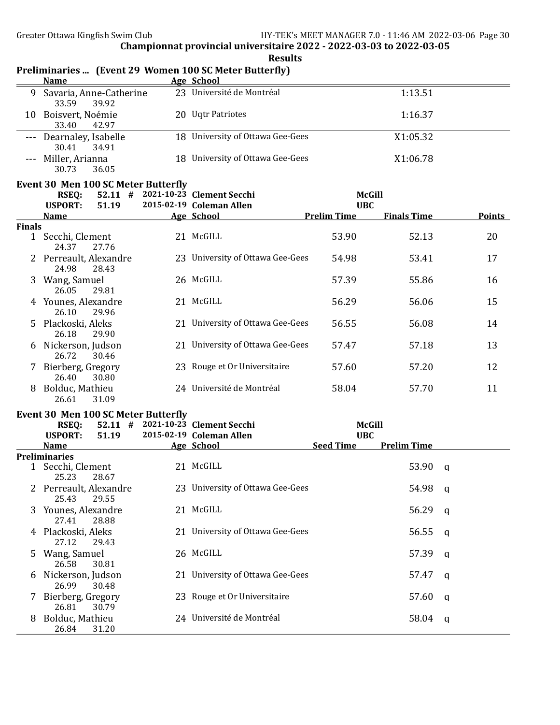|               | <b>Name</b>                                 | Preliminaries  (Event 29 Women 100 SC Meter Butterfly)<br>Age School |                             |                    |               |
|---------------|---------------------------------------------|----------------------------------------------------------------------|-----------------------------|--------------------|---------------|
|               | 9 Savaria, Anne-Catherine<br>33.59<br>39.92 | 23 Université de Montréal                                            |                             | 1:13.51            |               |
|               | 10 Boisvert, Noémie<br>33.40<br>42.97       | 20 Uqtr Patriotes                                                    |                             | 1:16.37            |               |
|               | --- Dearnaley, Isabelle<br>30.41<br>34.91   | 18 University of Ottawa Gee-Gees                                     |                             | X1:05.32           |               |
|               | Miller, Arianna<br>30.73<br>36.05           | 18 University of Ottawa Gee-Gees                                     |                             | X1:06.78           |               |
|               | Event 30 Men 100 SC Meter Butterfly         |                                                                      |                             |                    |               |
|               | <b>RSEQ:</b><br><b>USPORT:</b><br>51.19     | 52.11 # 2021-10-23 Clement Secchi<br>2015-02-19 Coleman Allen        | <b>McGill</b><br><b>UBC</b> |                    |               |
|               | <b>Name</b>                                 | Age School                                                           | <b>Prelim Time</b>          | <b>Finals Time</b> | <b>Points</b> |
| <b>Finals</b> |                                             |                                                                      |                             |                    |               |
|               | 1 Secchi, Clement<br>24.37<br>27.76         | 21 McGILL                                                            | 53.90                       | 52.13              | 20            |
|               | 2 Perreault, Alexandre<br>24.98<br>28.43    | 23 University of Ottawa Gee-Gees                                     | 54.98                       | 53.41              | 17            |
|               | 3 Wang, Samuel<br>26.05<br>29.81            | 26 McGILL                                                            | 57.39                       | 55.86              | 16            |
|               | 4 Younes, Alexandre<br>26.10<br>29.96       | 21 McGILL                                                            | 56.29                       | 56.06              | 15            |
| 5.            | Plackoski, Aleks<br>26.18<br>29.90          | 21 University of Ottawa Gee-Gees                                     | 56.55                       | 56.08              | 14            |
| 6             | Nickerson, Judson<br>26.72<br>30.46         | 21 University of Ottawa Gee-Gees                                     | 57.47                       | 57.18              | 13            |
|               | 7 Bierberg, Gregory<br>26.40<br>30.80       | 23 Rouge et Or Universitaire                                         | 57.60                       | 57.20              | 12            |
|               | Bolduc, Mathieu<br>26.61<br>31.09           | 24 Université de Montréal                                            | 58.04                       | 57.70              | 11            |
|               | Event 30 Men 100 SC Meter Butterfly         |                                                                      |                             |                    |               |
|               | <b>RSEQ:</b>                                | 52.11 # 2021-10-23 Clement Secchi                                    | <b>McGill</b>               |                    |               |
|               | <b>USPORT:</b><br>51.19                     | 2015-02-19 Coleman Allen                                             | <b>UBC</b>                  |                    |               |
|               | <b>Name</b><br><b>Preliminaries</b>         | Age School                                                           | <b>Seed Time</b>            | <b>Prelim Time</b> |               |
|               | 1 Secchi, Clement<br>25.23 28.67            | 21 McGILL                                                            |                             | 53.90              | $\mathbf{q}$  |
|               | 2 Perreault, Alexandre<br>25.43<br>29.55    | 23 University of Ottawa Gee-Gees                                     |                             | 54.98              | - q           |
|               | 3 Younes, Alexandre<br>27.41<br>28.88       | 21 McGILL                                                            |                             | 56.29              | q             |
|               | 4 Plackoski, Aleks<br>27.12<br>29.43        | 21 University of Ottawa Gee-Gees                                     |                             | 56.55              | q             |
|               | 5 Wang, Samuel<br>26.58<br>30.81            | 26 McGILL                                                            |                             | 57.39              | q             |
| 6             | Nickerson, Judson<br>26.99<br>30.48         | 21 University of Ottawa Gee-Gees                                     |                             | 57.47              | q             |
| 7             | Bierberg, Gregory<br>26.81<br>30.79         | 23 Rouge et Or Universitaire                                         |                             | 57.60              | q             |
| 8             | Bolduc, Mathieu<br>26.84<br>31.20           | 24 Université de Montréal                                            |                             | 58.04              | q             |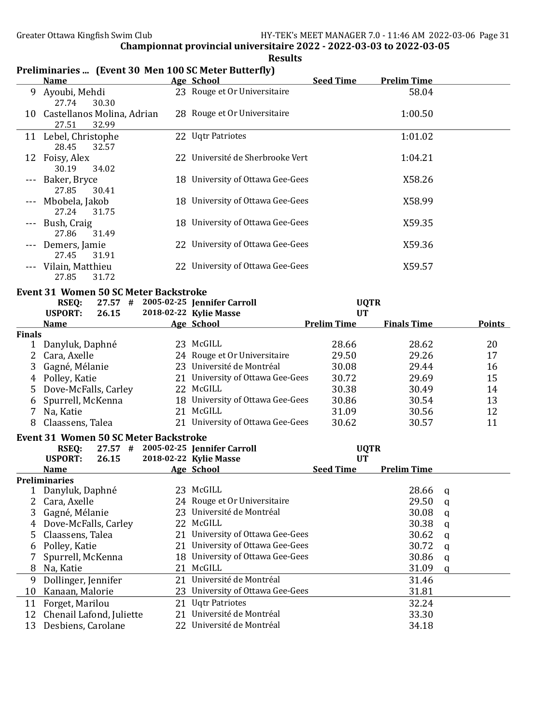|                     | <b>Name</b>                                     |    | arics  There is on their 100 but there is battering.<br>Age School | <b>Seed Time</b>              | <b>Prelim Time</b> |               |  |
|---------------------|-------------------------------------------------|----|--------------------------------------------------------------------|-------------------------------|--------------------|---------------|--|
| 9.                  | Ayoubi, Mehdi<br>27.74<br>30.30                 |    | 23 Rouge et Or Universitaire                                       |                               | 58.04              |               |  |
|                     | 10 Castellanos Molina, Adrian<br>27.51<br>32.99 |    | 28 Rouge et Or Universitaire                                       |                               | 1:00.50            |               |  |
|                     | 11 Lebel, Christophe<br>28.45<br>32.57          |    | 22 Uqtr Patriotes                                                  |                               | 1:01.02            |               |  |
|                     | 12 Foisy, Alex<br>30.19<br>34.02                |    | 22 Université de Sherbrooke Vert                                   |                               | 1:04.21            |               |  |
| $\qquad \qquad - -$ | Baker, Bryce<br>27.85<br>30.41                  |    | 18 University of Ottawa Gee-Gees                                   |                               | X58.26             |               |  |
|                     | Mbobela, Jakob<br>27.24<br>31.75                |    | 18 University of Ottawa Gee-Gees                                   |                               | X58.99             |               |  |
|                     | Bush, Craig<br>27.86<br>31.49                   |    | 18 University of Ottawa Gee-Gees                                   |                               | X59.35             |               |  |
|                     | Demers, Jamie<br>27.45<br>31.91                 |    | 22 University of Ottawa Gee-Gees                                   |                               | X59.36             |               |  |
|                     | Vilain, Matthieu<br>27.85<br>31.72              |    | 22 University of Ottawa Gee-Gees                                   |                               | X59.57             |               |  |
|                     | <b>Event 31 Women 50 SC Meter Backstroke</b>    |    |                                                                    |                               |                    |               |  |
|                     | <b>RSEQ:</b>                                    |    | 27.57 # 2005-02-25 Jennifer Carroll                                | <b>UQTR</b>                   |                    |               |  |
|                     | <b>USPORT:</b><br>26.15                         |    | 2018-02-22 Kylie Masse                                             | <b>UT</b>                     |                    |               |  |
|                     | <u>Name</u>                                     |    | <b>Age School</b>                                                  | <b>Prelim Time</b>            | <b>Finals Time</b> | <b>Points</b> |  |
| <b>Finals</b>       | 1 Danyluk, Daphné                               |    | 23 McGILL                                                          | 28.66                         | 28.62              | 20            |  |
| $\mathbf{2}$        | Cara, Axelle                                    |    | 24 Rouge et Or Universitaire                                       | 29.50                         | 29.26              | 17            |  |
| 3                   | Gagné, Mélanie                                  |    | 23 Université de Montréal                                          | 30.08                         | 29.44              | 16            |  |
|                     |                                                 |    | 21 University of Ottawa Gee-Gees                                   | 30.72                         | 29.69              | 15            |  |
|                     | 4 Polley, Katie                                 |    | 22 McGILL                                                          |                               |                    |               |  |
| 5                   | Dove-McFalls, Carley                            |    | 18 University of Ottawa Gee-Gees                                   | 30.38                         | 30.49              | 14            |  |
| 6                   | Spurrell, McKenna                               |    | 21 McGILL                                                          | 30.86                         | 30.54              | 13            |  |
| 7                   | Na, Katie                                       |    |                                                                    | 31.09                         | 30.56              | 12            |  |
| 8                   | Claassens, Talea                                |    | 21 University of Ottawa Gee-Gees                                   | 30.62                         | 30.57              | 11            |  |
|                     | <b>Event 31 Women 50 SC Meter Backstroke</b>    |    |                                                                    |                               |                    |               |  |
|                     | <b>RSEQ:</b>                                    |    | 27.57 # 2005-02-25 Jennifer Carroll                                | <b>UQTR</b>                   |                    |               |  |
|                     | <b>USPORT:</b><br>26.15                         |    | 2018-02-22 Kylie Masse<br>Age School                               | <b>UT</b><br><b>Seed Time</b> | <b>Prelim Time</b> |               |  |
|                     | <u>Name</u><br><b>Preliminaries</b>             |    |                                                                    |                               |                    |               |  |
| 1                   | Danyluk, Daphné                                 |    | 23 McGILL                                                          |                               | 28.66              | q             |  |
| 2                   | Cara, Axelle                                    |    | 24 Rouge et Or Universitaire                                       |                               | 29.50              | q             |  |
| 3                   | Gagné, Mélanie                                  |    |                                                                    |                               |                    |               |  |
| 4                   |                                                 |    |                                                                    |                               |                    |               |  |
| 5                   |                                                 | 23 | Université de Montréal                                             |                               | 30.08              | q             |  |
|                     | Dove-McFalls, Carley                            | 22 | McGILL                                                             |                               | 30.38              | q             |  |
|                     | Claassens, Talea                                | 21 | University of Ottawa Gee-Gees                                      |                               | 30.62              | q             |  |
| 6                   | Polley, Katie                                   | 21 | University of Ottawa Gee-Gees                                      |                               | 30.72              | q             |  |
|                     | Spurrell, McKenna                               |    | 18 University of Ottawa Gee-Gees                                   |                               | 30.86              | q             |  |
| 8                   | Na, Katie                                       | 21 | McGILL                                                             |                               | 31.09              | a             |  |
| 9                   | Dollinger, Jennifer                             | 21 | Université de Montréal                                             |                               | 31.46              |               |  |
| 10                  | Kanaan, Malorie                                 |    | 23 University of Ottawa Gee-Gees                                   |                               | 31.81              |               |  |
| 11                  | Forget, Marilou                                 | 21 | <b>Ugtr Patriotes</b>                                              |                               | 32.24              |               |  |
| 12<br>13            | Chenail Lafond, Juliette<br>Desbiens, Carolane  |    | 21 Université de Montréal<br>22 Université de Montréal             |                               | 33.30<br>34.18     |               |  |

#### Results Preliminaries ... (Event 30 Men 100 SC Meter Butterfly)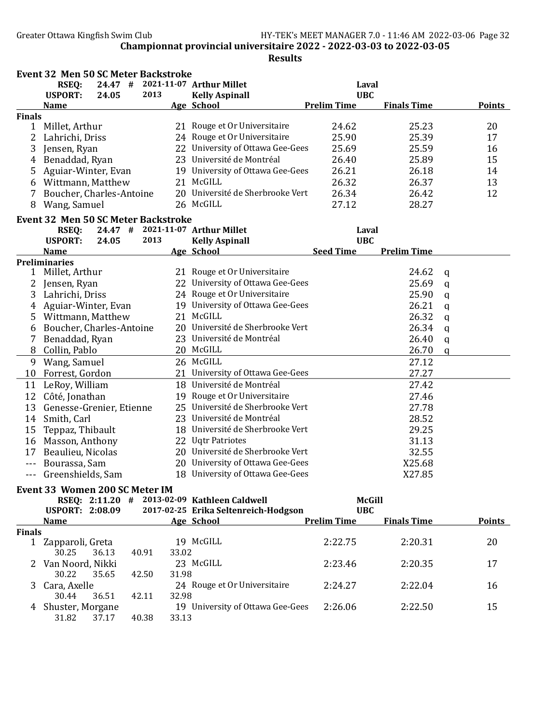|               | <b>Event 32 Men 50 SC Meter Backstroke</b> |       |       |       |                                              |                    |                    |              |               |
|---------------|--------------------------------------------|-------|-------|-------|----------------------------------------------|--------------------|--------------------|--------------|---------------|
|               | <b>RSEQ:</b>                               |       |       |       | 24.47 # 2021-11-07 Arthur Millet             | Laval              |                    |              |               |
|               | <b>USPORT:</b>                             | 24.05 | 2013  |       | <b>Kelly Aspinall</b>                        | <b>UBC</b>         |                    |              |               |
|               | <b>Name</b>                                |       |       |       | <b>Age School</b>                            | <b>Prelim Time</b> | <b>Finals Time</b> |              | <b>Points</b> |
| <b>Finals</b> |                                            |       |       |       |                                              |                    |                    |              |               |
|               | 1 Millet, Arthur                           |       |       |       | 21 Rouge et Or Universitaire                 | 24.62              | 25.23              |              | 20            |
|               | 2 Lahrichi, Driss                          |       |       |       | 24 Rouge et Or Universitaire                 | 25.90              | 25.39              |              | 17            |
| 3             | Jensen, Ryan                               |       |       |       | 22 University of Ottawa Gee-Gees             | 25.69              | 25.59              |              | 16            |
| 4             | Benaddad, Ryan                             |       |       |       | 23 Université de Montréal                    | 26.40              | 25.89              |              | 15            |
| 5             | Aguiar-Winter, Evan                        |       |       |       | 19 University of Ottawa Gee-Gees             | 26.21              | 26.18              |              | 14            |
| 6             | Wittmann, Matthew                          |       |       |       | 21 McGILL                                    | 26.32              | 26.37              |              | 13            |
| 7             | Boucher, Charles-Antoine                   |       |       |       | 20 Université de Sherbrooke Vert             | 26.34              | 26.42              |              | 12            |
| 8             | Wang, Samuel                               |       |       |       | 26 McGILL                                    | 27.12              | 28.27              |              |               |
|               | <b>Event 32 Men 50 SC Meter Backstroke</b> |       |       |       |                                              |                    |                    |              |               |
|               | <b>RSEQ:</b>                               |       |       |       | 24.47 # 2021-11-07 Arthur Millet             | Laval              |                    |              |               |
|               | <b>USPORT:</b>                             | 24.05 | 2013  |       | <b>Kelly Aspinall</b>                        | <b>UBC</b>         |                    |              |               |
|               | <b>Name</b>                                |       |       |       | Age School                                   | <b>Seed Time</b>   | <b>Prelim Time</b> |              |               |
|               | <b>Preliminaries</b>                       |       |       |       |                                              |                    |                    |              |               |
| 1             | Millet, Arthur                             |       |       |       | 21 Rouge et Or Universitaire                 |                    | 24.62              | q            |               |
| 2             | Jensen, Ryan                               |       |       |       | 22 University of Ottawa Gee-Gees             |                    | 25.69              | q            |               |
| 3             | Lahrichi, Driss                            |       |       |       | 24 Rouge et Or Universitaire                 |                    | 25.90              | $\mathbf q$  |               |
| 4             | Aguiar-Winter, Evan                        |       |       |       | 19 University of Ottawa Gee-Gees             |                    | 26.21              | $\mathbf q$  |               |
| 5             | Wittmann, Matthew                          |       |       |       | 21 McGILL                                    |                    | 26.32              | $\mathbf q$  |               |
|               | Boucher, Charles-Antoine                   |       |       |       | 20 Université de Sherbrooke Vert             |                    | 26.34              |              |               |
| 6             |                                            |       |       |       | 23 Université de Montréal                    |                    |                    | $\mathbf q$  |               |
| 7             | Benaddad, Ryan                             |       |       |       | 20 McGILL                                    |                    | 26.40              | $\mathsf{q}$ |               |
| 8             | Collin, Pablo                              |       |       |       | 26 McGILL                                    |                    | 26.70              | $\mathbf q$  |               |
| 9<br>10       | Wang, Samuel                               |       |       |       | 21 University of Ottawa Gee-Gees             |                    | 27.12<br>27.27     |              |               |
|               | Forrest, Gordon                            |       |       |       | 18 Université de Montréal                    |                    |                    |              |               |
|               | 11 LeRoy, William                          |       |       |       |                                              |                    | 27.42              |              |               |
|               | 12 Côté, Jonathan                          |       |       |       | 19 Rouge et Or Universitaire                 |                    | 27.46              |              |               |
| 13            | Genesse-Grenier, Etienne                   |       |       |       | 25 Université de Sherbrooke Vert             |                    | 27.78              |              |               |
| 14            | Smith, Carl                                |       |       |       | 23 Université de Montréal                    |                    | 28.52              |              |               |
| 15            | Teppaz, Thibault                           |       |       |       | 18 Université de Sherbrooke Vert             |                    | 29.25              |              |               |
| 16            | Masson, Anthony                            |       |       |       | 22 Uqtr Patriotes                            |                    | 31.13              |              |               |
| 17            | Beaulieu, Nicolas                          |       |       |       | 20 Université de Sherbrooke Vert             |                    | 32.55              |              |               |
| ---           | Bourassa, Sam                              |       |       |       | 20 University of Ottawa Gee-Gees             |                    | X25.68             |              |               |
| $---$         | Greenshields, Sam                          |       |       |       | 18 University of Ottawa Gee-Gees             |                    | X27.85             |              |               |
|               | Event 33 Women 200 SC Meter IM             |       |       |       |                                              |                    |                    |              |               |
|               |                                            |       |       |       | RSEQ: 2:11.20 # 2013-02-09 Kathleen Caldwell | <b>McGill</b>      |                    |              |               |
|               | <b>USPORT: 2:08.09</b>                     |       |       |       | 2017-02-25 Erika Seltenreich-Hodgson         | <b>UBC</b>         |                    |              |               |
|               | <b>Name</b>                                |       |       |       | Age School                                   | <b>Prelim Time</b> | <b>Finals Time</b> |              | <b>Points</b> |
| <b>Finals</b> |                                            |       |       |       |                                              |                    |                    |              |               |
|               | 1 Zapparoli, Greta                         |       |       |       | 19 McGILL                                    | 2:22.75            | 2:20.31            |              | 20            |
|               | 30.25                                      | 36.13 | 40.91 | 33.02 |                                              |                    |                    |              |               |
|               | Van Noord, Nikki                           |       |       |       | 23 McGILL                                    | 2:23.46            | 2:20.35            |              | 17            |
|               | 30.22                                      | 35.65 | 42.50 | 31.98 |                                              |                    |                    |              |               |
| 3.            | Cara, Axelle                               |       |       |       | 24 Rouge et Or Universitaire                 | 2:24.27            | 2:22.04            |              | 16            |
|               | 30.44                                      | 36.51 | 42.11 | 32.98 |                                              |                    |                    |              |               |
| 4             | Shuster, Morgane                           |       |       |       | 19 University of Ottawa Gee-Gees             | 2:26.06            | 2:22.50            |              | 15            |
|               | 31.82                                      | 37.17 | 40.38 | 33.13 |                                              |                    |                    |              |               |
|               |                                            |       |       |       |                                              |                    |                    |              |               |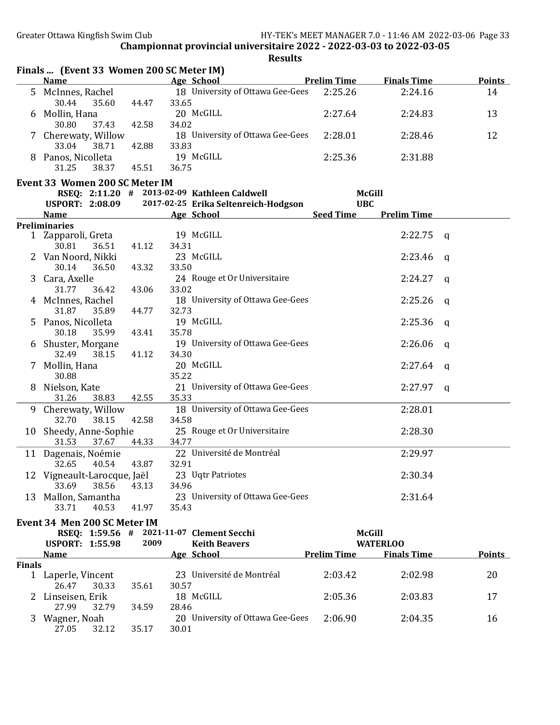|               | Finals  (Event 33 Women 200 SC Meter IM)               |                |                |                                              |                    |                    |          |               |
|---------------|--------------------------------------------------------|----------------|----------------|----------------------------------------------|--------------------|--------------------|----------|---------------|
|               | <b>Name</b>                                            |                |                | <b>Example 12 Prelim Time</b><br>Age School  |                    | <b>Finals Time</b> |          | <b>Points</b> |
| 5.            | McInnes, Rachel<br>30.44<br>35.60                      | 44.47          | 33.65          | 18 University of Ottawa Gee-Gees             | 2:25.26            | 2:24.16            |          | 14            |
| 6             | Mollin, Hana<br>30.80<br>37.43                         | 42.58          | 34.02          | 20 McGILL                                    | 2:27.64            | 2:24.83            |          | 13            |
|               | Cherewaty, Willow                                      |                |                | 18 University of Ottawa Gee-Gees             | 2:28.01            | 2:28.46            |          | 12            |
|               | 33.04<br>38.71<br>8 Panos, Nicolleta<br>31.25<br>38.37 | 42.88<br>45.51 | 33.83<br>36.75 | 19 McGILL                                    | 2:25.36            | 2:31.88            |          |               |
|               | Event 33 Women 200 SC Meter IM                         |                |                |                                              |                    |                    |          |               |
|               |                                                        |                |                | RSEQ: 2:11.20 # 2013-02-09 Kathleen Caldwell | <b>McGill</b>      |                    |          |               |
|               | <b>USPORT: 2:08.09</b>                                 |                |                | 2017-02-25 Erika Seltenreich-Hodgson         | <b>UBC</b>         |                    |          |               |
|               |                                                        |                |                |                                              |                    |                    |          |               |
|               | <b>Name</b>                                            |                |                | Age School                                   | <b>Seed Time</b>   | <b>Prelim Time</b> |          |               |
|               | <b>Preliminaries</b>                                   |                |                |                                              |                    |                    |          |               |
|               | 1 Zapparoli, Greta<br>30.81<br>36.51                   | 41.12          | 34.31          | 19 McGILL                                    |                    | 2:22.75            | q        |               |
|               | 2 Van Noord, Nikki<br>30.14<br>36.50                   | 43.32          | 33.50          | 23 McGILL                                    |                    | 2:23.46            | q        |               |
| 3             | Cara, Axelle<br>31.77<br>36.42                         | 43.06          | 33.02          | 24 Rouge et Or Universitaire                 |                    | 2:24.27            | q        |               |
|               | McInnes, Rachel<br>31.87<br>35.89                      | 44.77          | 32.73          | 18 University of Ottawa Gee-Gees             |                    | 2:25.26            | q        |               |
| 5.            | Panos, Nicolleta                                       |                |                | 19 McGILL                                    |                    | 2:25.36            | - a      |               |
|               | 30.18<br>35.99<br>6 Shuster, Morgane                   | 43.41          | 35.78          | 19 University of Ottawa Gee-Gees             |                    | 2:26.06            | <b>a</b> |               |
| 7.            | 32.49<br>38.15<br>Mollin, Hana                         | 41.12          | 34.30          | 20 McGILL                                    |                    | 2:27.64            | - a      |               |
| 8             | 30.88<br>Nielson, Kate                                 |                | 35.22          | 21 University of Ottawa Gee-Gees             |                    | 2:27.97            | - a      |               |
|               | 31.26<br>38.83                                         | 42.55          | 35.33          |                                              |                    |                    |          |               |
|               | 9 Cherewaty, Willow<br>32.70<br>38.15                  | 42.58          | 34.58          | 18 University of Ottawa Gee-Gees             |                    | 2:28.01            |          |               |
|               | 10 Sheedy, Anne-Sophie<br>31.53<br>37.67               | 44.33          | 34.77          | 25 Rouge et Or Universitaire                 |                    | 2:28.30            |          |               |
|               | 11 Dagenais, Noémie                                    |                |                | 22 Université de Montréal                    |                    | 2:29.97            |          |               |
|               | 40.54<br>32.65<br>12 Vigneault-Larocque, Jaël          | 43.87          | 32.91          | 23 Uqtr Patriotes                            |                    | 2:30.34            |          |               |
|               | 38.56<br>33.69<br>13 Mallon, Samantha                  | 43.13          | 34.96          | 23 University of Ottawa Gee-Gees             |                    | 2:31.64            |          |               |
|               | 33.71<br>40.53                                         | 41.97          | 35.43          |                                              |                    |                    |          |               |
|               | Event 34 Men 200 SC Meter IM                           |                |                |                                              |                    |                    |          |               |
|               | RSEQ: 1:59.56 # 2021-11-07 Clement Secchi              |                |                |                                              | <b>McGill</b>      |                    |          |               |
|               | <b>USPORT: 1:55.98</b>                                 | 2009           |                | <b>Keith Beavers</b>                         |                    | <b>WATERLOO</b>    |          |               |
|               | <b>Name</b>                                            |                |                | Age School                                   | <b>Prelim Time</b> | <b>Finals Time</b> |          | <b>Points</b> |
| <b>Finals</b> |                                                        |                |                |                                              |                    |                    |          |               |
|               | 1 Laperle, Vincent<br>26.47<br>30.33                   | 35.61          | 30.57          | 23 Université de Montréal                    | 2:03.42            | 2:02.98            |          | 20            |
|               | 2 Linseisen, Erik<br>27.99<br>32.79                    | 34.59          | 28.46          | 18 McGILL                                    | 2:05.36            | 2:03.83            |          | 17            |
| 3             | Wagner, Noah                                           |                |                | 20 University of Ottawa Gee-Gees             | 2:06.90            | 2:04.35            |          | 16            |
|               | 27.05<br>32.12                                         | 35.17          | 30.01          |                                              |                    |                    |          |               |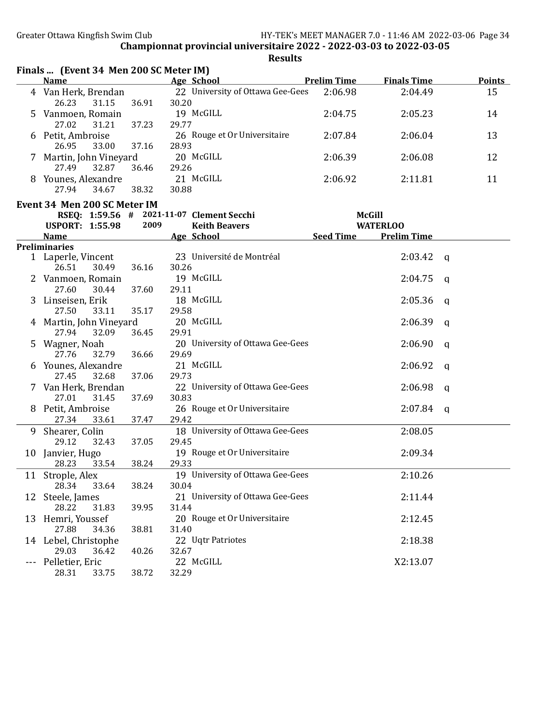|         | Finals  (Event 34 Men 200 SC Meter IM)    |       |       |                                          |           |                                       |              |               |
|---------|-------------------------------------------|-------|-------|------------------------------------------|-----------|---------------------------------------|--------------|---------------|
|         | <b>Name</b>                               |       |       | <b>Example 20 Age School Prelim Time</b> |           | <b>Finals Time</b>                    |              | <b>Points</b> |
|         | 4 Van Herk, Brendan                       |       |       | 22 University of Ottawa Gee-Gees         | 2:06.98   | 2:04.49                               |              | 15            |
|         | 26.23<br>31.15                            | 36.91 | 30.20 |                                          |           |                                       |              |               |
|         | 5 Vanmoen, Romain                         |       |       | 19 McGILL                                | 2:04.75   | 2:05.23                               |              | 14            |
|         | 27.02<br>31.21                            | 37.23 | 29.77 |                                          |           |                                       |              |               |
|         | 6 Petit, Ambroise                         |       |       | 26 Rouge et Or Universitaire             | 2:07.84   | 2:06.04                               |              | 13            |
|         | 33.00<br>26.95                            | 37.16 | 28.93 |                                          |           |                                       |              |               |
|         | 7 Martin, John Vineyard                   |       |       | 20 McGILL                                | 2:06.39   | 2:06.08                               |              | 12            |
|         | 27.49<br>32.87                            | 36.46 | 29.26 |                                          |           |                                       |              |               |
|         | 8 Younes, Alexandre                       |       |       | 21 McGILL                                | 2:06.92   | 2:11.81                               |              | 11            |
|         | 27.94<br>34.67                            | 38.32 | 30.88 |                                          |           |                                       |              |               |
|         |                                           |       |       |                                          |           |                                       |              |               |
|         | Event 34 Men 200 SC Meter IM              |       |       |                                          |           |                                       |              |               |
|         | RSEQ: 1:59.56 # 2021-11-07 Clement Secchi | 2009  |       |                                          |           | <b>McGill</b>                         |              |               |
|         | <b>USPORT: 1:55.98</b>                    |       |       | <b>Keith Beavers</b>                     | Seed Time | <b>WATERLOO</b><br><b>Prelim Time</b> |              |               |
|         | Name<br><b>Preliminaries</b>              |       |       | Age School                               |           |                                       |              |               |
|         | 1 Laperle, Vincent                        |       |       | 23 Université de Montréal                |           | 2:03.42                               |              |               |
|         | 30.49<br>26.51                            | 36.16 | 30.26 |                                          |           |                                       | <b>a</b>     |               |
|         | 2 Vanmoen, Romain                         |       |       | 19 McGILL                                |           | 2:04.75                               |              |               |
|         | 27.60<br>30.44                            | 37.60 | 29.11 |                                          |           |                                       | q            |               |
|         |                                           |       |       | 18 McGILL                                |           | 2:05.36                               |              |               |
|         | 3 Linseisen, Erik<br>27.50<br>33.11       | 35.17 | 29.58 |                                          |           |                                       | q            |               |
|         |                                           |       |       | 20 McGILL                                |           | 2:06.39                               |              |               |
|         | 4 Martin, John Vineyard<br>27.94          |       |       |                                          |           |                                       | q            |               |
|         | 32.09                                     | 36.45 | 29.91 |                                          |           |                                       |              |               |
|         | 5 Wagner, Noah                            |       |       | 20 University of Ottawa Gee-Gees         |           | 2:06.90                               | a            |               |
|         | 27.76<br>32.79                            | 36.66 | 29.69 |                                          |           |                                       |              |               |
|         | 6 Younes, Alexandre                       |       |       | 21 McGILL                                |           | 2:06.92                               | $\mathbf{q}$ |               |
|         | 32.68<br>27.45                            | 37.06 | 29.73 |                                          |           |                                       |              |               |
|         | 7 Van Herk, Brendan                       |       |       | 22 University of Ottawa Gee-Gees         |           | 2:06.98                               | a            |               |
|         | 27.01<br>31.45                            | 37.69 | 30.83 |                                          |           |                                       |              |               |
|         | 8 Petit, Ambroise                         |       |       | 26 Rouge et Or Universitaire             |           | 2:07.84                               | q            |               |
|         | 27.34<br>33.61                            | 37.47 | 29.42 |                                          |           |                                       |              |               |
|         | 9 Shearer, Colin                          |       |       | 18 University of Ottawa Gee-Gees         |           | 2:08.05                               |              |               |
|         | 29.12<br>32.43                            | 37.05 | 29.45 |                                          |           |                                       |              |               |
|         | 10 Janvier, Hugo                          |       |       | 19 Rouge et Or Universitaire             |           | 2:09.34                               |              |               |
|         | 33.54<br>28.23                            | 38.24 | 29.33 |                                          |           |                                       |              |               |
|         | 11 Strople, Alex                          |       |       | 19 University of Ottawa Gee-Gees         |           | 2:10.26                               |              |               |
|         | 28.34<br>33.64                            | 38.24 | 30.04 |                                          |           |                                       |              |               |
|         | 12 Steele, James                          |       |       | 21 University of Ottawa Gee-Gees         |           | 2:11.44                               |              |               |
|         | 28.22<br>31.83                            | 39.95 | 31.44 |                                          |           |                                       |              |               |
|         | 13 Hemri, Youssef                         |       |       | 20 Rouge et Or Universitaire             |           | 2:12.45                               |              |               |
|         | 27.88<br>34.36                            | 38.81 | 31.40 |                                          |           |                                       |              |               |
|         | 14 Lebel, Christophe                      |       |       | 22 Uqtr Patriotes                        |           | 2:18.38                               |              |               |
|         | 29.03<br>36.42                            | 40.26 | 32.67 |                                          |           |                                       |              |               |
| $- - -$ | Pelletier, Eric                           |       |       | 22 McGILL                                |           | X2:13.07                              |              |               |
|         | 28.31<br>33.75                            | 38.72 | 32.29 |                                          |           |                                       |              |               |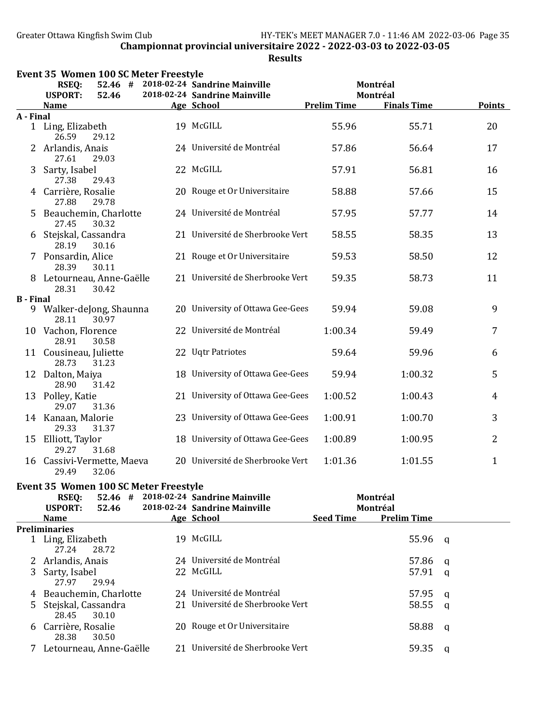## Results

|                  | Event 35 Women 100 SC Meter Freestyle        |                                                                        |                    |                                |                |
|------------------|----------------------------------------------|------------------------------------------------------------------------|--------------------|--------------------------------|----------------|
|                  | <b>RSEQ:</b>                                 | 52.46 # 2018-02-24 Sandrine Mainville<br>2018-02-24 Sandrine Mainville |                    | Montréal                       |                |
|                  | <b>USPORT:</b><br>52.46<br><b>Name</b>       | Age School                                                             | <b>Prelim Time</b> | Montréal<br><b>Finals Time</b> | <b>Points</b>  |
| A - Final        |                                              |                                                                        |                    |                                |                |
|                  | 1 Ling, Elizabeth<br>26.59<br>29.12          | 19 McGILL                                                              | 55.96              | 55.71                          | 20             |
|                  | 2 Arlandis, Anais<br>29.03<br>27.61          | 24 Université de Montréal                                              | 57.86              | 56.64                          | 17             |
| 3                | Sarty, Isabel<br>27.38<br>29.43              | 22 McGILL                                                              | 57.91              | 56.81                          | 16             |
|                  | 4 Carrière, Rosalie<br>27.88<br>29.78        | 20 Rouge et Or Universitaire                                           | 58.88              | 57.66                          | 15             |
|                  | 5 Beauchemin, Charlotte<br>27.45<br>30.32    | 24 Université de Montréal                                              | 57.95              | 57.77                          | 14             |
|                  | 6 Stejskal, Cassandra<br>28.19<br>30.16      | 21 Université de Sherbrooke Vert                                       | 58.55              | 58.35                          | 13             |
|                  | 7 Ponsardin, Alice<br>28.39<br>30.11         | 21 Rouge et Or Universitaire                                           | 59.53              | 58.50                          | 12             |
|                  | 8 Letourneau, Anne-Gaëlle<br>28.31<br>30.42  | 21 Université de Sherbrooke Vert                                       | 59.35              | 58.73                          | 11             |
| <b>B</b> - Final |                                              |                                                                        |                    |                                |                |
|                  | 9 Walker-deJong, Shaunna<br>30.97<br>28.11   | 20 University of Ottawa Gee-Gees                                       | 59.94              | 59.08                          | 9              |
|                  | 10 Vachon, Florence<br>28.91<br>30.58        | 22 Université de Montréal                                              | 1:00.34            | 59.49                          | 7              |
|                  | 11 Cousineau, Juliette<br>28.73<br>31.23     | 22 Uqtr Patriotes                                                      | 59.64              | 59.96                          | 6              |
|                  | 12 Dalton, Maiya<br>28.90<br>31.42           | 18 University of Ottawa Gee-Gees                                       | 59.94              | 1:00.32                        | 5              |
|                  | 13 Polley, Katie<br>29.07<br>31.36           | 21 University of Ottawa Gee-Gees                                       | 1:00.52            | 1:00.43                        | 4              |
|                  | 14 Kanaan, Malorie<br>29.33<br>31.37         | 23 University of Ottawa Gee-Gees                                       | 1:00.91            | 1:00.70                        | 3              |
|                  | 15 Elliott, Taylor<br>29.27<br>31.68         | 18 University of Ottawa Gee-Gees                                       | 1:00.89            | 1:00.95                        | $\overline{2}$ |
|                  | 16 Cassivi-Vermette, Maeva<br>29.49<br>32.06 | 20 Université de Sherbrooke Vert                                       | 1:01.36            | 1:01.55                        | $\mathbf{1}$   |
|                  | <b>Event 35 Women 100 SC Meter Freestyle</b> |                                                                        |                    |                                |                |
|                  | <b>RSEQ:</b>                                 | 52.46 # 2018-02-24 Sandrine Mainville                                  |                    | Montréal                       |                |
|                  | <b>USPORT:</b><br>52.46                      | 2018-02-24 Sandrine Mainville                                          |                    | Montréal                       |                |
|                  | <b>Name</b>                                  | Age School                                                             | <b>Seed Time</b>   | <b>Prelim Time</b>             |                |
|                  | <b>Preliminaries</b>                         |                                                                        |                    |                                |                |
|                  | 1 Ling, Elizabeth<br>27.24<br>28.72          | 19 McGILL                                                              |                    | 55.96                          | q              |
|                  | 2 Arlandis, Anais                            | 24 Université de Montréal                                              |                    | 57.86                          | q              |
| 3                | Sarty, Isabel<br>27.97<br>29.94              | 22 McGILL                                                              |                    | 57.91                          | a              |
|                  | 4 Beauchemin, Charlotte                      | 24 Université de Montréal                                              |                    | 57.95                          | q              |
| 5.               | Stejskal, Cassandra<br>28.45<br>30.10        | 21 Université de Sherbrooke Vert                                       |                    | 58.55                          | a              |
| 6                | Carrière, Rosalie<br>28.38<br>30.50          | 20 Rouge et Or Universitaire                                           |                    | 58.88                          | q              |

7 Letourneau, Anne-Gaëlle 21 Université de Sherbrooke Vert 59.35 q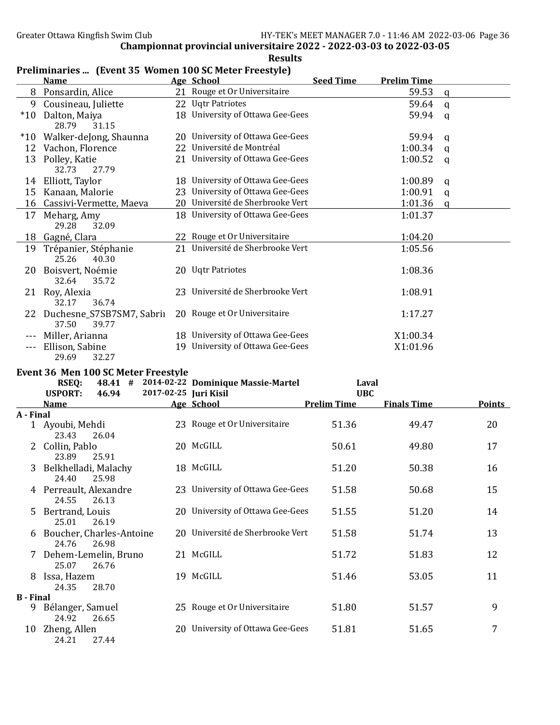|                       | <b>Name</b>                                       | Age School                                 | <b>Seed Time</b>   | <b>Prelim Time</b> |              |               |
|-----------------------|---------------------------------------------------|--------------------------------------------|--------------------|--------------------|--------------|---------------|
|                       | 8 Ponsardin, Alice                                | 21 Rouge et Or Universitaire               |                    | 59.53              | $\mathbf{q}$ |               |
|                       | 9 Cousineau, Juliette                             | 22 Uqtr Patriotes                          |                    | 59.64              | $\mathbf{q}$ |               |
|                       | *10 Dalton, Maiya<br>28.79<br>31.15               | 18 University of Ottawa Gee-Gees           |                    | 59.94              | q            |               |
| $*10$                 | Walker-deJong, Shaunna                            | 20 University of Ottawa Gee-Gees           |                    | 59.94              | q            |               |
|                       | 12 Vachon, Florence                               | 22 Université de Montréal                  |                    | 1:00.34            | q            |               |
|                       | 13 Polley, Katie<br>32.73<br>27.79                | 21 University of Ottawa Gee-Gees           |                    | 1:00.52            | $\mathbf q$  |               |
|                       | 14 Elliott, Taylor                                | 18 University of Ottawa Gee-Gees           |                    | 1:00.89            | q            |               |
|                       | 15 Kanaan, Malorie                                | 23 University of Ottawa Gee-Gees           |                    | 1:00.91            | $\mathbf q$  |               |
|                       | 16 Cassivi-Vermette, Maeva                        | 20 Université de Sherbrooke Vert           |                    | 1:01.36            | $\mathbf q$  |               |
|                       | 17 Meharg, Amy<br>29.28<br>32.09                  | 18 University of Ottawa Gee-Gees           |                    | 1:01.37            |              |               |
|                       | 18 Gagné, Clara                                   | 22 Rouge et Or Universitaire               |                    | 1:04.20            |              |               |
|                       | 19 Trépanier, Stéphanie<br>25.26<br>40.30         | 21 Université de Sherbrooke Vert           |                    | 1:05.56            |              |               |
|                       | 20 Boisvert, Noémie<br>32.64<br>35.72             | 20 Uqtr Patriotes                          |                    | 1:08.36            |              |               |
|                       | 21 Roy, Alexia<br>32.17<br>36.74                  | 23 Université de Sherbrooke Vert           |                    | 1:08.91            |              |               |
|                       | 22 Duchesne_S7SB7SM7, Sabrii<br>37.50<br>39.77    | 20 Rouge et Or Universitaire               |                    | 1:17.27            |              |               |
|                       | --- Miller, Arianna                               | 18 University of Ottawa Gee-Gees           |                    | X1:00.34           |              |               |
|                       | --- Ellison, Sabine<br>29.69<br>32.27             | 19 University of Ottawa Gee-Gees           |                    | X1:01.96           |              |               |
|                       |                                                   |                                            |                    |                    |              |               |
|                       | Event 36 Men 100 SC Meter Freestyle               |                                            |                    |                    |              |               |
|                       | <b>RSEQ:</b>                                      | 48.41 # 2014-02-22 Dominique Massie-Martel | Laval              |                    |              |               |
|                       | <b>USPORT:</b><br>46.94                           | 2017-02-25 Juri Kisil                      | <b>UBC</b>         |                    |              |               |
| A - Final             | <b>Name</b>                                       | Age School                                 | <b>Prelim Time</b> | <b>Finals Time</b> |              | <b>Points</b> |
|                       | 1 Ayoubi, Mehdi<br>23.43<br>26.04                 | 23 Rouge et Or Universitaire               | 51.36              | 49.47              |              | 20            |
|                       | 2 Collin, Pablo<br>23.89<br>25.91                 | 20 McGILL                                  | 50.61              | 49.80              |              | 17            |
| 3                     | Belkhelladi, Malachy<br>24.40<br>25.98            | 18 McGILL                                  | 51.20              | 50.38              |              | 16            |
|                       | 4 Perreault, Alexandre                            | 23 University of Ottawa Gee-Gees           | 51.58              | 50.68              |              | 15            |
| 5.                    | 24.55<br>26.13<br>Bertrand, Louis                 | 20 University of Ottawa Gee-Gees           | 51.55              | 51.20              |              | 14            |
|                       | 25.01<br>26.19<br>Boucher, Charles-Antoine        | 20 Université de Sherbrooke Vert           | 51.58              | 51.74              |              | 13            |
|                       | 24.76<br>26.98<br>Dehem-Lemelin, Bruno            | 21 McGILL                                  | 51.72              | 51.83              |              | 12            |
|                       | 25.07<br>26.76<br>8 Issa, Hazem<br>28.70<br>24.35 | 19 McGILL                                  | 51.46              | 53.05              |              | 11            |
|                       |                                                   |                                            |                    |                    |              |               |
| <b>B</b> - Final<br>9 | Bélanger, Samuel<br>24.92<br>26.65                | 25 Rouge et Or Universitaire               | 51.80              | 51.57              |              | 9             |

#### Results Preliminaries ... (Event 35 Women 100 SC Meter Freestyle)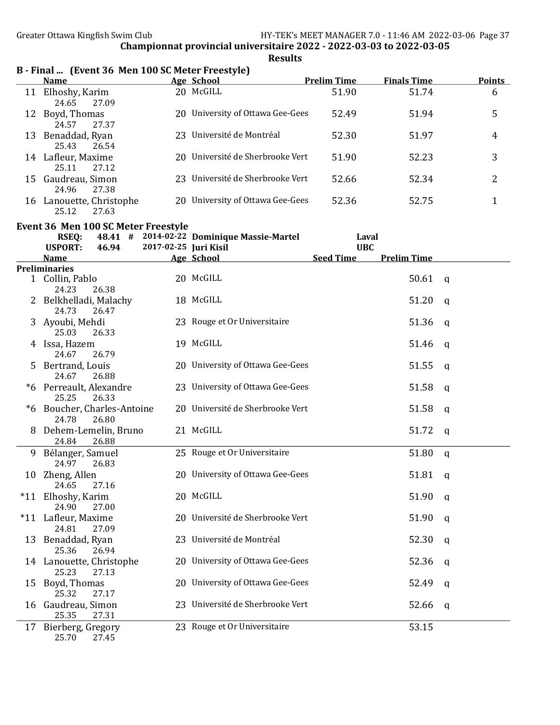|    | B - Final  (Event 36 Men 100 SC Meter Freestyle) |     |                                  |                    |                    |               |  |  |  |  |
|----|--------------------------------------------------|-----|----------------------------------|--------------------|--------------------|---------------|--|--|--|--|
|    | <b>Name</b>                                      |     | Age School                       | <b>Prelim Time</b> | <b>Finals Time</b> | <b>Points</b> |  |  |  |  |
| 11 | Elhoshy, Karim<br>27.09<br>24.65                 |     | 20 McGILL                        | 51.90              | 51.74              | 6             |  |  |  |  |
|    | 12 Boyd, Thomas<br>24.57<br>27.37                | 20. | University of Ottawa Gee-Gees    | 52.49              | 51.94              | 5             |  |  |  |  |
| 13 | Benaddad, Ryan<br>25.43<br>26.54                 |     | 23 Université de Montréal        | 52.30              | 51.97              | 4             |  |  |  |  |
| 14 | Lafleur, Maxime<br>25.11<br>27.12                |     | 20 Université de Sherbrooke Vert | 51.90              | 52.23              | 3             |  |  |  |  |
|    | 15 Gaudreau, Simon<br>24.96<br>27.38             |     | 23 Université de Sherbrooke Vert | 52.66              | 52.34              | 2             |  |  |  |  |
| 16 | Lanouette, Christophe<br>27.63<br>25.12          | 20  | University of Ottawa Gee-Gees    | 52.36              | 52.75              |               |  |  |  |  |
|    | Event 36 Men 100 SC Meter Freestyle              |     |                                  |                    |                    |               |  |  |  |  |

|    | <b>RSEQ:</b><br><b>USPORT:</b>                | 46.94 | 48.41 # 2014-02-22 Dominique Massie-Martel<br>2017-02-25 Juri Kisil |                  | Laval<br><b>UBC</b> |              |
|----|-----------------------------------------------|-------|---------------------------------------------------------------------|------------------|---------------------|--------------|
|    | <b>Name</b>                                   |       | <b>Age School</b>                                                   | <b>Seed Time</b> | <b>Prelim Time</b>  |              |
|    | <b>Preliminaries</b>                          |       |                                                                     |                  |                     |              |
|    | 1 Collin, Pablo<br>24.23<br>26.38             |       | 20 McGILL                                                           |                  | 50.61               | $\mathbf{q}$ |
|    | 2 Belkhelladi, Malachy<br>24.73<br>26.47      |       | 18 McGILL                                                           |                  | 51.20               | $\mathbf q$  |
|    | 3 Ayoubi, Mehdi<br>25.03<br>26.33             |       | 23 Rouge et Or Universitaire                                        |                  | 51.36               | $\mathbf q$  |
|    | 4 Issa, Hazem<br>26.79<br>24.67               |       | 19 McGILL                                                           |                  | 51.46               | $\mathsf{q}$ |
|    | 5 Bertrand, Louis<br>24.67<br>26.88           |       | 20 University of Ottawa Gee-Gees                                    |                  | 51.55               | $\mathsf{q}$ |
|    | *6 Perreault, Alexandre<br>26.33<br>25.25     |       | 23 University of Ottawa Gee-Gees                                    |                  | 51.58               | $\mathsf{q}$ |
|    | *6 Boucher, Charles-Antoine<br>26.80<br>24.78 |       | 20 Université de Sherbrooke Vert                                    |                  | 51.58               | $\mathbf q$  |
|    | 8 Dehem-Lemelin, Bruno<br>24.84<br>26.88      |       | 21 McGILL                                                           |                  | 51.72               | $\mathbf q$  |
|    | 9 Bélanger, Samuel<br>24.97<br>26.83          |       | 25 Rouge et Or Universitaire                                        |                  | 51.80               | $\mathbf q$  |
|    | 10 Zheng, Allen<br>24.65<br>27.16             |       | 20 University of Ottawa Gee-Gees                                    |                  | 51.81               | $\mathbf q$  |
|    | *11 Elhoshy, Karim<br>24.90<br>27.00          |       | 20 McGILL                                                           |                  | 51.90               | $\mathbf q$  |
|    | *11 Lafleur, Maxime<br>24.81<br>27.09         |       | 20 Université de Sherbrooke Vert                                    |                  | 51.90               | $\mathsf{q}$ |
|    | 13 Benaddad, Ryan<br>25.36<br>26.94           |       | 23 Université de Montréal                                           |                  | 52.30               | $\mathsf{q}$ |
|    | 14 Lanouette, Christophe<br>25.23<br>27.13    |       | 20 University of Ottawa Gee-Gees                                    |                  | 52.36               | q            |
|    | 15 Boyd, Thomas<br>25.32<br>27.17             |       | 20 University of Ottawa Gee-Gees                                    |                  | 52.49               | q            |
|    | 16 Gaudreau, Simon<br>25.35<br>27.31          |       | 23 Université de Sherbrooke Vert                                    |                  | 52.66               | q            |
| 17 | Bierberg, Gregory<br>25.70<br>27.45           |       | 23 Rouge et Or Universitaire                                        |                  | 53.15               |              |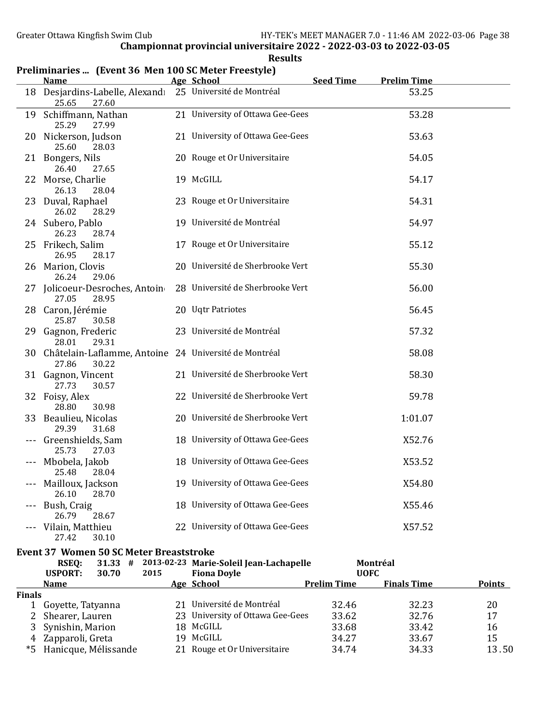|         | <b>Name</b>                                                                | Age School                       | <b>Seed Time</b> | <b>Prelim Time</b> |  |
|---------|----------------------------------------------------------------------------|----------------------------------|------------------|--------------------|--|
|         | 18 Desjardins-Labelle, Alexandi<br>25.65<br>27.60                          | 25 Université de Montréal        |                  | 53.25              |  |
|         | 19 Schiffmann, Nathan<br>25.29<br>27.99                                    | 21 University of Ottawa Gee-Gees |                  | 53.28              |  |
|         | 20 Nickerson, Judson<br>25.60<br>28.03                                     | 21 University of Ottawa Gee-Gees |                  | 53.63              |  |
|         | 21 Bongers, Nils<br>26.40<br>27.65                                         | 20 Rouge et Or Universitaire     |                  | 54.05              |  |
|         | 22 Morse, Charlie<br>26.13<br>28.04                                        | 19 McGILL                        |                  | 54.17              |  |
|         | 23 Duval, Raphael<br>26.02<br>28.29                                        | 23 Rouge et Or Universitaire     |                  | 54.31              |  |
|         | 24 Subero, Pablo<br>26.23<br>28.74                                         | 19 Université de Montréal        |                  | 54.97              |  |
| 25      | Frikech, Salim<br>26.95<br>28.17                                           | 17 Rouge et Or Universitaire     |                  | 55.12              |  |
|         | 26 Marion, Clovis<br>26.24<br>29.06                                        | 20 Université de Sherbrooke Vert |                  | 55.30              |  |
|         | 27 Jolicoeur-Desroches, Antoin<br>27.05<br>28.95                           | 28 Université de Sherbrooke Vert |                  | 56.00              |  |
|         | 28 Caron, Jérémie<br>25.87<br>30.58                                        | 20 Uqtr Patriotes                |                  | 56.45              |  |
|         | 29 Gagnon, Frederic<br>28.01<br>29.31                                      | 23 Université de Montréal        |                  | 57.32              |  |
|         | 30 Châtelain-Laflamme, Antoine 24 Université de Montréal<br>27.86<br>30.22 |                                  |                  | 58.08              |  |
|         | 31 Gagnon, Vincent<br>27.73<br>30.57                                       | 21 Université de Sherbrooke Vert |                  | 58.30              |  |
|         | 32 Foisy, Alex<br>28.80<br>30.98                                           | 22 Université de Sherbrooke Vert |                  | 59.78              |  |
| 33      | Beaulieu, Nicolas<br>29.39<br>31.68                                        | 20 Université de Sherbrooke Vert |                  | 1:01.07            |  |
|         | Greenshields, Sam<br>25.73<br>27.03                                        | 18 University of Ottawa Gee-Gees |                  | X52.76             |  |
|         | --- Mbobela, Jakob<br>25.48<br>28.04                                       | 18 University of Ottawa Gee-Gees |                  | X53.52             |  |
| $- - -$ | Mailloux, Jackson<br>26.10<br>28.70                                        | 19 University of Ottawa Gee-Gees |                  | X54.80             |  |
|         | Bush, Craig<br>26.79<br>28.67                                              | 18 University of Ottawa Gee-Gees |                  | X55.46             |  |
|         | Vilain, Matthieu<br>27.42<br>30.10                                         | 22 University of Ottawa Gee-Gees |                  | X57.52             |  |

#### Results Preliminaries ... (Event 36 Men 100 SC Meter Freestyle)

## Event 37 Women 50 SC Meter Breaststroke

|               | RSEO:                | $31.33$ # |      | 2013-02-23 Marie-Soleil Jean-Lachapelle |                    | Montréal           |               |
|---------------|----------------------|-----------|------|-----------------------------------------|--------------------|--------------------|---------------|
|               | <b>USPORT:</b>       | 30.70     | 2015 | <b>Fiona Doyle</b>                      | <b>UOFC</b>        |                    |               |
|               | Name                 |           |      | Age School                              | <b>Prelim Time</b> | <b>Finals Time</b> | <b>Points</b> |
| <b>Finals</b> |                      |           |      |                                         |                    |                    |               |
|               | Goyette, Tatyanna    |           |      | 21 Université de Montréal               | 32.46              | 32.23              | 20            |
|               | 2 Shearer, Lauren    |           |      | 23 University of Ottawa Gee-Gees        | 33.62              | 32.76              | 17            |
|               | 3 Synishin, Marion   |           |      | 18 McGILL                               | 33.68              | 33.42              | 16            |
| 4             | Zapparoli, Greta     |           | 19   | McGILL                                  | 34.27              | 33.67              | 15            |
| *5            | Hanicque, Mélissande |           |      | 21 Rouge et Or Universitaire            | 34.74              | 34.33              | 13.50         |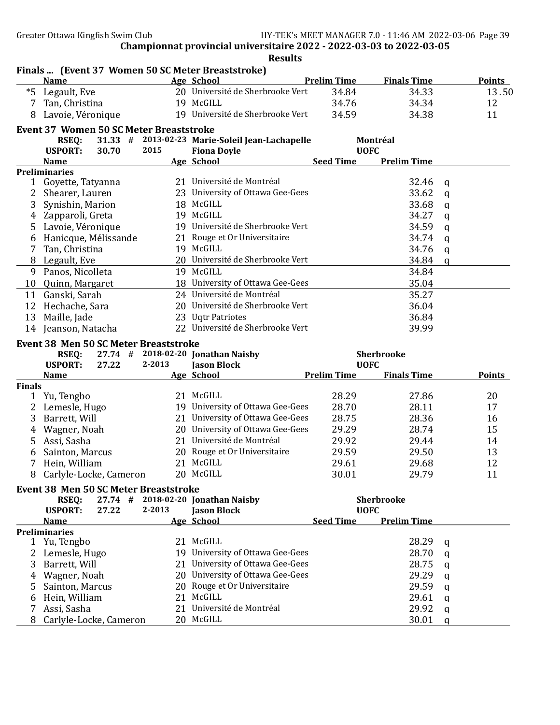Finals ... (Event 37 Women 50 SC Meter Breaststroke) Name **Age School** Prelim Time Finals Time Points \*5 Legault, Eve 20 Université de Sherbrooke Vert 34.84 34.33 13.50 7 Tan, Christina 19 McGILL 34.76 34.34 12 8 Lavoie, Véronique 19 Université de Sherbrooke Vert 34.59 34.38 11 Event 37 Women 50 SC Meter Breaststroke RSEQ: 31.33 # 2013-02-23 Marie-Soleil Jean-Lachapelle Montréal<br>PORT: 30.70 2015 Fiona Dovle Montréal USPORT: 30.70 2015 Fiona Doyle UOFC Name Age School Seed Time Prelim Time Preliminaries 1 Goyette, Tatyanna 21 Université de Montréal 32.46 q 2 Shearer, Lauren 23 University of Ottawa Gee-Gees 33.62 q 3 Synishin, Marion 18 McGILL 33.68 q 4 Zapparoli, Greta 19 McGILL 34.27 q 5 Lavoie, Véronique 19 Université de Sherbrooke Vert 34.59 q 6 Hanicque, Mélissande 21 Rouge et Or Universitaire 34.74 q 7 Tan, Christina 19 McGILL 34.76 q 8 Legault, Eve 20 Université de Sherbrooke Vert 34.84 q 9 Panos, Nicolleta 19 McGILL 34.84 10 Quinn, Margaret 18 University of Ottawa Gee-Gees 35.04 11 Ganski, Sarah 24 Université de Montréal 35.27 12 Hechache, Sara 20 Université de Sherbrooke Vert 36.04 13 Maille, Jade 23 Uqtr Patriotes 36.84 14 Jeanson, Natacha 22 Université de Sherbrooke Vert 39.99 Event 38 Men 50 SC Meter Breaststroke RSEQ: 27.74 # 2018-02-20 Jonathan Naisby Sherbrooke USPORT: 27.22 2-2013 Jason Block UOFC<br>
Age School Prelim Time Age School Prelim Time Name **Age School** Prelim Time Finals Time Points Points Finals 1 Yu, Tengbo 21 McGILL 28.29 27.86 20 2 Lemesle, Hugo 19 University of Ottawa Gee-Gees 28.70 28.11 17 3 Barrett, Will 21 University of Ottawa Gee-Gees 28.75 28.36 28.36 4 Wagner, Noah 20 University of Ottawa Gee-Gees 29.29 28.74 15 5 Assi, Sasha 21 Université de Montréal 29.92 29.44 14 6 Sainton, Marcus 20 Rouge et Or Universitaire 29.59 29.50 13 7 Hein, William 21 McGILL 29.61 29.68 12 8 Carlyle-Locke, Cameron 20 McGILL 30.01 29.79 11 Event 38 Men 50 SC Meter Breaststroke RSEQ: 27.74 # 2018-02-20 Jonathan Naisby Sherbrooke USPORT: 27.22 2-2013 Jason Block UOFC Name Age School Seed Time Prelim Time Preliminaries 1 Yu, Tengbo 21 McGILL 28.29 q 2 Lemesle, Hugo 19 University of Ottawa Gee-Gees 28.70 q 3 Barrett, Will 21 University of Ottawa Gee-Gees 28.75 q 4 Wagner, Noah 20 University of Ottawa Gee-Gees 29.29 q 5 Sainton, Marcus 20 Rouge et Or Universitaire 29.59 q 6 Hein, William 21 McGILL 29.61 q 7 Assi, Sasha 21 Université de Montréal 29.92 q 8 Carlyle-Locke, Cameron 20 McGILL 30.01 q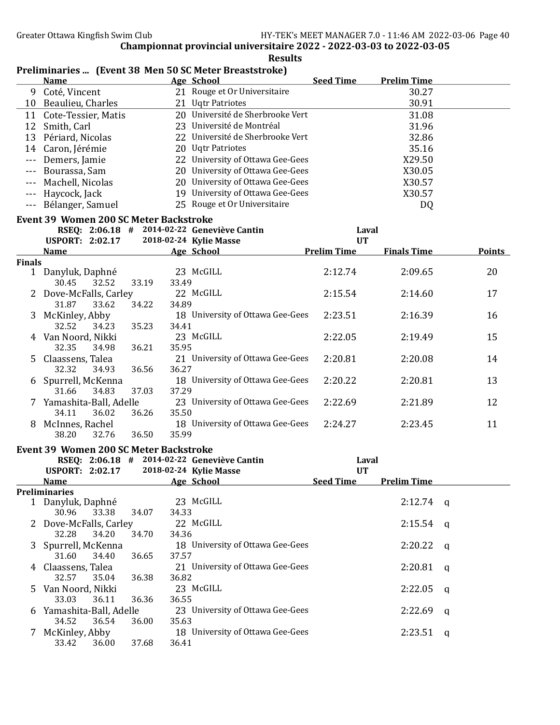|               | <b>Name</b>                                   |       |       | Preminiaries  (Event 50 Men 50 SC Meter Dreaststroke)<br>Age School | <b>Seed Time</b>   | <b>Prelim Time</b> |        |
|---------------|-----------------------------------------------|-------|-------|---------------------------------------------------------------------|--------------------|--------------------|--------|
|               | 9 Coté, Vincent                               |       |       | 21 Rouge et Or Universitaire                                        |                    | 30.27              |        |
|               | 10 Beaulieu, Charles                          |       |       | 21 Uqtr Patriotes                                                   |                    | 30.91              |        |
|               | 11 Cote-Tessier, Matis                        |       |       | 20 Université de Sherbrooke Vert                                    |                    | 31.08              |        |
| 12            | Smith, Carl                                   |       |       | 23 Université de Montréal                                           |                    | 31.96              |        |
|               | 13 Périard, Nicolas                           |       |       | 22 Université de Sherbrooke Vert                                    |                    | 32.86              |        |
|               | 14 Caron, Jérémie                             |       |       | 20 Uqtr Patriotes                                                   |                    | 35.16              |        |
| $- - -$       | Demers, Jamie                                 |       |       | 22 University of Ottawa Gee-Gees                                    |                    | X29.50             |        |
| $- - -$       | Bourassa, Sam                                 |       |       | 20 University of Ottawa Gee-Gees                                    |                    | X30.05             |        |
| $- - -$       | Machell, Nicolas                              |       |       | 20 University of Ottawa Gee-Gees                                    |                    | X30.57             |        |
| $- - -$       | Haycock, Jack                                 |       |       | 19 University of Ottawa Gee-Gees                                    |                    | X30.57             |        |
| $- - -$       | Bélanger, Samuel                              |       |       | 25 Rouge et Or Universitaire                                        |                    | DQ                 |        |
|               | <b>Event 39 Women 200 SC Meter Backstroke</b> |       |       |                                                                     |                    |                    |        |
|               | RSEQ: 2:06.18 # 2014-02-22 Geneviève Cantin   |       |       |                                                                     | Laval              |                    |        |
|               | <b>USPORT: 2:02.17</b>                        |       |       | 2018-02-24 Kylie Masse                                              | <b>UT</b>          |                    |        |
|               | <b>Name</b>                                   |       |       | Age School                                                          | <b>Prelim Time</b> | <b>Finals Time</b> | Points |
| <b>Finals</b> |                                               |       |       |                                                                     |                    |                    |        |
|               | 1 Danyluk, Daphné                             |       |       | 23 McGILL                                                           | 2:12.74            | 2:09.65            | 20     |
|               | 32.52<br>30.45                                | 33.19 | 33.49 | 22 McGILL                                                           | 2:15.54            | 2:14.60            | 17     |
|               | 2 Dove-McFalls, Carley<br>31.87<br>33.62      | 34.22 | 34.89 |                                                                     |                    |                    |        |
|               | 3 McKinley, Abby                              |       |       | 18 University of Ottawa Gee-Gees                                    | 2:23.51            | 2:16.39            | 16     |
|               | 32.52<br>34.23                                | 35.23 | 34.41 |                                                                     |                    |                    |        |
|               | 4 Van Noord, Nikki                            |       |       | 23 McGILL                                                           | 2:22.05            | 2:19.49            | 15     |
|               | 32.35<br>34.98                                | 36.21 | 35.95 |                                                                     |                    |                    |        |
|               | 5 Claassens, Talea                            |       |       | 21 University of Ottawa Gee-Gees                                    | 2:20.81            | 2:20.08            | 14     |
|               | 32.32<br>34.93                                | 36.56 | 36.27 |                                                                     |                    |                    |        |
|               | 6 Spurrell, McKenna                           |       |       | 18 University of Ottawa Gee-Gees                                    | 2:20.22            | 2:20.81            | 13     |
|               | 31.66<br>34.83                                | 37.03 | 37.29 |                                                                     |                    |                    |        |
|               | 7 Yamashita-Ball, Adelle                      |       |       | 23 University of Ottawa Gee-Gees                                    | 2:22.69            | 2:21.89            | 12     |
|               | 34.11<br>36.02                                | 36.26 | 35.50 |                                                                     |                    |                    |        |
|               | 8 McInnes, Rachel                             |       |       | 18 University of Ottawa Gee-Gees                                    | 2:24.27            | 2:23.45            | 11     |
|               | 38.20<br>32.76                                | 36.50 | 35.99 |                                                                     |                    |                    |        |
|               | <b>Event 39 Women 200 SC Meter Backstroke</b> |       |       |                                                                     |                    |                    |        |
|               | RSEQ: 2:06.18 # 2014-02-22 Geneviève Cantin   |       |       |                                                                     | Laval              |                    |        |
|               | <b>USPORT: 2:02.17</b>                        |       |       | 2018-02-24 Kylie Masse                                              | <b>UT</b>          |                    |        |
|               | <b>Name</b><br><b>Preliminaries</b>           |       |       | Age School                                                          | <b>Seed Time</b>   | <b>Prelim Time</b> |        |
|               | 1 Danyluk, Daphné                             |       |       | 23 McGILL                                                           |                    | 2:12.74            | q      |
|               | 30.96<br>33.38                                | 34.07 | 34.33 |                                                                     |                    |                    |        |
|               | 2 Dove-McFalls, Carley                        |       |       | 22 McGILL                                                           |                    | 2:15.54            | q      |
|               | 32.28<br>34.20                                | 34.70 | 34.36 |                                                                     |                    |                    |        |
| 3             | Spurrell, McKenna                             |       |       | 18 University of Ottawa Gee-Gees                                    |                    | 2:20.22            | q      |
|               | 31.60<br>34.40                                | 36.65 | 37.57 |                                                                     |                    |                    |        |
|               | 4 Claassens, Talea                            |       |       | 21 University of Ottawa Gee-Gees                                    |                    | 2:20.81            | q      |
|               | 32.57<br>35.04                                | 36.38 | 36.82 |                                                                     |                    |                    |        |
| 5             | Van Noord, Nikki                              |       |       | 23 McGILL                                                           |                    | 2:22.05            | q      |
|               | 33.03<br>36.11                                | 36.36 | 36.55 |                                                                     |                    |                    |        |
| 6             | Yamashita-Ball, Adelle                        |       |       | 23 University of Ottawa Gee-Gees                                    |                    | 2:22.69            | q      |
|               | 34.52<br>36.54                                | 36.00 | 35.63 |                                                                     |                    |                    |        |
|               | McKinley, Abby                                |       |       | 18 University of Ottawa Gee-Gees                                    |                    | $2:23.51$ q        |        |
|               | 33.42<br>36.00                                | 37.68 | 36.41 |                                                                     |                    |                    |        |

#### Results Preliminaries ... (Event 38 Men 50 SC Meter Breaststroke)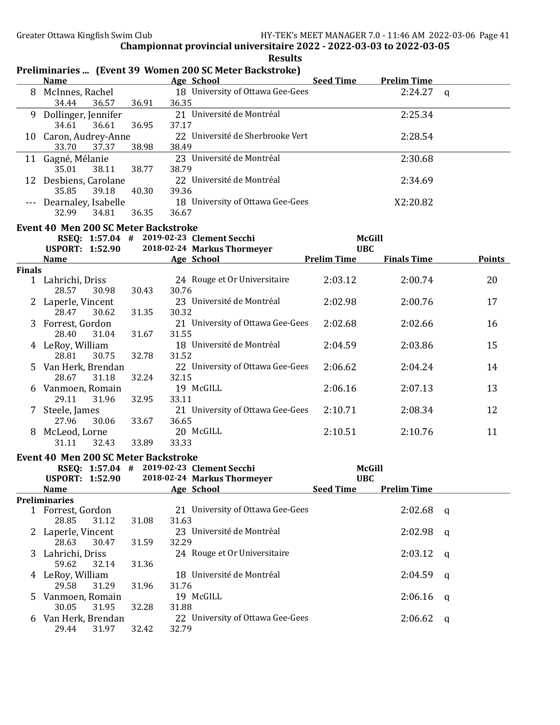|                                                            |                                                           |                | Preliminaries  (Event 39 Women 200 SC Meter Backstroke) |                                |                    |               |  |  |  |  |
|------------------------------------------------------------|-----------------------------------------------------------|----------------|---------------------------------------------------------|--------------------------------|--------------------|---------------|--|--|--|--|
|                                                            | <b>Name</b>                                               |                | <b>Example 20 Age School</b>                            | Seed Time                      | <b>Prelim Time</b> |               |  |  |  |  |
|                                                            | 8 McInnes, Rachel<br>34.44<br>36.57                       | 36.91          | 18 University of Ottawa Gee-Gees<br>36.35               |                                | $2:24.27$ q        |               |  |  |  |  |
|                                                            | 9 Dollinger, Jennifer                                     |                | 21 Université de Montréal                               |                                | 2:25.34            |               |  |  |  |  |
|                                                            | 34.61<br>36.61<br>10 Caron, Audrey-Anne<br>33.70<br>37.37 | 36.95<br>38.98 | 37.17<br>22 Université de Sherbrooke Vert<br>38.49      |                                | 2:28.54            |               |  |  |  |  |
|                                                            | 11 Gagné, Mélanie                                         |                | 23 Université de Montréal                               |                                | 2:30.68            |               |  |  |  |  |
|                                                            | 35.01<br>38.11<br>12 Desbiens, Carolane                   | 38.77          | 38.79<br>22 Université de Montréal                      |                                | 2:34.69            |               |  |  |  |  |
|                                                            | 35.85<br>39.18                                            | 40.30          | 39.36                                                   |                                |                    |               |  |  |  |  |
|                                                            | --- Dearnaley, Isabelle<br>32.99<br>34.81                 | 36.35          | 18 University of Ottawa Gee-Gees<br>36.67               |                                | X2:20.82           |               |  |  |  |  |
|                                                            | Event 40 Men 200 SC Meter Backstroke                      |                |                                                         |                                |                    |               |  |  |  |  |
| RSEQ: 1:57.04 # 2019-02-23 Clement Secchi<br><b>McGill</b> |                                                           |                |                                                         |                                |                    |               |  |  |  |  |
|                                                            | <b>USPORT: 1:52.90</b>                                    |                | 2018-02-24 Markus Thormeyer                             | <b>UBC</b>                     |                    |               |  |  |  |  |
|                                                            | <b>Name</b>                                               |                | Age School                                              | <b>Prelim Time</b>             | <b>Finals Time</b> | <b>Points</b> |  |  |  |  |
| <b>Finals</b>                                              |                                                           |                |                                                         |                                |                    |               |  |  |  |  |
|                                                            | 1 Lahrichi, Driss<br>28.57<br>30.98                       | 30.43          | 24 Rouge et Or Universitaire<br>30.76                   | 2:03.12                        | 2:00.74            | 20            |  |  |  |  |
|                                                            | 2 Laperle, Vincent                                        |                | 23 Université de Montréal                               | 2:02.98                        | 2:00.76            | 17            |  |  |  |  |
|                                                            | 28.47<br>30.62<br>3 Forrest, Gordon                       | 31.35          | 30.32<br>21 University of Ottawa Gee-Gees               | 2:02.68                        | 2:02.66            | 16            |  |  |  |  |
|                                                            | 28.40<br>31.04                                            | 31.67          | 31.55                                                   |                                |                    |               |  |  |  |  |
|                                                            | 4 LeRoy, William<br>28.81<br>30.75                        | 32.78          | 18 Université de Montréal<br>31.52                      | 2:04.59                        | 2:03.86            | 15            |  |  |  |  |
| 5.                                                         | Van Herk, Brendan                                         |                | 22 University of Ottawa Gee-Gees                        | 2:06.62                        | 2:04.24            | 14            |  |  |  |  |
|                                                            | 28.67<br>31.18<br>6 Vanmoen, Romain                       | 32.24          | 32.15<br>19 McGILL                                      | 2:06.16                        | 2:07.13            | 13            |  |  |  |  |
|                                                            | 29.11<br>31.96                                            | 32.95          | 33.11                                                   |                                |                    |               |  |  |  |  |
|                                                            | 7 Steele, James<br>27.96<br>30.06                         | 33.67          | 21 University of Ottawa Gee-Gees<br>36.65               | 2:10.71                        | 2:08.34            | 12            |  |  |  |  |
|                                                            | 8 McLeod, Lorne                                           |                | 20 McGILL                                               | 2:10.51                        | 2:10.76            | 11            |  |  |  |  |
|                                                            | 31.11<br>32.43                                            | 33.89          | 33.33                                                   |                                |                    |               |  |  |  |  |
|                                                            | <b>Event 40 Men 200 SC Meter Backstroke</b>               |                |                                                         |                                |                    |               |  |  |  |  |
|                                                            |                                                           |                | RSEQ: 1:57.04 # 2019-02-23 Clement Secchi               |                                | <b>McGill</b>      |               |  |  |  |  |
|                                                            | <b>USPORT: 1:52.90</b>                                    |                | 2018-02-24 Markus Thormeyer<br>Age School               | <b>URC</b><br><b>Seed Time</b> | <b>Prelim Time</b> |               |  |  |  |  |
|                                                            | <b>Name</b><br><b>Preliminaries</b>                       |                |                                                         |                                |                    |               |  |  |  |  |
|                                                            | 1 Forrest, Gordon                                         |                | 21 University of Ottawa Gee-Gees                        |                                | 2:02.68            | $\mathbf{q}$  |  |  |  |  |
| $\mathbf{Z}$                                               | 31.12<br>28.85<br>Laperle, Vincent                        | 31.08          | 31.63<br>23 Université de Montréal                      |                                | 2:02.98            | q             |  |  |  |  |
|                                                            | 28.63<br>30.47                                            | 31.59          | 32.29                                                   |                                |                    |               |  |  |  |  |
| 3                                                          | Lahrichi, Driss<br>59.62<br>32.14                         | 31.36          | 24 Rouge et Or Universitaire                            |                                | 2:03.12            | q             |  |  |  |  |
|                                                            | 4 LeRoy, William                                          |                | 18 Université de Montréal                               |                                | 2:04.59            | a             |  |  |  |  |
| 5                                                          | 29.58<br>31.29<br>Vanmoen, Romain                         | 31.96          | 31.76<br>19 McGILL                                      |                                | 2:06.16            | q             |  |  |  |  |
|                                                            | 30.05<br>31.95                                            | 32.28          | 31.88                                                   |                                |                    |               |  |  |  |  |
| 6                                                          | Van Herk, Brendan<br>29.44<br>31.97                       | 32.42          | 22 University of Ottawa Gee-Gees<br>32.79               |                                | 2:06.62            | q             |  |  |  |  |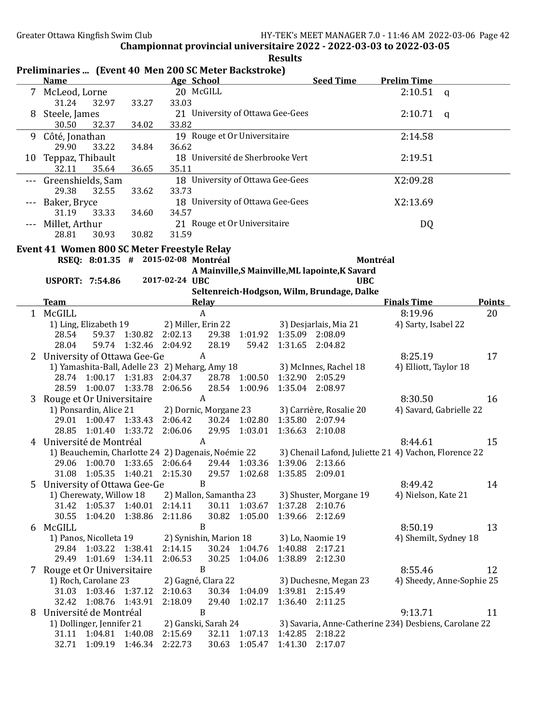|              |                                                                               |                                                |                        |              |                                        | <b>Results</b>        |                                                             |                                                       |                           |  |
|--------------|-------------------------------------------------------------------------------|------------------------------------------------|------------------------|--------------|----------------------------------------|-----------------------|-------------------------------------------------------------|-------------------------------------------------------|---------------------------|--|
|              | Preliminaries  (Event 40 Men 200 SC Meter Backstroke)<br><b>Name</b>          |                                                | Age School             |              |                                        |                       | <b>Seed Time</b>                                            | <b>Prelim Time</b>                                    |                           |  |
|              | 7 McLeod, Lorne<br>31.24<br>32.97                                             | 33.27                                          | 20 McGILL<br>33.03     |              |                                        |                       |                                                             | 2:10.51                                               | $\mathbf{q}$              |  |
|              | Steele, James<br>30.50<br>32.37                                               | 34.02                                          | 33.82                  |              | 21 University of Ottawa Gee-Gees       |                       |                                                             | 2:10.71                                               | q                         |  |
| 9            | Côté, Jonathan<br>29.90<br>33.22                                              | 34.84                                          | 36.62                  |              | 19 Rouge et Or Universitaire           |                       |                                                             | 2:14.58                                               |                           |  |
|              | 10 Teppaz, Thibault<br>32.11<br>35.64                                         | 36.65                                          | 35.11                  |              | 18 Université de Sherbrooke Vert       |                       |                                                             | 2:19.51                                               |                           |  |
| ---          | Greenshields, Sam<br>29.38<br>32.55                                           | 33.62                                          | 33.73                  |              | 18 University of Ottawa Gee-Gees       |                       |                                                             | X2:09.28                                              |                           |  |
| $- - -$      | Baker, Bryce<br>31.19<br>33.33                                                | 34.60                                          | 34.57                  |              | 18 University of Ottawa Gee-Gees       |                       |                                                             | X2:13.69                                              |                           |  |
| $- - -$      | Millet, Arthur<br>28.81<br>30.93                                              | 30.82                                          | 31.59                  |              | 21 Rouge et Or Universitaire           |                       |                                                             | DQ                                                    |                           |  |
|              | Event 41 Women 800 SC Meter Freestyle Relay                                   |                                                |                        |              |                                        |                       |                                                             |                                                       |                           |  |
|              | RSEQ: 8:01.35 # 2015-02-08 Montréal                                           |                                                |                        |              |                                        |                       | A Mainville, S Mainville, ML lapointe, K Savard             | Montréal                                              |                           |  |
|              | <b>USPORT: 7:54.86</b>                                                        |                                                | 2017-02-24 UBC         |              |                                        |                       | <b>UBC</b>                                                  |                                                       |                           |  |
|              |                                                                               |                                                |                        |              |                                        |                       | Seltenreich-Hodgson, Wilm, Brundage, Dalke                  |                                                       |                           |  |
|              | <u>Team</u>                                                                   |                                                |                        | <b>Relay</b> |                                        |                       |                                                             | <b>Finals Time</b>                                    | <b>Points</b>             |  |
|              | 1 McGILL                                                                      |                                                |                        | $\mathbf{A}$ |                                        |                       |                                                             | 8:19.96                                               | 20                        |  |
|              | 1) Ling, Elizabeth 19                                                         |                                                | 2) Miller, Erin 22     |              |                                        |                       | 3) Desjarlais, Mia 21                                       | 4) Sarty, Isabel 22                                   |                           |  |
|              | 28.54<br>28.04                                                                | 59.37 1:30.82 2:02.13<br>59.74 1:32.46 2:04.92 |                        | 28.19        | 29.38 1:01.92 1:35.09 2:08.09<br>59.42 |                       | 1:31.65 2:04.82                                             |                                                       |                           |  |
|              |                                                                               |                                                |                        | A            |                                        |                       |                                                             | 8:25.19                                               | 17                        |  |
| $\mathbf{Z}$ | University of Ottawa Gee-Ge<br>1) Yamashita-Ball, Adelle 23 2) Meharg, Amy 18 |                                                |                        |              |                                        |                       | 3) McInnes, Rachel 18                                       | 4) Elliott, Taylor 18                                 |                           |  |
|              | 28.74 1:00.17 1:31.83                                                         |                                                | 2:04.37                |              | 28.78 1:00.50                          |                       | 1:32.90 2:05.29                                             |                                                       |                           |  |
|              | 28.59 1:00.07 1:33.78                                                         |                                                | 2:06.56                |              | 28.54 1:00.96                          |                       | 1:35.04 2:08.97                                             |                                                       |                           |  |
|              | Rouge et Or Universitaire                                                     |                                                |                        | A            |                                        |                       |                                                             | 8:30.50                                               | 16                        |  |
|              | 1) Ponsardin, Alice 21                                                        |                                                | 2) Dornic, Morgane 23  |              |                                        |                       | 3) Carrière, Rosalie 20                                     |                                                       | 4) Savard, Gabrielle 22   |  |
|              | 29.01                                                                         | 1:00.47 1:33.43                                | 2:06.42                |              | 30.24 1:02.80                          |                       | 1:35.80 2:07.94                                             |                                                       |                           |  |
|              | 1:01.40<br>28.85                                                              | 1:33.72                                        | 2:06.06                |              | 29.95 1:03.01                          |                       | 1:36.63 2:10.08                                             |                                                       |                           |  |
| 4            | Université de Montréal                                                        |                                                |                        | A            |                                        |                       |                                                             | 8:44.61                                               | 15                        |  |
|              | 1) Beauchemin, Charlotte 24 2) Dagenais, Noémie 22                            |                                                |                        |              |                                        |                       |                                                             | 3) Chenail Lafond, Juliette 21 4) Vachon, Florence 22 |                           |  |
|              |                                                                               |                                                |                        |              |                                        |                       | 29.06 1:00.70 1:33.65 2:06.64 29.44 1:03.36 1:39.06 2:13.66 |                                                       |                           |  |
|              | 1:05.35<br>31.08                                                              | 1:40.21                                        | 2:15.30                |              | 29.57 1:02.68                          |                       | 1:35.85 2:09.01                                             |                                                       |                           |  |
| 5.           | B<br>University of Ottawa Gee-Ge                                              |                                                |                        |              |                                        |                       |                                                             | 8:49.42                                               | 14                        |  |
|              | 1) Cherewaty, Willow 18                                                       |                                                | 2) Mallon, Samantha 23 |              | 30.11 1:03.67                          |                       | 3) Shuster, Morgane 19                                      | 4) Nielson, Kate 21                                   |                           |  |
|              | 31.42 1:05.37 1:40.01<br>30.55                                                | 1:04.20 1:38.86                                | 2:14.11<br>2:11.86     | 30.82        | 1:05.00                                |                       | 1:37.28 2:10.76<br>1:39.66 2:12.69                          |                                                       |                           |  |
| 6            | McGILL                                                                        |                                                |                        | B            |                                        |                       |                                                             | 8:50.19                                               | 13                        |  |
|              | 1) Panos, Nicolleta 19                                                        |                                                | 2) Synishin, Marion 18 |              |                                        |                       | 3) Lo, Naomie 19                                            | 4) Shemilt, Sydney 18                                 |                           |  |
|              | 29.84 1:03.22 1:38.41                                                         |                                                | 2:14.15                |              | 30.24 1:04.76                          |                       | 1:40.88 2:17.21                                             |                                                       |                           |  |
|              | 29.49 1:01.69 1:34.11                                                         |                                                | 2:06.53                |              | 30.25 1:04.06                          |                       | 1:38.89 2:12.30                                             |                                                       |                           |  |
|              | B<br>7 Rouge et Or Universitaire                                              |                                                |                        |              |                                        |                       |                                                             | 8:55.46                                               | 12                        |  |
|              | 1) Roch, Carolane 23                                                          |                                                | 2) Gagné, Clara 22     |              |                                        | 3) Duchesne, Megan 23 |                                                             |                                                       | 4) Sheedy, Anne-Sophie 25 |  |
|              | 31.03 1:03.46 1:37.12                                                         |                                                | 2:10.63                |              | 30.34 1:04.09                          |                       | 1:39.81 2:15.49                                             |                                                       |                           |  |
|              | 32.42 1:08.76                                                                 | 1:43.91                                        | 2:18.09                |              | 29.40 1:02.17                          | 1:36.40               | 2:11.25                                                     |                                                       |                           |  |
| 8            | Université de Montréal                                                        |                                                |                        | B            |                                        |                       |                                                             | 9:13.71                                               | 11                        |  |
|              | 1) Dollinger, Jennifer 21                                                     |                                                | 2) Ganski, Sarah 24    |              |                                        |                       | 3) Savaria, Anne-Catherine 234) Desbiens, Carolane 22       |                                                       |                           |  |
|              | 31.11 1:04.81 1:40.08                                                         |                                                | 2:15.69                |              | 32.11 1:07.13                          |                       | 1:42.85 2:18.22                                             |                                                       |                           |  |
|              | 32.71 1:09.19 1:46.34                                                         |                                                | 2:22.73                |              | 30.63 1:05.47 1:41.30 2:17.07          |                       |                                                             |                                                       |                           |  |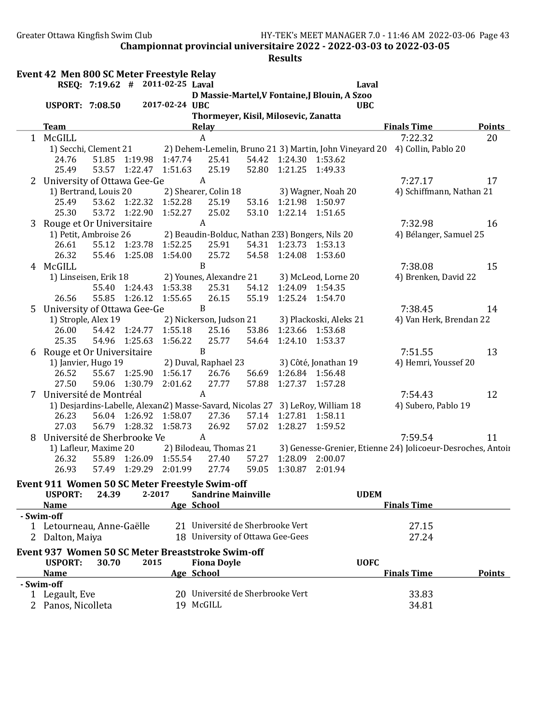Greater Ottawa Kingfish Swim Club HY-TEK's MEET MANAGER 7.0 - 11:46 AM 2022-03-06 Page 43

Championnat provincial universitaire 2022 - 2022-03-03 to 2022-03-05

|   | Event 42 Men 800 SC Meter Freestyle Relay                                                            |       |                       | RSEQ: 7:19.62 # 2011-02-25 Laval |                                      |       |                         | Laval                                                                          |                                                                            |               |
|---|------------------------------------------------------------------------------------------------------|-------|-----------------------|----------------------------------|--------------------------------------|-------|-------------------------|--------------------------------------------------------------------------------|----------------------------------------------------------------------------|---------------|
|   |                                                                                                      |       |                       |                                  |                                      |       |                         | D Massie-Martel, V Fontaine, J Blouin, A Szoo                                  |                                                                            |               |
|   | <b>USPORT: 7:08.50</b>                                                                               |       |                       | 2017-02-24 UBC                   |                                      |       |                         | <b>UBC</b>                                                                     |                                                                            |               |
|   |                                                                                                      |       |                       |                                  | Thormeyer, Kisil, Milosevic, Zanatta |       |                         |                                                                                |                                                                            |               |
|   | <b>Team</b>                                                                                          |       |                       |                                  | <b>Relay</b>                         |       |                         |                                                                                | <b>Finals Time</b>                                                         | <b>Points</b> |
|   | 1 McGILL                                                                                             |       |                       |                                  | A                                    |       |                         |                                                                                | 7:22.32                                                                    | 20            |
|   | 1) Secchi, Clement 21<br>24.76                                                                       |       | 51.85 1:19.98         | 1:47.74                          | 25.41                                |       |                         | 54.42 1:24.30 1:53.62                                                          | 2) Dehem-Lemelin, Bruno 21 3) Martin, John Vineyard 20 4) Collin, Pablo 20 |               |
|   | 25.49                                                                                                |       | 53.57 1:22.47 1:51.63 |                                  | 25.19                                | 52.80 | 1:21.25                 | 1:49.33                                                                        |                                                                            |               |
|   |                                                                                                      |       |                       |                                  | A                                    |       |                         |                                                                                | 7:27.17                                                                    | 17            |
|   | 2 University of Ottawa Gee-Ge<br>1) Bertrand, Louis 20<br>2) Shearer, Colin 18<br>3) Wagner, Noah 20 |       |                       |                                  |                                      |       |                         |                                                                                | 4) Schiffmann, Nathan 21                                                   |               |
|   | 25.49                                                                                                |       | 53.62 1:22.32         | 1:52.28                          | 25.19                                | 53.16 | 1:21.98                 | 1:50.97                                                                        |                                                                            |               |
|   | 25.30                                                                                                |       | 53.72 1:22.90         | 1:52.27                          | 25.02                                | 53.10 | 1:22.14                 | 1:51.65                                                                        |                                                                            |               |
|   | 3 Rouge et Or Universitaire                                                                          |       |                       |                                  | $\boldsymbol{A}$                     |       |                         |                                                                                | 7:32.98                                                                    | 16            |
|   | 1) Petit, Ambroise 26                                                                                |       |                       |                                  |                                      |       |                         | 2) Beaudin-Bolduc, Nathan 233) Bongers, Nils 20                                | 4) Bélanger, Samuel 25                                                     |               |
|   | 26.61                                                                                                |       | 55.12 1:23.78         | 1:52.25                          | 25.91                                |       | 54.31 1:23.73 1:53.13   |                                                                                |                                                                            |               |
|   | 26.32                                                                                                |       | 55.46 1:25.08 1:54.00 |                                  | 25.72                                | 54.58 | 1:24.08                 | 1:53.60                                                                        |                                                                            |               |
|   | 4 McGILL                                                                                             |       |                       |                                  | $\mathbf B$                          |       |                         |                                                                                | 7:38.08                                                                    | 15            |
|   | 1) Linseisen, Erik 18                                                                                |       |                       |                                  | 2) Younes, Alexandre 21              |       |                         | 3) McLeod, Lorne 20                                                            | 4) Brenken, David 22                                                       |               |
|   |                                                                                                      |       | 55.40 1:24.43         | 1:53.38                          | 25.31                                | 54.12 |                         | 1:24.09 1:54.35                                                                |                                                                            |               |
|   | 26.56                                                                                                |       | 55.85 1:26.12         | 1:55.65                          | 26.15                                | 55.19 |                         | 1:25.24 1:54.70                                                                |                                                                            |               |
|   | 5 University of Ottawa Gee-Ge                                                                        |       |                       |                                  | $\mathbf B$                          |       |                         |                                                                                | 7:38.45                                                                    | 14            |
|   | 1) Strople, Alex 19<br>2) Nickerson, Judson 21<br>3) Plackoski, Aleks 21                             |       |                       |                                  |                                      |       | 4) Van Herk, Brendan 22 |                                                                                |                                                                            |               |
|   | 26.00                                                                                                |       | 54.42 1:24.77 1:55.18 |                                  | 25.16                                | 53.86 |                         | 1:23.66 1:53.68                                                                |                                                                            |               |
|   | 25.35                                                                                                |       | 54.96 1:25.63         | 1:56.22                          | 25.77                                | 54.64 | 1:24.10                 | 1:53.37                                                                        |                                                                            |               |
|   | 6 Rouge et Or Universitaire                                                                          |       |                       |                                  | $\, {\bf B}$                         |       |                         |                                                                                | 7:51.55                                                                    | 13            |
|   | 1) Janvier, Hugo 19                                                                                  |       |                       |                                  | 2) Duval, Raphael 23                 |       |                         | 3) Côté, Jonathan 19                                                           | 4) Hemri, Youssef 20                                                       |               |
|   | 26.52                                                                                                |       | 55.67 1:25.90 1:56.17 |                                  | 26.76                                | 56.69 |                         | 1:26.84 1:56.48                                                                |                                                                            |               |
|   | 27.50                                                                                                |       | 59.06 1:30.79         | 2:01.62                          | 27.77                                | 57.88 | 1:27.37                 | 1:57.28                                                                        |                                                                            |               |
| 7 | Université de Montréal                                                                               |       |                       |                                  | $\boldsymbol{A}$                     |       |                         |                                                                                | 7:54.43                                                                    | 12            |
|   |                                                                                                      |       |                       |                                  |                                      |       |                         | 1) Desjardins-Labelle, Alexan(2) Masse-Savard, Nicolas 27 3) LeRoy, William 18 | 4) Subero, Pablo 19                                                        |               |
|   | 26.23                                                                                                |       | 56.04 1:26.92 1:58.07 |                                  | 27.36                                |       | 57.14 1:27.81 1:58.11   |                                                                                |                                                                            |               |
|   | 27.03                                                                                                |       | 56.79 1:28.32         | 1:58.73                          | 26.92                                | 57.02 | 1:28.27                 | 1:59.52                                                                        |                                                                            |               |
| 8 | Université de Sherbrooke Ve                                                                          |       |                       |                                  | A                                    |       |                         |                                                                                | 7:59.54                                                                    | 11            |
|   | 1) Lafleur, Maxime 20                                                                                |       |                       |                                  | 2) Bilodeau, Thomas 21               |       |                         |                                                                                | 3) Genesse-Grenier, Etienne 24) Jolicoeur-Desroches, Antoir                |               |
|   | 26.32                                                                                                |       | 55.89 1:26.09 1:55.54 |                                  | 27.40                                | 57.27 |                         | 1:28.09 2:00.07                                                                |                                                                            |               |
|   | 26.93                                                                                                | 57.49 | 1:29.29               | 2:01.99                          | 27.74                                | 59.05 | 1:30.87                 | 2:01.94                                                                        |                                                                            |               |
|   | Event 911 Women 50 SC Meter Freestyle Swim-off                                                       |       |                       |                                  |                                      |       |                         |                                                                                |                                                                            |               |
|   | <b>USPORT:</b>                                                                                       | 24.39 | 2-2017                |                                  | <b>Sandrine Mainville</b>            |       |                         | <b>UDEM</b>                                                                    |                                                                            |               |
|   | <b>Name</b>                                                                                          |       |                       | Age School                       |                                      |       |                         |                                                                                | <b>Finals Time</b>                                                         |               |
|   | - Swim-off                                                                                           |       |                       |                                  |                                      |       |                         |                                                                                |                                                                            |               |
|   | 1 Letourneau, Anne-Gaëlle                                                                            |       |                       |                                  | 21 Université de Sherbrooke Vert     |       |                         |                                                                                | 27.15                                                                      |               |
|   | 2 Dalton, Maiya                                                                                      |       |                       |                                  | 18 University of Ottawa Gee-Gees     |       |                         |                                                                                | 27.24                                                                      |               |
|   | Event 937 Women 50 SC Meter Breaststroke Swim-off                                                    |       |                       |                                  |                                      |       |                         |                                                                                |                                                                            |               |
|   | <b>USPORT:</b>                                                                                       | 30.70 | 2015                  |                                  | <b>Fiona Doyle</b>                   |       |                         | <b>UOFC</b>                                                                    |                                                                            |               |
|   | <b>Name</b>                                                                                          |       |                       | Age School                       |                                      |       |                         |                                                                                | <b>Finals Time</b>                                                         | <b>Points</b> |
|   | - Swim-off                                                                                           |       |                       |                                  |                                      |       |                         |                                                                                |                                                                            |               |
|   | 1 Legault, Eve                                                                                       |       |                       |                                  | 20 Université de Sherbrooke Vert     |       |                         |                                                                                | 33.83                                                                      |               |
|   | 2 Panos, Nicolleta                                                                                   |       |                       |                                  | 19 McGILL                            |       |                         |                                                                                | 34.81                                                                      |               |